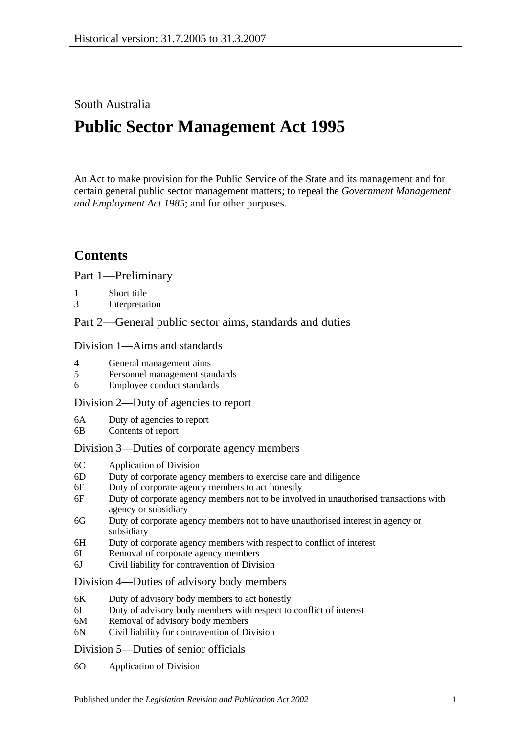## South Australia

# **Public Sector Management Act 1995**

An Act to make provision for the Public Service of the State and its management and for certain general public sector management matters; to repeal the *[Government Management](http://www.legislation.sa.gov.au/index.aspx?action=legref&type=act&legtitle=Government%20Management%20and%20Employment%20Act%201985)  [and Employment Act](http://www.legislation.sa.gov.au/index.aspx?action=legref&type=act&legtitle=Government%20Management%20and%20Employment%20Act%201985) 1985*; and for other purposes.

## **Contents**

[Part 1—Preliminary](#page-5-0)

- 1 [Short title](#page-5-1)
- 3 [Interpretation](#page-5-2)

[Part 2—General public sector aims, standards and duties](#page-9-0)

#### [Division 1—Aims and standards](#page-9-1)

- 4 [General management aims](#page-9-2)
- 5 [Personnel management standards](#page-10-0)
- 6 [Employee conduct standards](#page-10-1)

#### [Division 2—Duty of agencies to report](#page-11-0)

- 6A [Duty of agencies to report](#page-11-1)
- 6B [Contents of report](#page-11-2)

#### [Division 3—Duties of corporate agency members](#page-11-3)

- 6C [Application of Division](#page-11-4)
- 6D [Duty of corporate agency members to exercise care and diligence](#page-11-5)
- 6E [Duty of corporate agency members to act honestly](#page-12-0)
- 6F [Duty of corporate agency members not to be involved in unauthorised transactions with](#page-12-1)  [agency or subsidiary](#page-12-1)
- 6G [Duty of corporate agency members not to have unauthorised interest in agency or](#page-13-0)  [subsidiary](#page-13-0)
- 6H [Duty of corporate agency members with respect to conflict of interest](#page-13-1)
- 6I [Removal of corporate agency members](#page-14-0)
- 6J [Civil liability for contravention of Division](#page-14-1)

#### [Division 4—Duties of advisory body members](#page-15-0)

- 6K [Duty of advisory body members to act honestly](#page-15-1)
- 6L [Duty of advisory body members with respect to conflict of interest](#page-15-2)
- 6M [Removal of advisory body members](#page-15-3)
- 6N [Civil liability for contravention of Division](#page-16-0)

#### [Division 5—Duties of senior officials](#page-16-1)

6O [Application of Division](#page-16-2)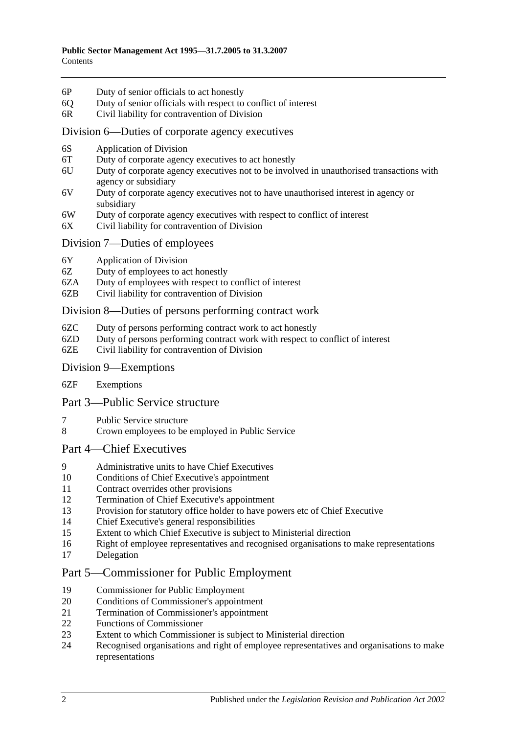- 6P [Duty of senior officials to act honestly](#page-16-3)
- 6Q [Duty of senior officials with respect to conflict of interest](#page-16-4)
- 6R [Civil liability for contravention of Division](#page-17-0)

#### [Division 6—Duties of corporate agency executives](#page-18-0)

- 6S [Application of Division](#page-18-1)
- 6T [Duty of corporate agency executives to act honestly](#page-18-2)
- 6U [Duty of corporate agency executives not to be involved in unauthorised transactions with](#page-18-3)  [agency or subsidiary](#page-18-3)
- 6V [Duty of corporate agency executives not to have unauthorised interest in agency or](#page-19-0)  [subsidiary](#page-19-0)
- 6W [Duty of corporate agency executives with respect to conflict of interest](#page-19-1)
- 6X [Civil liability for contravention of Division](#page-20-0)

#### [Division 7—Duties of employees](#page-20-1)

- 6Y [Application of Division](#page-20-2)
- 6Z [Duty of employees to act honestly](#page-20-3)
- 6ZA [Duty of employees with respect to conflict of interest](#page-21-0)
- 6ZB [Civil liability for contravention of Division](#page-21-1)

#### [Division 8—Duties of persons performing contract work](#page-22-0)

- 6ZC [Duty of persons performing contract work to act honestly](#page-22-1)
- 6ZD [Duty of persons performing contract work with respect to conflict of interest](#page-22-2)
- 6ZE [Civil liability for contravention of Division](#page-23-0)

#### [Division 9—Exemptions](#page-23-1)

6ZF [Exemptions](#page-23-2)

#### [Part 3—Public Service structure](#page-23-3)

- 7 [Public Service structure](#page-23-4)
- 8 [Crown employees to be employed in Public Service](#page-24-0)

#### [Part 4—Chief Executives](#page-24-1)

- 9 [Administrative units to have Chief Executives](#page-24-2)
- 10 [Conditions of Chief Executive's appointment](#page-25-0)
- 11 [Contract overrides other provisions](#page-25-1)
- 12 [Termination of Chief Executive's appointment](#page-25-2)
- 13 [Provision for statutory office holder to have powers etc of Chief Executive](#page-26-0)
- 14 [Chief Executive's general responsibilities](#page-27-0)
- 15 [Extent to which Chief Executive is subject to Ministerial direction](#page-27-1)
- 16 [Right of employee representatives and recognised organisations to make representations](#page-27-2)
- 17 [Delegation](#page-28-0)

## [Part 5—Commissioner for Public Employment](#page-28-1)

- 19 [Commissioner for Public Employment](#page-28-2)
- 20 [Conditions of Commissioner's appointment](#page-28-3)
- 21 [Termination of Commissioner's appointment](#page-28-4)
- 22 Functions [of Commissioner](#page-29-0)
- 23 [Extent to which Commissioner is subject to Ministerial direction](#page-30-0)<br>24 Recognised organisations and right of employee representatives a
- 24 [Recognised organisations and right of employee representatives and organisations to make](#page-30-1)  [representations](#page-30-1)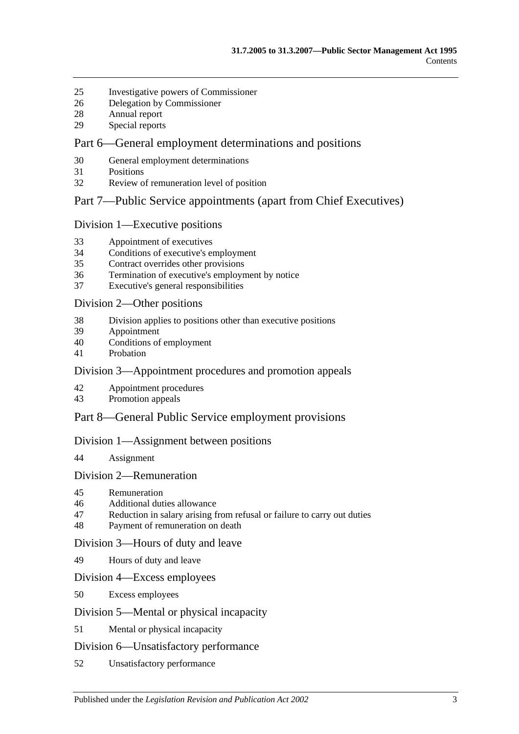- [Investigative powers of Commissioner](#page-31-0)
- [Delegation by Commissioner](#page-31-1)
- [Annual report](#page-32-0)
- [Special reports](#page-32-1)

## [Part 6—General employment determinations and positions](#page-33-0)

- [General employment determinations](#page-33-1)
- [Positions](#page-33-2)
- [Review of remuneration level of position](#page-34-0)

#### [Part 7—Public Service appointments \(apart from Chief Executives\)](#page-35-0)

#### [Division 1—Executive positions](#page-35-1)

- [Appointment of executives](#page-35-2)
- [Conditions of executive's employment](#page-35-3)
- [Contract overrides other provisions](#page-36-0)
- [Termination of executive's employment by notice](#page-37-0)
- [Executive's general responsibilities](#page-38-0)

#### [Division 2—Other positions](#page-38-1)

- [Division applies to positions other than executive positions](#page-38-2)
- [Appointment](#page-38-3)
- [Conditions of employment](#page-38-4)
- [Probation](#page-39-0)

## [Division 3—Appointment procedures and promotion appeals](#page-39-1)

- [Appointment procedures](#page-39-2)
- [Promotion appeals](#page-40-0)

## [Part 8—General Public Service employment provisions](#page-41-0)

#### [Division 1—Assignment between positions](#page-41-1)

[Assignment](#page-41-2)

#### [Division 2—Remuneration](#page-42-0)

- [Remuneration](#page-42-1)
- [Additional duties allowance](#page-42-2)
- [Reduction in salary arising from refusal or failure to carry out duties](#page-42-3)
- [Payment of remuneration on death](#page-42-4)

#### [Division 3—Hours of duty and leave](#page-43-0)

[Hours of duty and leave](#page-43-1)

#### [Division 4—Excess employees](#page-43-2)

[Excess employees](#page-43-3)

#### [Division 5—Mental or physical incapacity](#page-44-0)

[Mental or physical incapacity](#page-44-1)

#### [Division 6—Unsatisfactory performance](#page-45-0)

[Unsatisfactory performance](#page-45-1)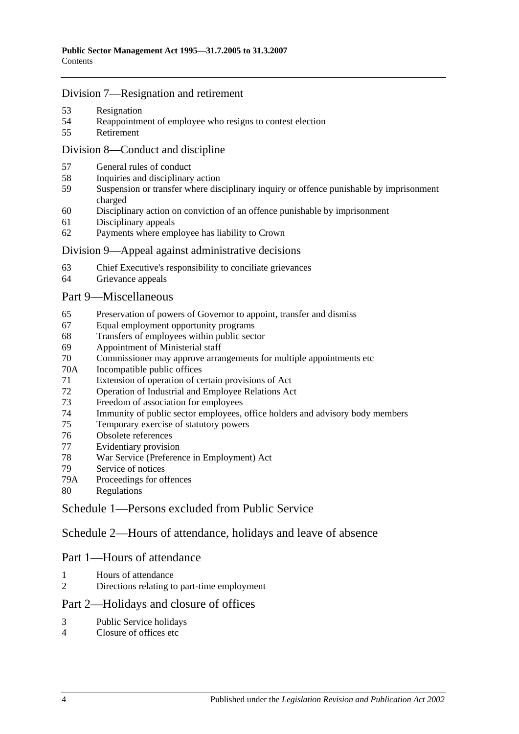#### [Division 7—Resignation and retirement](#page-46-0)

- [Resignation](#page-46-1)
- [Reappointment of employee who resigns to contest election](#page-47-0)
- [Retirement](#page-47-1)

#### [Division 8—Conduct and discipline](#page-47-2)

- [General rules of conduct](#page-47-3)
- [Inquiries and disciplinary action](#page-48-0)
- [Suspension or transfer where disciplinary inquiry or offence punishable by imprisonment](#page-49-0)  [charged](#page-49-0)
- [Disciplinary action on conviction of an offence punishable by imprisonment](#page-50-0)
- [Disciplinary appeals](#page-51-0)
- [Payments where employee has liability to Crown](#page-51-1)

#### [Division 9—Appeal against administrative decisions](#page-51-2)

- [Chief Executive's responsibility to conciliate grievances](#page-51-3)
- [Grievance appeals](#page-51-4)

#### [Part 9—Miscellaneous](#page-52-0)

- [Preservation of powers of Governor to appoint, transfer and dismiss](#page-52-1)
- [Equal employment opportunity programs](#page-52-2)
- [Transfers of employees within public sector](#page-53-0)
- [Appointment of Ministerial staff](#page-53-1)
- [Commissioner may approve arrangements for multiple appointments etc](#page-54-0)
- 70A [Incompatible public offices](#page-54-1)
- [Extension of operation of certain provisions of Act](#page-54-2)
- [Operation of Industrial and Employee Relations Act](#page-55-0)
- [Freedom of association for employees](#page-55-1)
- [Immunity of public sector employees, office holders and advisory body members](#page-55-2)
- [Temporary exercise of statutory powers](#page-55-3)
- [Obsolete references](#page-56-0)
- [Evidentiary provision](#page-56-1)
- [War Service \(Preference in Employment\) Act](#page-56-2)
- [Service of notices](#page-57-0)
- 79A [Proceedings for offences](#page-57-1)
- [Regulations](#page-57-2)

[Schedule 1—Persons excluded from Public Service](#page-57-3)

[Schedule 2—Hours of attendance, holidays and leave of absence](#page-58-0)

## Part 1—Hours of attendance

- [Hours of attendance](#page-58-1)
- [Directions relating to part-time employment](#page-58-2)

## Part 2—Holidays and closure of offices

- [Public Service holidays](#page-59-0)
- [Closure of offices etc](#page-59-1)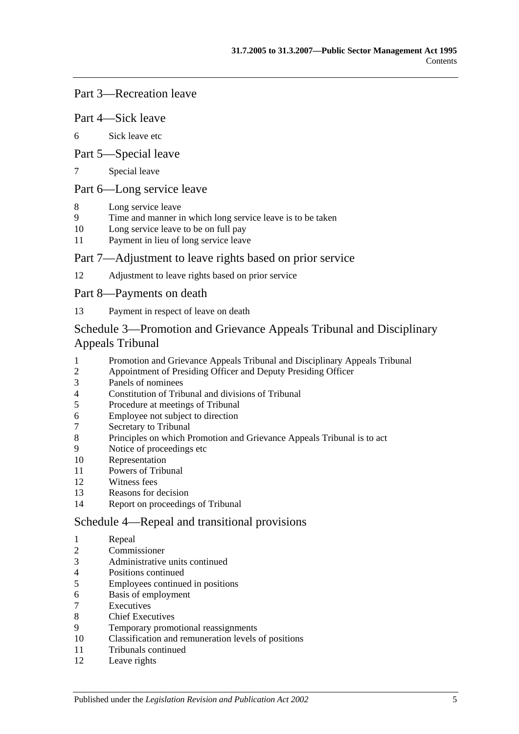#### Part 3—Recreation leave

#### Part 4—Sick leave

[Sick leave etc](#page-60-0)

#### Part 5—Special leave

[Special leave](#page-61-0)

## Part 6—Long service leave

- [Long service leave](#page-61-1)
- [Time and manner in which long service leave is to be taken](#page-62-0)
- [Long service leave to be on full pay](#page-62-1)
- [Payment in lieu of long service leave](#page-62-2)

#### Part 7—Adjustment to leave rights based on prior service

[Adjustment to leave rights based on prior service](#page-63-0)

#### Part 8—Payments on death

[Payment in respect of leave on death](#page-63-1)

## [Schedule 3—Promotion and Grievance Appeals Tribunal and Disciplinary](#page-64-0)  [Appeals Tribunal](#page-64-0)

- [Promotion and Grievance Appeals Tribunal and Disciplinary Appeals Tribunal](#page-64-1)<br>2 Appointment of Presiding Officer and Deputy Presiding Officer
- [Appointment of Presiding Officer and Deputy Presiding Officer](#page-64-2)
- [Panels of nominees](#page-65-0)
- [Constitution of Tribunal and divisions of Tribunal](#page-66-0)
- [Procedure at meetings of Tribunal](#page-66-1)
- [Employee not subject to direction](#page-66-2)
- [Secretary to Tribunal](#page-66-3)
- [Principles on which Promotion and Grievance Appeals Tribunal is to](#page-67-0) act
- [Notice of proceedings etc](#page-67-1)
- [Representation](#page-67-2)
- [Powers of Tribunal](#page-67-3)
- [Witness fees](#page-68-0)
- [Reasons for decision](#page-68-1)
- [Report on proceedings of Tribunal](#page-68-2)

#### [Schedule 4—Repeal and transitional provisions](#page-68-3)

- [Repeal](#page-68-4)
- [Commissioner](#page-68-5)
- [Administrative units continued](#page-69-0)
- [Positions continued](#page-69-1)
- [Employees continued in positions](#page-69-2)
- [Basis of employment](#page-69-3)
- **[Executives](#page-70-0)**
- [Chief Executives](#page-70-1)
- [Temporary promotional reassignments](#page-71-0)
- [Classification and remuneration levels of positions](#page-71-1)
- [Tribunals continued](#page-72-0)
- [Leave rights](#page-72-1)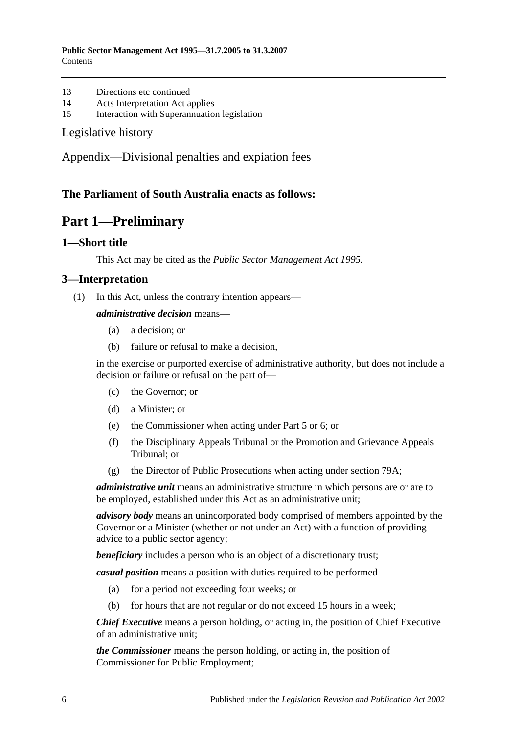- 13 [Directions etc continued](#page-72-2)
- 14 [Acts Interpretation Act applies](#page-72-3)
- 15 [Interaction with Superannuation legislation](#page-72-4)

#### [Legislative history](#page-73-0)

[Appendix—Divisional penalties and expiation fees](#page-76-0)

## <span id="page-5-0"></span>**The Parliament of South Australia enacts as follows:**

## **Part 1—Preliminary**

#### <span id="page-5-1"></span>**1—Short title**

This Act may be cited as the *Public Sector Management Act 1995*.

#### <span id="page-5-2"></span>**3—Interpretation**

(1) In this Act, unless the contrary intention appears—

#### *administrative decision* means—

- (a) a decision; or
- (b) failure or refusal to make a decision,

in the exercise or purported exercise of administrative authority, but does not include a decision or failure or refusal on the part of—

- (c) the Governor; or
- (d) a Minister; or
- (e) the Commissioner when acting under [Part 5](#page-28-1) or [6;](#page-33-0) or
- (f) the Disciplinary Appeals Tribunal or the Promotion and Grievance Appeals Tribunal; or
- (g) the Director of Public Prosecutions when acting under [section](#page-57-1) 79A;

*administrative unit* means an administrative structure in which persons are or are to be employed, established under this Act as an administrative unit;

*advisory body* means an unincorporated body comprised of members appointed by the Governor or a Minister (whether or not under an Act) with a function of providing advice to a public sector agency;

**beneficiary** includes a person who is an object of a discretionary trust;

*casual position* means a position with duties required to be performed—

- (a) for a period not exceeding four weeks; or
- (b) for hours that are not regular or do not exceed 15 hours in a week;

*Chief Executive* means a person holding, or acting in, the position of Chief Executive of an administrative unit;

*the Commissioner* means the person holding, or acting in, the position of Commissioner for Public Employment;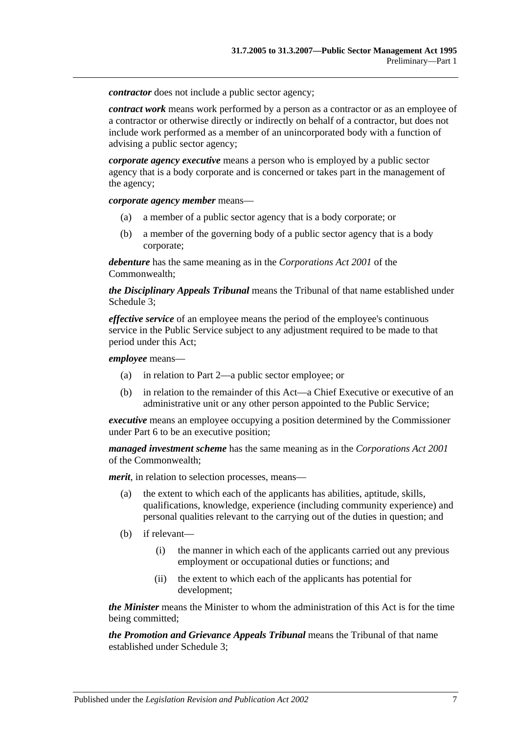*contractor* does not include a public sector agency:

*contract work* means work performed by a person as a contractor or as an employee of a contractor or otherwise directly or indirectly on behalf of a contractor, but does not include work performed as a member of an unincorporated body with a function of advising a public sector agency;

*corporate agency executive* means a person who is employed by a public sector agency that is a body corporate and is concerned or takes part in the management of the agency;

*corporate agency member* means—

- (a) a member of a public sector agency that is a body corporate; or
- (b) a member of the governing body of a public sector agency that is a body corporate;

*debenture* has the same meaning as in the *Corporations Act 2001* of the Commonwealth;

*the Disciplinary Appeals Tribunal* means the Tribunal of that name established under [Schedule 3;](#page-64-0)

*effective service* of an employee means the period of the employee's continuous service in the Public Service subject to any adjustment required to be made to that period under this Act;

*employee* means—

- (a) in relation to [Part 2—](#page-9-0)a public sector employee; or
- (b) in relation to the remainder of this Act—a Chief Executive or executive of an administrative unit or any other person appointed to the Public Service;

*executive* means an employee occupying a position determined by the Commissioner under [Part 6](#page-33-0) to be an executive position;

*managed investment scheme* has the same meaning as in the *Corporations Act 2001* of the Commonwealth;

*merit*, in relation to selection processes, means—

- (a) the extent to which each of the applicants has abilities, aptitude, skills, qualifications, knowledge, experience (including community experience) and personal qualities relevant to the carrying out of the duties in question; and
- (b) if relevant—
	- (i) the manner in which each of the applicants carried out any previous employment or occupational duties or functions; and
	- (ii) the extent to which each of the applicants has potential for development;

*the Minister* means the Minister to whom the administration of this Act is for the time being committed;

*the Promotion and Grievance Appeals Tribunal* means the Tribunal of that name established under [Schedule 3;](#page-64-0)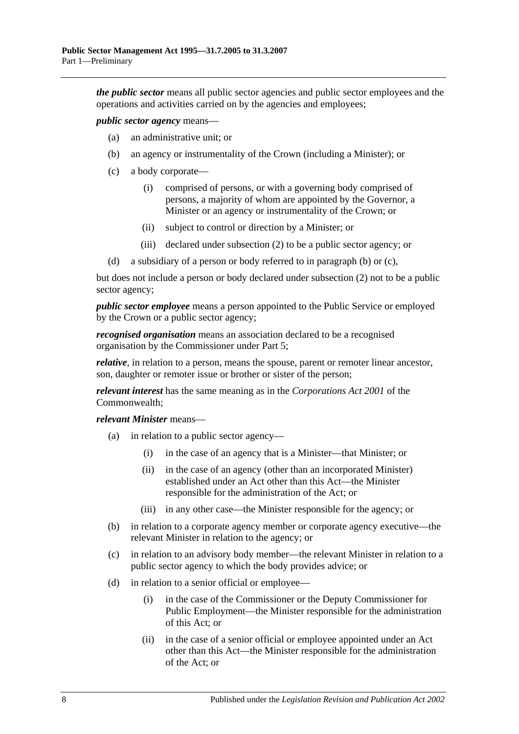*the public sector* means all public sector agencies and public sector employees and the operations and activities carried on by the agencies and employees;

<span id="page-7-0"></span>*public sector agency* means—

- (a) an administrative unit; or
- (b) an agency or instrumentality of the Crown (including a Minister); or
- <span id="page-7-1"></span>(c) a body corporate—
	- (i) comprised of persons, or with a governing body comprised of persons, a majority of whom are appointed by the Governor, a Minister or an agency or instrumentality of the Crown; or
	- (ii) subject to control or direction by a Minister; or
	- (iii) declared under [subsection](#page-9-3) (2) to be a public sector agency; or
- (d) a subsidiary of a person or body referred to in [paragraph](#page-7-0) (b) or [\(c\),](#page-7-1)

but does not include a person or body declared under [subsection](#page-9-3) (2) not to be a public sector agency;

*public sector employee* means a person appointed to the Public Service or employed by the Crown or a public sector agency;

*recognised organisation* means an association declared to be a recognised organisation by the Commissioner under [Part 5;](#page-28-1)

*relative*, in relation to a person, means the spouse, parent or remoter linear ancestor, son, daughter or remoter issue or brother or sister of the person;

*relevant interest* has the same meaning as in the *Corporations Act 2001* of the Commonwealth;

*relevant Minister* means—

- (a) in relation to a public sector agency—
	- (i) in the case of an agency that is a Minister—that Minister; or
	- (ii) in the case of an agency (other than an incorporated Minister) established under an Act other than this Act—the Minister responsible for the administration of the Act; or
	- (iii) in any other case—the Minister responsible for the agency; or
- (b) in relation to a corporate agency member or corporate agency executive—the relevant Minister in relation to the agency; or
- (c) in relation to an advisory body member—the relevant Minister in relation to a public sector agency to which the body provides advice; or
- (d) in relation to a senior official or employee—
	- (i) in the case of the Commissioner or the Deputy Commissioner for Public Employment—the Minister responsible for the administration of this Act; or
	- (ii) in the case of a senior official or employee appointed under an Act other than this Act—the Minister responsible for the administration of the Act; or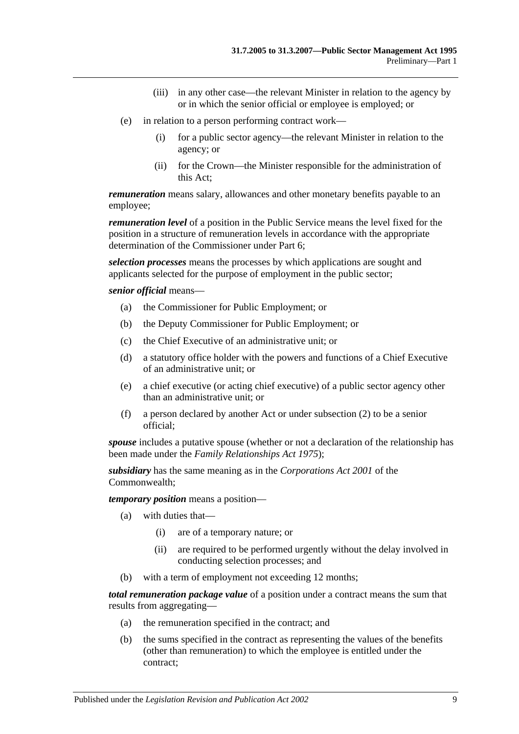- (iii) in any other case—the relevant Minister in relation to the agency by or in which the senior official or employee is employed; or
- (e) in relation to a person performing contract work—
	- (i) for a public sector agency—the relevant Minister in relation to the agency; or
	- (ii) for the Crown—the Minister responsible for the administration of this Act;

*remuneration* means salary, allowances and other monetary benefits payable to an employee;

*remuneration level* of a position in the Public Service means the level fixed for the position in a structure of remuneration levels in accordance with the appropriate determination of the Commissioner under [Part 6;](#page-33-0)

*selection processes* means the processes by which applications are sought and applicants selected for the purpose of employment in the public sector;

*senior official* means—

- (a) the Commissioner for Public Employment; or
- (b) the Deputy Commissioner for Public Employment; or
- (c) the Chief Executive of an administrative unit; or
- (d) a statutory office holder with the powers and functions of a Chief Executive of an administrative unit; or
- (e) a chief executive (or acting chief executive) of a public sector agency other than an administrative unit; or
- (f) a person declared by another Act or under [subsection](#page-9-3) (2) to be a senior official;

*spouse* includes a putative spouse (whether or not a declaration of the relationship has been made under the *[Family Relationships Act](http://www.legislation.sa.gov.au/index.aspx?action=legref&type=act&legtitle=Family%20Relationships%20Act%201975) 1975*);

*subsidiary* has the same meaning as in the *Corporations Act 2001* of the Commonwealth;

*temporary position* means a position—

- (a) with duties that—
	- (i) are of a temporary nature; or
	- (ii) are required to be performed urgently without the delay involved in conducting selection processes; and
- (b) with a term of employment not exceeding 12 months;

*total remuneration package value* of a position under a contract means the sum that results from aggregating—

- (a) the remuneration specified in the contract; and
- (b) the sums specified in the contract as representing the values of the benefits (other than remuneration) to which the employee is entitled under the contract;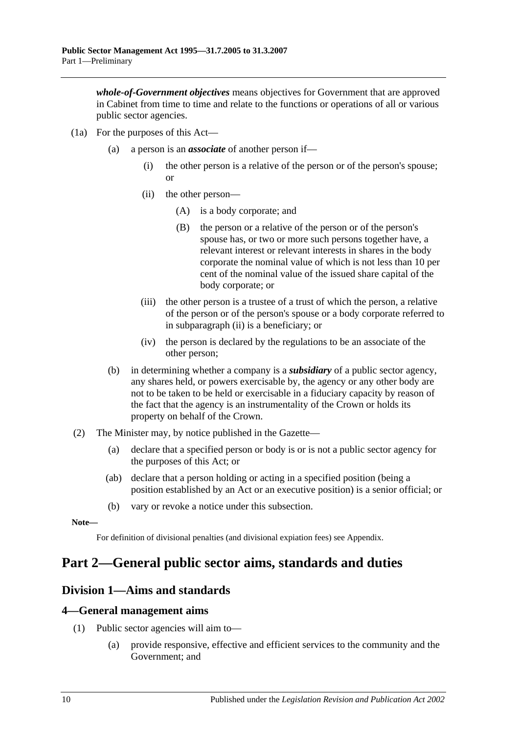*whole-of-Government objectives* means objectives for Government that are approved in Cabinet from time to time and relate to the functions or operations of all or various public sector agencies.

- <span id="page-9-4"></span>(1a) For the purposes of this Act—
	- (a) a person is an *associate* of another person if—
		- (i) the other person is a relative of the person or of the person's spouse; or
		- (ii) the other person—
			- (A) is a body corporate; and
			- (B) the person or a relative of the person or of the person's spouse has, or two or more such persons together have, a relevant interest or relevant interests in shares in the body corporate the nominal value of which is not less than 10 per cent of the nominal value of the issued share capital of the body corporate; or
		- (iii) the other person is a trustee of a trust of which the person, a relative of the person or of the person's spouse or a body corporate referred to in [subparagraph](#page-9-4) (ii) is a beneficiary; or
		- (iv) the person is declared by the regulations to be an associate of the other person;
	- (b) in determining whether a company is a *subsidiary* of a public sector agency, any shares held, or powers exercisable by, the agency or any other body are not to be taken to be held or exercisable in a fiduciary capacity by reason of the fact that the agency is an instrumentality of the Crown or holds its property on behalf of the Crown.
- <span id="page-9-3"></span>(2) The Minister may, by notice published in the Gazette—
	- (a) declare that a specified person or body is or is not a public sector agency for the purposes of this Act; or
	- (ab) declare that a person holding or acting in a specified position (being a position established by an Act or an executive position) is a senior official; or
	- (b) vary or revoke a notice under this subsection.

**Note—**

For definition of divisional penalties (and divisional expiation fees) see Appendix.

## <span id="page-9-0"></span>**Part 2—General public sector aims, standards and duties**

## <span id="page-9-1"></span>**Division 1—Aims and standards**

#### <span id="page-9-2"></span>**4—General management aims**

- (1) Public sector agencies will aim to—
	- (a) provide responsive, effective and efficient services to the community and the Government; and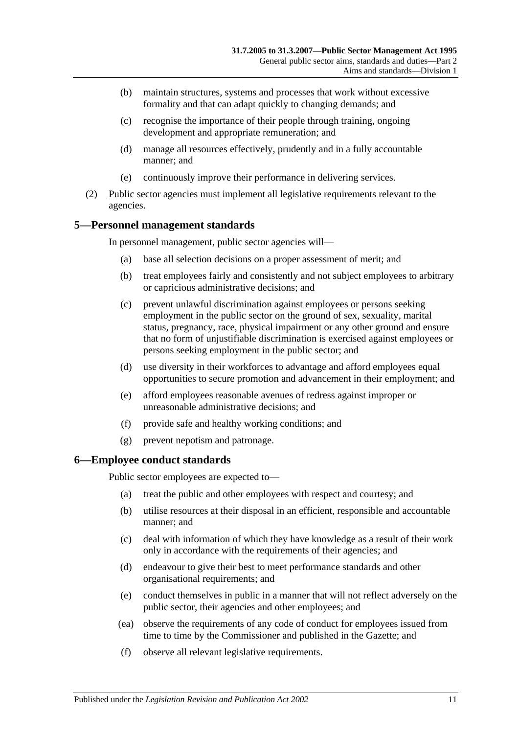- (b) maintain structures, systems and processes that work without excessive formality and that can adapt quickly to changing demands; and
- (c) recognise the importance of their people through training, ongoing development and appropriate remuneration; and
- (d) manage all resources effectively, prudently and in a fully accountable manner; and
- (e) continuously improve their performance in delivering services.
- (2) Public sector agencies must implement all legislative requirements relevant to the agencies.

## <span id="page-10-0"></span>**5—Personnel management standards**

In personnel management, public sector agencies will—

- (a) base all selection decisions on a proper assessment of merit; and
- (b) treat employees fairly and consistently and not subject employees to arbitrary or capricious administrative decisions; and
- (c) prevent unlawful discrimination against employees or persons seeking employment in the public sector on the ground of sex, sexuality, marital status, pregnancy, race, physical impairment or any other ground and ensure that no form of unjustifiable discrimination is exercised against employees or persons seeking employment in the public sector; and
- (d) use diversity in their workforces to advantage and afford employees equal opportunities to secure promotion and advancement in their employment; and
- (e) afford employees reasonable avenues of redress against improper or unreasonable administrative decisions; and
- (f) provide safe and healthy working conditions; and
- (g) prevent nepotism and patronage.

#### <span id="page-10-1"></span>**6—Employee conduct standards**

Public sector employees are expected to—

- (a) treat the public and other employees with respect and courtesy; and
- (b) utilise resources at their disposal in an efficient, responsible and accountable manner; and
- (c) deal with information of which they have knowledge as a result of their work only in accordance with the requirements of their agencies; and
- (d) endeavour to give their best to meet performance standards and other organisational requirements; and
- (e) conduct themselves in public in a manner that will not reflect adversely on the public sector, their agencies and other employees; and
- (ea) observe the requirements of any code of conduct for employees issued from time to time by the Commissioner and published in the Gazette; and
- (f) observe all relevant legislative requirements.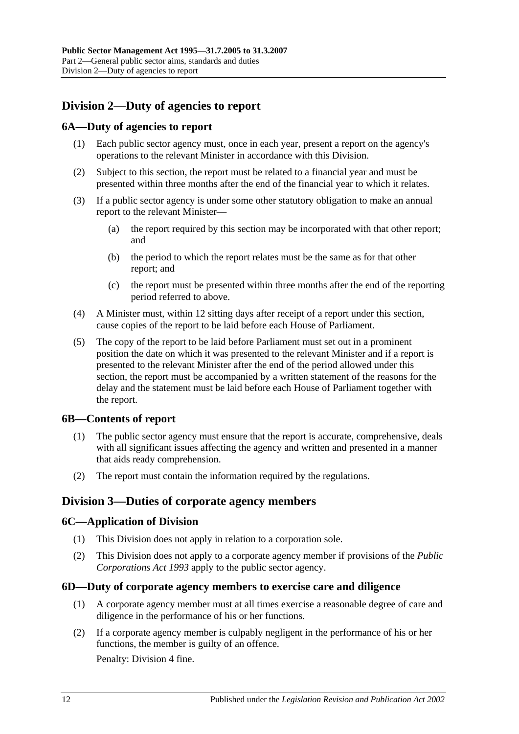## <span id="page-11-0"></span>**Division 2—Duty of agencies to report**

## <span id="page-11-1"></span>**6A—Duty of agencies to report**

- (1) Each public sector agency must, once in each year, present a report on the agency's operations to the relevant Minister in accordance with this Division.
- (2) Subject to this section, the report must be related to a financial year and must be presented within three months after the end of the financial year to which it relates.
- (3) If a public sector agency is under some other statutory obligation to make an annual report to the relevant Minister—
	- (a) the report required by this section may be incorporated with that other report; and
	- (b) the period to which the report relates must be the same as for that other report; and
	- (c) the report must be presented within three months after the end of the reporting period referred to above.
- (4) A Minister must, within 12 sitting days after receipt of a report under this section, cause copies of the report to be laid before each House of Parliament.
- (5) The copy of the report to be laid before Parliament must set out in a prominent position the date on which it was presented to the relevant Minister and if a report is presented to the relevant Minister after the end of the period allowed under this section, the report must be accompanied by a written statement of the reasons for the delay and the statement must be laid before each House of Parliament together with the report.

## <span id="page-11-2"></span>**6B—Contents of report**

- (1) The public sector agency must ensure that the report is accurate, comprehensive, deals with all significant issues affecting the agency and written and presented in a manner that aids ready comprehension.
- (2) The report must contain the information required by the regulations.

## <span id="page-11-3"></span>**Division 3—Duties of corporate agency members**

#### <span id="page-11-4"></span>**6C—Application of Division**

- (1) This Division does not apply in relation to a corporation sole.
- (2) This Division does not apply to a corporate agency member if provisions of the *[Public](http://www.legislation.sa.gov.au/index.aspx?action=legref&type=act&legtitle=Public%20Corporations%20Act%201993)  [Corporations Act](http://www.legislation.sa.gov.au/index.aspx?action=legref&type=act&legtitle=Public%20Corporations%20Act%201993) 1993* apply to the public sector agency.

#### <span id="page-11-5"></span>**6D—Duty of corporate agency members to exercise care and diligence**

- (1) A corporate agency member must at all times exercise a reasonable degree of care and diligence in the performance of his or her functions.
- <span id="page-11-6"></span>(2) If a corporate agency member is culpably negligent in the performance of his or her functions, the member is guilty of an offence.

Penalty: Division 4 fine.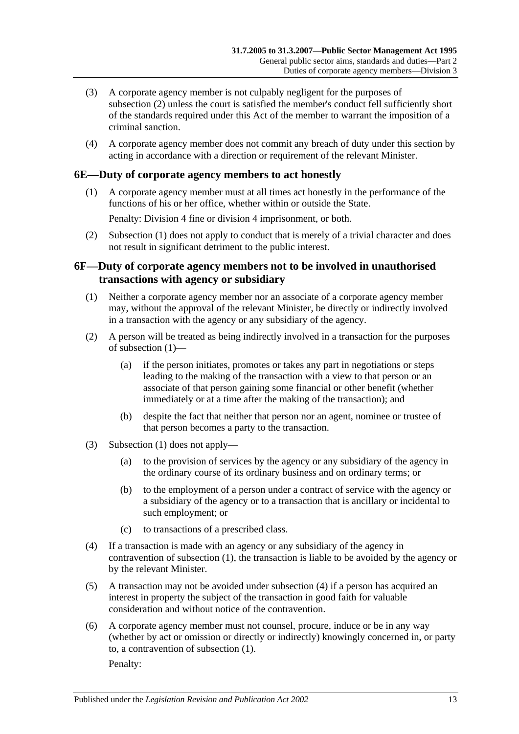- (3) A corporate agency member is not culpably negligent for the purposes of [subsection](#page-11-6) (2) unless the court is satisfied the member's conduct fell sufficiently short of the standards required under this Act of the member to warrant the imposition of a criminal sanction.
- (4) A corporate agency member does not commit any breach of duty under this section by acting in accordance with a direction or requirement of the relevant Minister.

#### <span id="page-12-2"></span><span id="page-12-0"></span>**6E—Duty of corporate agency members to act honestly**

(1) A corporate agency member must at all times act honestly in the performance of the functions of his or her office, whether within or outside the State.

Penalty: Division 4 fine or division 4 imprisonment, or both.

(2) [Subsection](#page-12-2) (1) does not apply to conduct that is merely of a trivial character and does not result in significant detriment to the public interest.

## <span id="page-12-1"></span>**6F—Duty of corporate agency members not to be involved in unauthorised transactions with agency or subsidiary**

- <span id="page-12-3"></span>(1) Neither a corporate agency member nor an associate of a corporate agency member may, without the approval of the relevant Minister, be directly or indirectly involved in a transaction with the agency or any subsidiary of the agency.
- (2) A person will be treated as being indirectly involved in a transaction for the purposes of [subsection](#page-12-3) (1)—
	- (a) if the person initiates, promotes or takes any part in negotiations or steps leading to the making of the transaction with a view to that person or an associate of that person gaining some financial or other benefit (whether immediately or at a time after the making of the transaction); and
	- (b) despite the fact that neither that person nor an agent, nominee or trustee of that person becomes a party to the transaction.
- (3) [Subsection](#page-12-3) (1) does not apply—
	- (a) to the provision of services by the agency or any subsidiary of the agency in the ordinary course of its ordinary business and on ordinary terms; or
	- (b) to the employment of a person under a contract of service with the agency or a subsidiary of the agency or to a transaction that is ancillary or incidental to such employment; or
	- (c) to transactions of a prescribed class.
- <span id="page-12-4"></span>(4) If a transaction is made with an agency or any subsidiary of the agency in contravention of [subsection](#page-12-3) (1), the transaction is liable to be avoided by the agency or by the relevant Minister.
- (5) A transaction may not be avoided under [subsection](#page-12-4) (4) if a person has acquired an interest in property the subject of the transaction in good faith for valuable consideration and without notice of the contravention.
- (6) A corporate agency member must not counsel, procure, induce or be in any way (whether by act or omission or directly or indirectly) knowingly concerned in, or party to, a contravention of [subsection](#page-12-3) (1).

Penalty: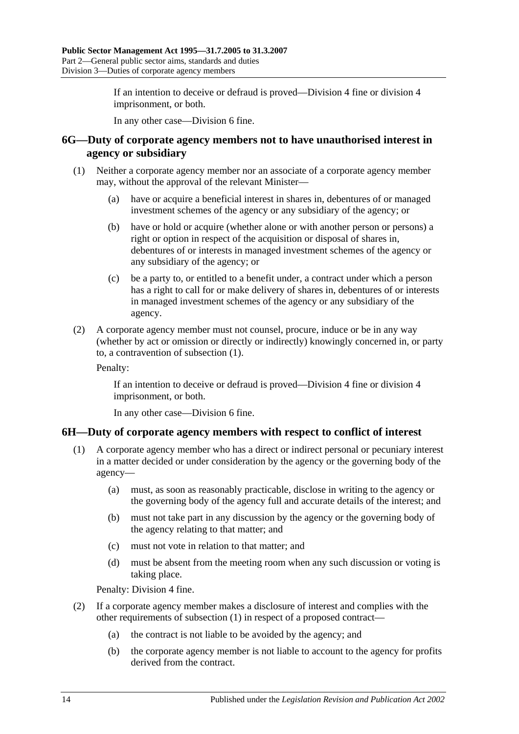If an intention to deceive or defraud is proved—Division 4 fine or division 4 imprisonment, or both.

In any other case—Division 6 fine.

#### <span id="page-13-0"></span>**6G—Duty of corporate agency members not to have unauthorised interest in agency or subsidiary**

- <span id="page-13-2"></span>(1) Neither a corporate agency member nor an associate of a corporate agency member may, without the approval of the relevant Minister—
	- (a) have or acquire a beneficial interest in shares in, debentures of or managed investment schemes of the agency or any subsidiary of the agency; or
	- (b) have or hold or acquire (whether alone or with another person or persons) a right or option in respect of the acquisition or disposal of shares in, debentures of or interests in managed investment schemes of the agency or any subsidiary of the agency; or
	- (c) be a party to, or entitled to a benefit under, a contract under which a person has a right to call for or make delivery of shares in, debentures of or interests in managed investment schemes of the agency or any subsidiary of the agency.
- (2) A corporate agency member must not counsel, procure, induce or be in any way (whether by act or omission or directly or indirectly) knowingly concerned in, or party to, a contravention of [subsection](#page-13-2) (1).

Penalty:

If an intention to deceive or defraud is proved—Division 4 fine or division 4 imprisonment, or both.

In any other case—Division 6 fine.

## <span id="page-13-3"></span><span id="page-13-1"></span>**6H—Duty of corporate agency members with respect to conflict of interest**

- (1) A corporate agency member who has a direct or indirect personal or pecuniary interest in a matter decided or under consideration by the agency or the governing body of the agency—
	- (a) must, as soon as reasonably practicable, disclose in writing to the agency or the governing body of the agency full and accurate details of the interest; and
	- (b) must not take part in any discussion by the agency or the governing body of the agency relating to that matter; and
	- (c) must not vote in relation to that matter; and
	- (d) must be absent from the meeting room when any such discussion or voting is taking place.

Penalty: Division 4 fine.

- (2) If a corporate agency member makes a disclosure of interest and complies with the other requirements of [subsection](#page-13-3) (1) in respect of a proposed contract—
	- (a) the contract is not liable to be avoided by the agency; and
	- (b) the corporate agency member is not liable to account to the agency for profits derived from the contract.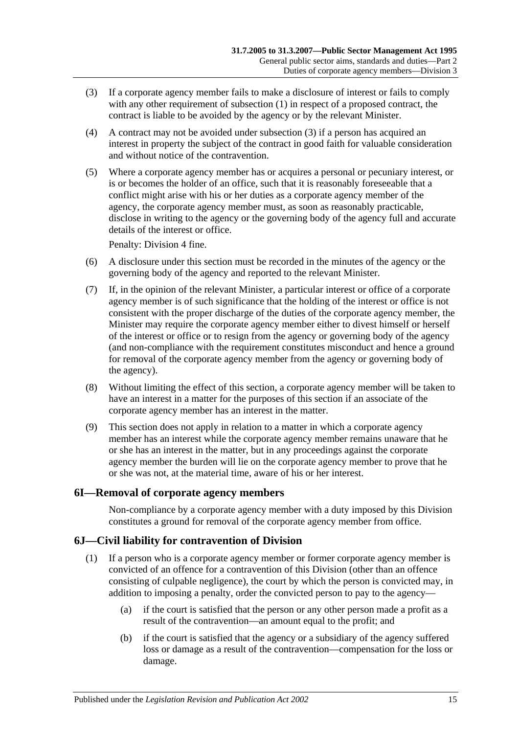- <span id="page-14-2"></span>(3) If a corporate agency member fails to make a disclosure of interest or fails to comply with any other requirement of [subsection](#page-13-3) (1) in respect of a proposed contract, the contract is liable to be avoided by the agency or by the relevant Minister.
- (4) A contract may not be avoided under [subsection](#page-14-2) (3) if a person has acquired an interest in property the subject of the contract in good faith for valuable consideration and without notice of the contravention.
- (5) Where a corporate agency member has or acquires a personal or pecuniary interest, or is or becomes the holder of an office, such that it is reasonably foreseeable that a conflict might arise with his or her duties as a corporate agency member of the agency, the corporate agency member must, as soon as reasonably practicable, disclose in writing to the agency or the governing body of the agency full and accurate details of the interest or office.

Penalty: Division 4 fine.

- (6) A disclosure under this section must be recorded in the minutes of the agency or the governing body of the agency and reported to the relevant Minister.
- (7) If, in the opinion of the relevant Minister, a particular interest or office of a corporate agency member is of such significance that the holding of the interest or office is not consistent with the proper discharge of the duties of the corporate agency member, the Minister may require the corporate agency member either to divest himself or herself of the interest or office or to resign from the agency or governing body of the agency (and non-compliance with the requirement constitutes misconduct and hence a ground for removal of the corporate agency member from the agency or governing body of the agency).
- (8) Without limiting the effect of this section, a corporate agency member will be taken to have an interest in a matter for the purposes of this section if an associate of the corporate agency member has an interest in the matter.
- (9) This section does not apply in relation to a matter in which a corporate agency member has an interest while the corporate agency member remains unaware that he or she has an interest in the matter, but in any proceedings against the corporate agency member the burden will lie on the corporate agency member to prove that he or she was not, at the material time, aware of his or her interest.

## <span id="page-14-0"></span>**6I—Removal of corporate agency members**

Non-compliance by a corporate agency member with a duty imposed by this Division constitutes a ground for removal of the corporate agency member from office.

## <span id="page-14-1"></span>**6J—Civil liability for contravention of Division**

- (1) If a person who is a corporate agency member or former corporate agency member is convicted of an offence for a contravention of this Division (other than an offence consisting of culpable negligence), the court by which the person is convicted may, in addition to imposing a penalty, order the convicted person to pay to the agency—
	- (a) if the court is satisfied that the person or any other person made a profit as a result of the contravention—an amount equal to the profit; and
	- (b) if the court is satisfied that the agency or a subsidiary of the agency suffered loss or damage as a result of the contravention—compensation for the loss or damage.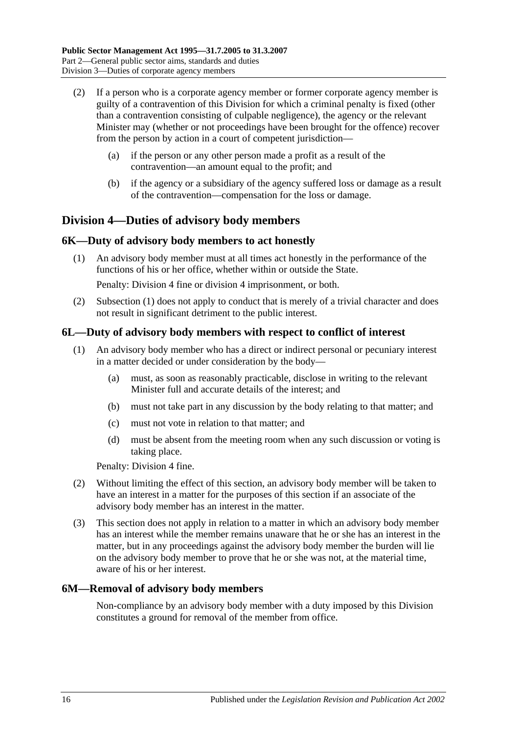- (2) If a person who is a corporate agency member or former corporate agency member is guilty of a contravention of this Division for which a criminal penalty is fixed (other than a contravention consisting of culpable negligence), the agency or the relevant Minister may (whether or not proceedings have been brought for the offence) recover from the person by action in a court of competent jurisdiction—
	- (a) if the person or any other person made a profit as a result of the contravention—an amount equal to the profit; and
	- (b) if the agency or a subsidiary of the agency suffered loss or damage as a result of the contravention—compensation for the loss or damage.

## <span id="page-15-0"></span>**Division 4—Duties of advisory body members**

## <span id="page-15-4"></span><span id="page-15-1"></span>**6K—Duty of advisory body members to act honestly**

(1) An advisory body member must at all times act honestly in the performance of the functions of his or her office, whether within or outside the State.

Penalty: Division 4 fine or division 4 imprisonment, or both.

(2) [Subsection](#page-15-4) (1) does not apply to conduct that is merely of a trivial character and does not result in significant detriment to the public interest.

#### <span id="page-15-2"></span>**6L—Duty of advisory body members with respect to conflict of interest**

- (1) An advisory body member who has a direct or indirect personal or pecuniary interest in a matter decided or under consideration by the body—
	- (a) must, as soon as reasonably practicable, disclose in writing to the relevant Minister full and accurate details of the interest; and
	- (b) must not take part in any discussion by the body relating to that matter; and
	- (c) must not vote in relation to that matter; and
	- (d) must be absent from the meeting room when any such discussion or voting is taking place.

Penalty: Division 4 fine.

- (2) Without limiting the effect of this section, an advisory body member will be taken to have an interest in a matter for the purposes of this section if an associate of the advisory body member has an interest in the matter.
- (3) This section does not apply in relation to a matter in which an advisory body member has an interest while the member remains unaware that he or she has an interest in the matter, but in any proceedings against the advisory body member the burden will lie on the advisory body member to prove that he or she was not, at the material time, aware of his or her interest.

#### <span id="page-15-3"></span>**6M—Removal of advisory body members**

Non-compliance by an advisory body member with a duty imposed by this Division constitutes a ground for removal of the member from office.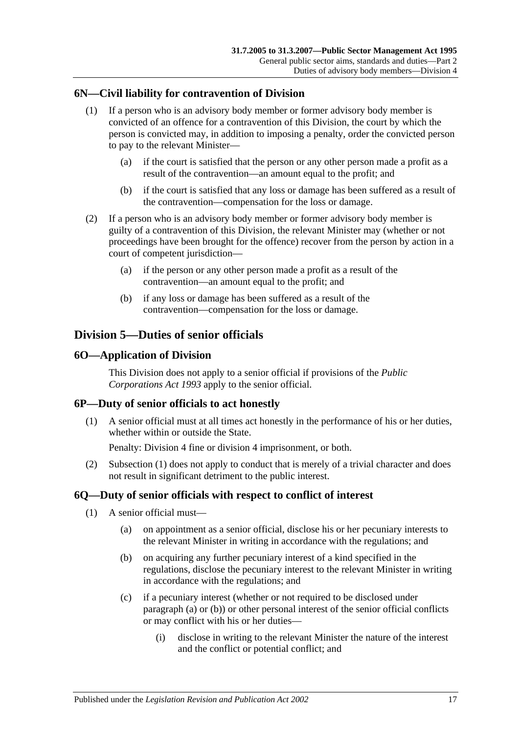## <span id="page-16-0"></span>**6N—Civil liability for contravention of Division**

- (1) If a person who is an advisory body member or former advisory body member is convicted of an offence for a contravention of this Division, the court by which the person is convicted may, in addition to imposing a penalty, order the convicted person to pay to the relevant Minister—
	- (a) if the court is satisfied that the person or any other person made a profit as a result of the contravention—an amount equal to the profit; and
	- (b) if the court is satisfied that any loss or damage has been suffered as a result of the contravention—compensation for the loss or damage.
- (2) If a person who is an advisory body member or former advisory body member is guilty of a contravention of this Division, the relevant Minister may (whether or not proceedings have been brought for the offence) recover from the person by action in a court of competent jurisdiction—
	- (a) if the person or any other person made a profit as a result of the contravention—an amount equal to the profit; and
	- (b) if any loss or damage has been suffered as a result of the contravention—compensation for the loss or damage.

## <span id="page-16-1"></span>**Division 5—Duties of senior officials**

## <span id="page-16-2"></span>**6O—Application of Division**

This Division does not apply to a senior official if provisions of the *[Public](http://www.legislation.sa.gov.au/index.aspx?action=legref&type=act&legtitle=Public%20Corporations%20Act%201993)  [Corporations Act](http://www.legislation.sa.gov.au/index.aspx?action=legref&type=act&legtitle=Public%20Corporations%20Act%201993) 1993* apply to the senior official.

## <span id="page-16-5"></span><span id="page-16-3"></span>**6P—Duty of senior officials to act honestly**

(1) A senior official must at all times act honestly in the performance of his or her duties, whether within or outside the State.

Penalty: Division 4 fine or division 4 imprisonment, or both.

(2) [Subsection](#page-16-5) (1) does not apply to conduct that is merely of a trivial character and does not result in significant detriment to the public interest.

## <span id="page-16-8"></span><span id="page-16-4"></span>**6Q—Duty of senior officials with respect to conflict of interest**

- <span id="page-16-7"></span><span id="page-16-6"></span>(1) A senior official must—
	- (a) on appointment as a senior official, disclose his or her pecuniary interests to the relevant Minister in writing in accordance with the regulations; and
	- (b) on acquiring any further pecuniary interest of a kind specified in the regulations, disclose the pecuniary interest to the relevant Minister in writing in accordance with the regulations; and
	- (c) if a pecuniary interest (whether or not required to be disclosed under [paragraph](#page-16-6) (a) or [\(b\)\)](#page-16-7) or other personal interest of the senior official conflicts or may conflict with his or her duties—
		- (i) disclose in writing to the relevant Minister the nature of the interest and the conflict or potential conflict; and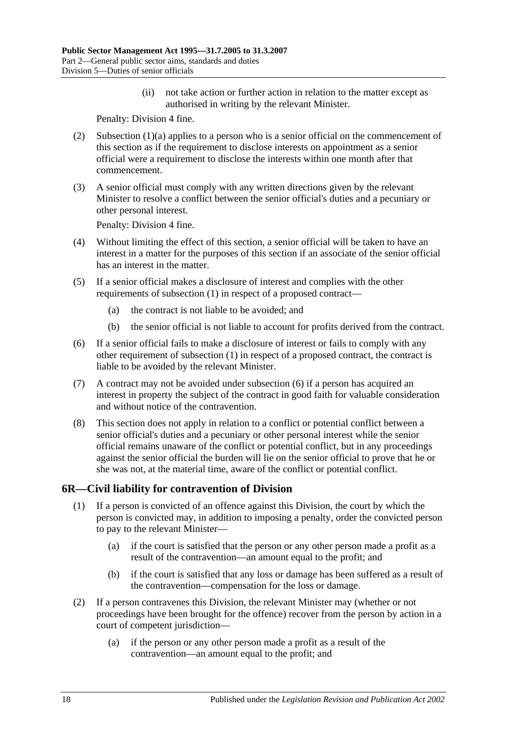(ii) not take action or further action in relation to the matter except as authorised in writing by the relevant Minister.

Penalty: Division 4 fine.

- (2) [Subsection](#page-16-6) (1)(a) applies to a person who is a senior official on the commencement of this section as if the requirement to disclose interests on appointment as a senior official were a requirement to disclose the interests within one month after that commencement.
- (3) A senior official must comply with any written directions given by the relevant Minister to resolve a conflict between the senior official's duties and a pecuniary or other personal interest.

Penalty: Division 4 fine.

- (4) Without limiting the effect of this section, a senior official will be taken to have an interest in a matter for the purposes of this section if an associate of the senior official has an interest in the matter.
- (5) If a senior official makes a disclosure of interest and complies with the other requirements of [subsection](#page-16-8) (1) in respect of a proposed contract—
	- (a) the contract is not liable to be avoided; and
	- (b) the senior official is not liable to account for profits derived from the contract.
- <span id="page-17-1"></span>(6) If a senior official fails to make a disclosure of interest or fails to comply with any other requirement of [subsection](#page-16-8) (1) in respect of a proposed contract, the contract is liable to be avoided by the relevant Minister.
- (7) A contract may not be avoided under [subsection](#page-17-1) (6) if a person has acquired an interest in property the subject of the contract in good faith for valuable consideration and without notice of the contravention.
- (8) This section does not apply in relation to a conflict or potential conflict between a senior official's duties and a pecuniary or other personal interest while the senior official remains unaware of the conflict or potential conflict, but in any proceedings against the senior official the burden will lie on the senior official to prove that he or she was not, at the material time, aware of the conflict or potential conflict.

## <span id="page-17-0"></span>**6R—Civil liability for contravention of Division**

- (1) If a person is convicted of an offence against this Division, the court by which the person is convicted may, in addition to imposing a penalty, order the convicted person to pay to the relevant Minister—
	- (a) if the court is satisfied that the person or any other person made a profit as a result of the contravention—an amount equal to the profit; and
	- (b) if the court is satisfied that any loss or damage has been suffered as a result of the contravention—compensation for the loss or damage.
- (2) If a person contravenes this Division, the relevant Minister may (whether or not proceedings have been brought for the offence) recover from the person by action in a court of competent jurisdiction—
	- (a) if the person or any other person made a profit as a result of the contravention—an amount equal to the profit; and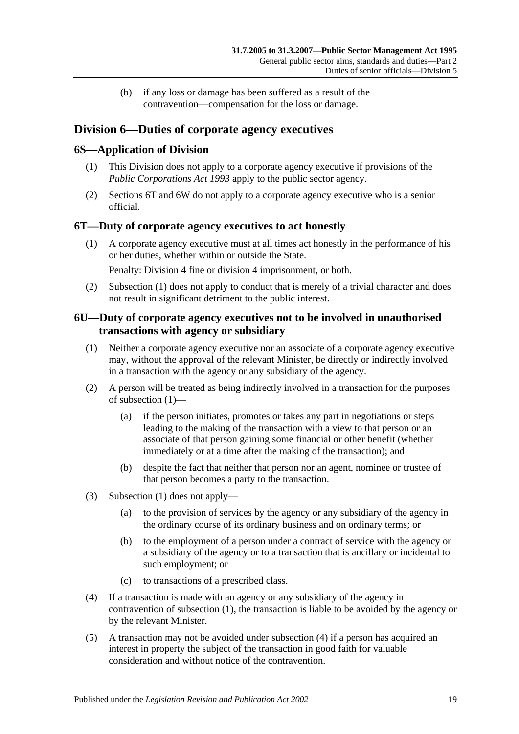(b) if any loss or damage has been suffered as a result of the contravention—compensation for the loss or damage.

## <span id="page-18-0"></span>**Division 6—Duties of corporate agency executives**

## <span id="page-18-1"></span>**6S—Application of Division**

- (1) This Division does not apply to a corporate agency executive if provisions of the *[Public Corporations Act](http://www.legislation.sa.gov.au/index.aspx?action=legref&type=act&legtitle=Public%20Corporations%20Act%201993) 1993* apply to the public sector agency.
- (2) [Sections](#page-18-2) 6T and [6W](#page-19-1) do not apply to a corporate agency executive who is a senior official.

## <span id="page-18-4"></span><span id="page-18-2"></span>**6T—Duty of corporate agency executives to act honestly**

(1) A corporate agency executive must at all times act honestly in the performance of his or her duties, whether within or outside the State.

Penalty: Division 4 fine or division 4 imprisonment, or both.

(2) [Subsection](#page-18-4) (1) does not apply to conduct that is merely of a trivial character and does not result in significant detriment to the public interest.

## <span id="page-18-3"></span>**6U—Duty of corporate agency executives not to be involved in unauthorised transactions with agency or subsidiary**

- <span id="page-18-5"></span>(1) Neither a corporate agency executive nor an associate of a corporate agency executive may, without the approval of the relevant Minister, be directly or indirectly involved in a transaction with the agency or any subsidiary of the agency.
- (2) A person will be treated as being indirectly involved in a transaction for the purposes of [subsection](#page-18-5) (1)—
	- (a) if the person initiates, promotes or takes any part in negotiations or steps leading to the making of the transaction with a view to that person or an associate of that person gaining some financial or other benefit (whether immediately or at a time after the making of the transaction); and
	- (b) despite the fact that neither that person nor an agent, nominee or trustee of that person becomes a party to the transaction.
- (3) [Subsection](#page-18-5) (1) does not apply—
	- (a) to the provision of services by the agency or any subsidiary of the agency in the ordinary course of its ordinary business and on ordinary terms; or
	- (b) to the employment of a person under a contract of service with the agency or a subsidiary of the agency or to a transaction that is ancillary or incidental to such employment; or
	- (c) to transactions of a prescribed class.
- <span id="page-18-6"></span>(4) If a transaction is made with an agency or any subsidiary of the agency in contravention of [subsection](#page-18-5) (1), the transaction is liable to be avoided by the agency or by the relevant Minister.
- (5) A transaction may not be avoided under [subsection](#page-18-6) (4) if a person has acquired an interest in property the subject of the transaction in good faith for valuable consideration and without notice of the contravention.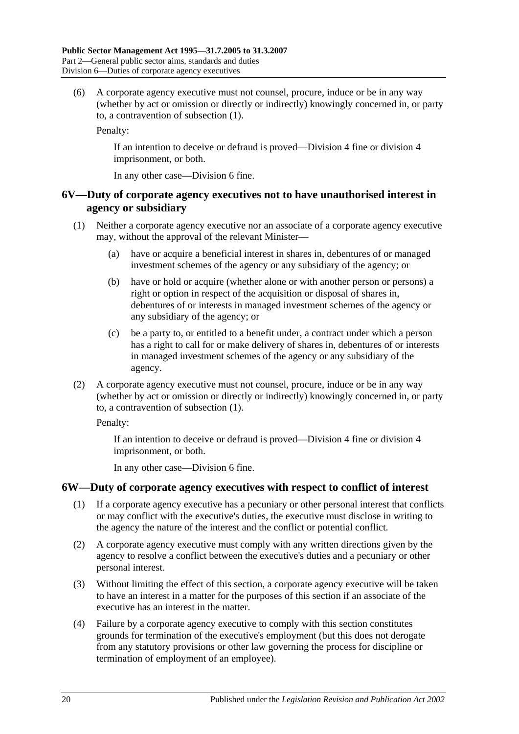(6) A corporate agency executive must not counsel, procure, induce or be in any way (whether by act or omission or directly or indirectly) knowingly concerned in, or party to, a contravention of [subsection](#page-18-5) (1).

Penalty:

If an intention to deceive or defraud is proved—Division 4 fine or division 4 imprisonment, or both.

In any other case—Division 6 fine.

## <span id="page-19-0"></span>**6V—Duty of corporate agency executives not to have unauthorised interest in agency or subsidiary**

- <span id="page-19-2"></span>(1) Neither a corporate agency executive nor an associate of a corporate agency executive may, without the approval of the relevant Minister—
	- (a) have or acquire a beneficial interest in shares in, debentures of or managed investment schemes of the agency or any subsidiary of the agency; or
	- (b) have or hold or acquire (whether alone or with another person or persons) a right or option in respect of the acquisition or disposal of shares in, debentures of or interests in managed investment schemes of the agency or any subsidiary of the agency; or
	- (c) be a party to, or entitled to a benefit under, a contract under which a person has a right to call for or make delivery of shares in, debentures of or interests in managed investment schemes of the agency or any subsidiary of the agency.
- (2) A corporate agency executive must not counsel, procure, induce or be in any way (whether by act or omission or directly or indirectly) knowingly concerned in, or party to, a contravention of [subsection](#page-19-2) (1).

Penalty:

If an intention to deceive or defraud is proved—Division 4 fine or division 4 imprisonment, or both.

In any other case—Division 6 fine.

## <span id="page-19-3"></span><span id="page-19-1"></span>**6W—Duty of corporate agency executives with respect to conflict of interest**

- (1) If a corporate agency executive has a pecuniary or other personal interest that conflicts or may conflict with the executive's duties, the executive must disclose in writing to the agency the nature of the interest and the conflict or potential conflict.
- (2) A corporate agency executive must comply with any written directions given by the agency to resolve a conflict between the executive's duties and a pecuniary or other personal interest.
- (3) Without limiting the effect of this section, a corporate agency executive will be taken to have an interest in a matter for the purposes of this section if an associate of the executive has an interest in the matter.
- (4) Failure by a corporate agency executive to comply with this section constitutes grounds for termination of the executive's employment (but this does not derogate from any statutory provisions or other law governing the process for discipline or termination of employment of an employee).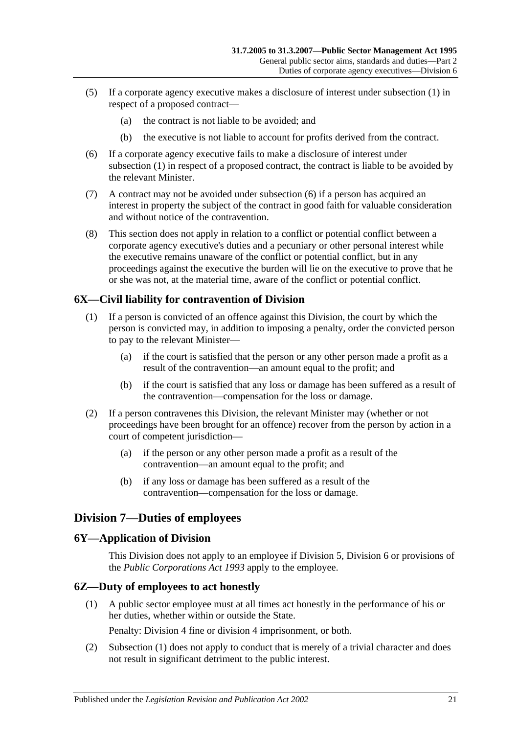- (5) If a corporate agency executive makes a disclosure of interest under [subsection](#page-19-3) (1) in respect of a proposed contract—
	- (a) the contract is not liable to be avoided; and
	- (b) the executive is not liable to account for profits derived from the contract.
- <span id="page-20-4"></span>(6) If a corporate agency executive fails to make a disclosure of interest under [subsection](#page-19-3) (1) in respect of a proposed contract, the contract is liable to be avoided by the relevant Minister.
- (7) A contract may not be avoided under [subsection](#page-20-4) (6) if a person has acquired an interest in property the subject of the contract in good faith for valuable consideration and without notice of the contravention.
- (8) This section does not apply in relation to a conflict or potential conflict between a corporate agency executive's duties and a pecuniary or other personal interest while the executive remains unaware of the conflict or potential conflict, but in any proceedings against the executive the burden will lie on the executive to prove that he or she was not, at the material time, aware of the conflict or potential conflict.

## <span id="page-20-0"></span>**6X—Civil liability for contravention of Division**

- (1) If a person is convicted of an offence against this Division, the court by which the person is convicted may, in addition to imposing a penalty, order the convicted person to pay to the relevant Minister—
	- (a) if the court is satisfied that the person or any other person made a profit as a result of the contravention—an amount equal to the profit; and
	- (b) if the court is satisfied that any loss or damage has been suffered as a result of the contravention—compensation for the loss or damage.
- (2) If a person contravenes this Division, the relevant Minister may (whether or not proceedings have been brought for an offence) recover from the person by action in a court of competent jurisdiction—
	- (a) if the person or any other person made a profit as a result of the contravention—an amount equal to the profit; and
	- (b) if any loss or damage has been suffered as a result of the contravention—compensation for the loss or damage.

## <span id="page-20-1"></span>**Division 7—Duties of employees**

#### <span id="page-20-2"></span>**6Y—Application of Division**

This Division does not apply to an employee if [Division 5,](#page-16-1) [Division 6](#page-18-0) or provisions of the *[Public Corporations Act](http://www.legislation.sa.gov.au/index.aspx?action=legref&type=act&legtitle=Public%20Corporations%20Act%201993) 1993* apply to the employee.

#### <span id="page-20-5"></span><span id="page-20-3"></span>**6Z—Duty of employees to act honestly**

(1) A public sector employee must at all times act honestly in the performance of his or her duties, whether within or outside the State.

Penalty: Division 4 fine or division 4 imprisonment, or both.

(2) [Subsection](#page-20-5) (1) does not apply to conduct that is merely of a trivial character and does not result in significant detriment to the public interest.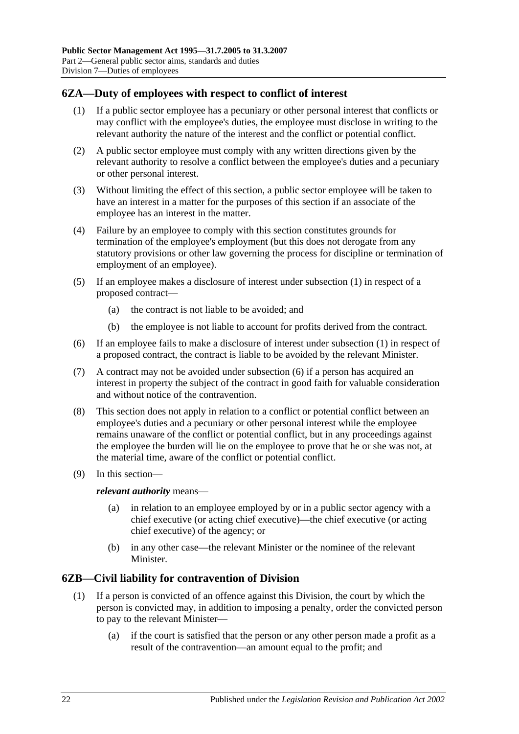## <span id="page-21-2"></span><span id="page-21-0"></span>**6ZA—Duty of employees with respect to conflict of interest**

- (1) If a public sector employee has a pecuniary or other personal interest that conflicts or may conflict with the employee's duties, the employee must disclose in writing to the relevant authority the nature of the interest and the conflict or potential conflict.
- (2) A public sector employee must comply with any written directions given by the relevant authority to resolve a conflict between the employee's duties and a pecuniary or other personal interest.
- (3) Without limiting the effect of this section, a public sector employee will be taken to have an interest in a matter for the purposes of this section if an associate of the employee has an interest in the matter.
- (4) Failure by an employee to comply with this section constitutes grounds for termination of the employee's employment (but this does not derogate from any statutory provisions or other law governing the process for discipline or termination of employment of an employee).
- (5) If an employee makes a disclosure of interest under [subsection](#page-21-2) (1) in respect of a proposed contract—
	- (a) the contract is not liable to be avoided; and
	- (b) the employee is not liable to account for profits derived from the contract.
- <span id="page-21-3"></span>(6) If an employee fails to make a disclosure of interest under [subsection](#page-21-2) (1) in respect of a proposed contract, the contract is liable to be avoided by the relevant Minister.
- (7) A contract may not be avoided under [subsection](#page-21-3) (6) if a person has acquired an interest in property the subject of the contract in good faith for valuable consideration and without notice of the contravention.
- (8) This section does not apply in relation to a conflict or potential conflict between an employee's duties and a pecuniary or other personal interest while the employee remains unaware of the conflict or potential conflict, but in any proceedings against the employee the burden will lie on the employee to prove that he or she was not, at the material time, aware of the conflict or potential conflict.
- (9) In this section—

*relevant authority* means—

- (a) in relation to an employee employed by or in a public sector agency with a chief executive (or acting chief executive)—the chief executive (or acting chief executive) of the agency; or
- (b) in any other case—the relevant Minister or the nominee of the relevant Minister.

## <span id="page-21-1"></span>**6ZB—Civil liability for contravention of Division**

- (1) If a person is convicted of an offence against this Division, the court by which the person is convicted may, in addition to imposing a penalty, order the convicted person to pay to the relevant Minister—
	- (a) if the court is satisfied that the person or any other person made a profit as a result of the contravention—an amount equal to the profit; and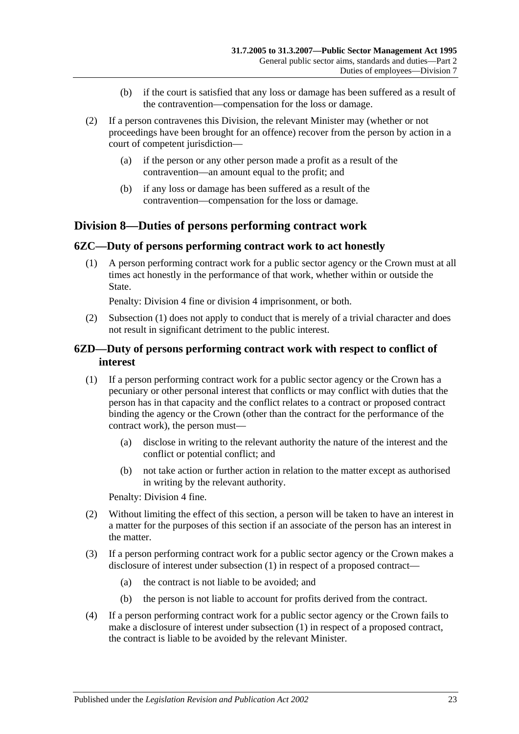- (b) if the court is satisfied that any loss or damage has been suffered as a result of the contravention—compensation for the loss or damage.
- (2) If a person contravenes this Division, the relevant Minister may (whether or not proceedings have been brought for an offence) recover from the person by action in a court of competent jurisdiction—
	- (a) if the person or any other person made a profit as a result of the contravention—an amount equal to the profit; and
	- (b) if any loss or damage has been suffered as a result of the contravention—compensation for the loss or damage.

## <span id="page-22-0"></span>**Division 8—Duties of persons performing contract work**

#### <span id="page-22-3"></span><span id="page-22-1"></span>**6ZC—Duty of persons performing contract work to act honestly**

(1) A person performing contract work for a public sector agency or the Crown must at all times act honestly in the performance of that work, whether within or outside the State.

Penalty: Division 4 fine or division 4 imprisonment, or both.

(2) [Subsection](#page-22-3) (1) does not apply to conduct that is merely of a trivial character and does not result in significant detriment to the public interest.

## <span id="page-22-2"></span>**6ZD—Duty of persons performing contract work with respect to conflict of interest**

- <span id="page-22-4"></span>(1) If a person performing contract work for a public sector agency or the Crown has a pecuniary or other personal interest that conflicts or may conflict with duties that the person has in that capacity and the conflict relates to a contract or proposed contract binding the agency or the Crown (other than the contract for the performance of the contract work), the person must—
	- (a) disclose in writing to the relevant authority the nature of the interest and the conflict or potential conflict; and
	- (b) not take action or further action in relation to the matter except as authorised in writing by the relevant authority.

Penalty: Division 4 fine.

- (2) Without limiting the effect of this section, a person will be taken to have an interest in a matter for the purposes of this section if an associate of the person has an interest in the matter.
- (3) If a person performing contract work for a public sector agency or the Crown makes a disclosure of interest under [subsection](#page-22-4) (1) in respect of a proposed contract—
	- (a) the contract is not liable to be avoided; and
	- (b) the person is not liable to account for profits derived from the contract.
- <span id="page-22-5"></span>(4) If a person performing contract work for a public sector agency or the Crown fails to make a disclosure of interest under [subsection](#page-22-4) (1) in respect of a proposed contract, the contract is liable to be avoided by the relevant Minister.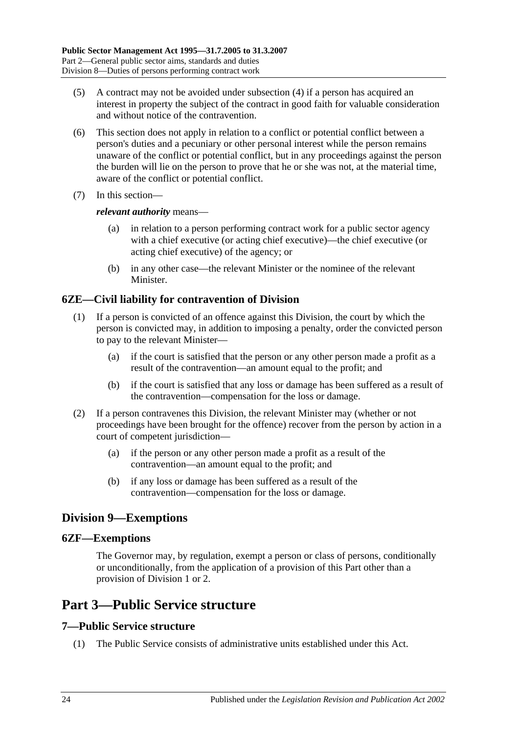- (5) A contract may not be avoided under [subsection](#page-22-5) (4) if a person has acquired an interest in property the subject of the contract in good faith for valuable consideration and without notice of the contravention.
- (6) This section does not apply in relation to a conflict or potential conflict between a person's duties and a pecuniary or other personal interest while the person remains unaware of the conflict or potential conflict, but in any proceedings against the person the burden will lie on the person to prove that he or she was not, at the material time, aware of the conflict or potential conflict.
- (7) In this section—

#### *relevant authority* means—

- (a) in relation to a person performing contract work for a public sector agency with a chief executive (or acting chief executive)—the chief executive (or acting chief executive) of the agency; or
- (b) in any other case—the relevant Minister or the nominee of the relevant **Minister**

## <span id="page-23-0"></span>**6ZE—Civil liability for contravention of Division**

- (1) If a person is convicted of an offence against this Division, the court by which the person is convicted may, in addition to imposing a penalty, order the convicted person to pay to the relevant Minister—
	- (a) if the court is satisfied that the person or any other person made a profit as a result of the contravention—an amount equal to the profit; and
	- (b) if the court is satisfied that any loss or damage has been suffered as a result of the contravention—compensation for the loss or damage.
- (2) If a person contravenes this Division, the relevant Minister may (whether or not proceedings have been brought for the offence) recover from the person by action in a court of competent jurisdiction—
	- (a) if the person or any other person made a profit as a result of the contravention—an amount equal to the profit; and
	- (b) if any loss or damage has been suffered as a result of the contravention—compensation for the loss or damage.

## <span id="page-23-1"></span>**Division 9—Exemptions**

## <span id="page-23-2"></span>**6ZF—Exemptions**

The Governor may, by regulation, exempt a person or class of persons, conditionally or unconditionally, from the application of a provision of this Part other than a provision of [Division 1](#page-9-1) or [2.](#page-11-0)

## <span id="page-23-3"></span>**Part 3—Public Service structure**

## <span id="page-23-4"></span>**7—Public Service structure**

(1) The Public Service consists of administrative units established under this Act.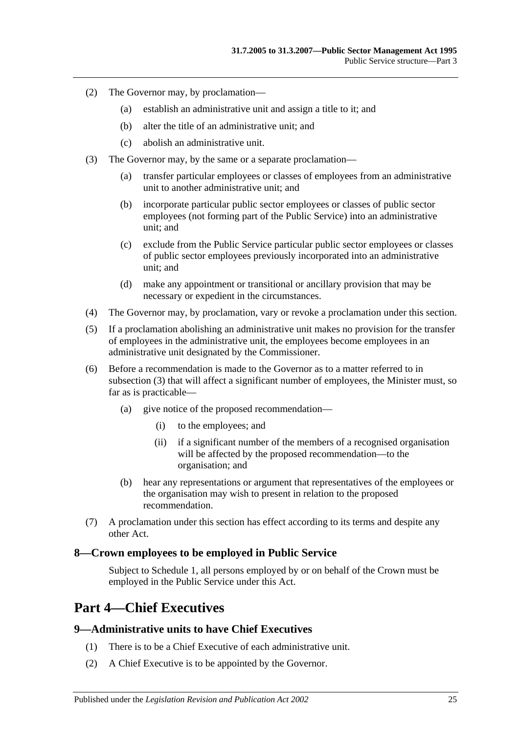- (2) The Governor may, by proclamation—
	- (a) establish an administrative unit and assign a title to it; and
	- (b) alter the title of an administrative unit; and
	- (c) abolish an administrative unit.
- <span id="page-24-3"></span>(3) The Governor may, by the same or a separate proclamation—
	- (a) transfer particular employees or classes of employees from an administrative unit to another administrative unit; and
	- (b) incorporate particular public sector employees or classes of public sector employees (not forming part of the Public Service) into an administrative unit; and
	- (c) exclude from the Public Service particular public sector employees or classes of public sector employees previously incorporated into an administrative unit; and
	- (d) make any appointment or transitional or ancillary provision that may be necessary or expedient in the circumstances.
- (4) The Governor may, by proclamation, vary or revoke a proclamation under this section.
- (5) If a proclamation abolishing an administrative unit makes no provision for the transfer of employees in the administrative unit, the employees become employees in an administrative unit designated by the Commissioner.
- (6) Before a recommendation is made to the Governor as to a matter referred to in [subsection](#page-24-3) (3) that will affect a significant number of employees, the Minister must, so far as is practicable—
	- (a) give notice of the proposed recommendation—
		- (i) to the employees; and
		- (ii) if a significant number of the members of a recognised organisation will be affected by the proposed recommendation—to the organisation; and
	- (b) hear any representations or argument that representatives of the employees or the organisation may wish to present in relation to the proposed recommendation.
- (7) A proclamation under this section has effect according to its terms and despite any other Act.

#### <span id="page-24-0"></span>**8—Crown employees to be employed in Public Service**

Subject to [Schedule 1,](#page-57-3) all persons employed by or on behalf of the Crown must be employed in the Public Service under this Act.

## <span id="page-24-1"></span>**Part 4—Chief Executives**

## <span id="page-24-2"></span>**9—Administrative units to have Chief Executives**

- (1) There is to be a Chief Executive of each administrative unit.
- (2) A Chief Executive is to be appointed by the Governor.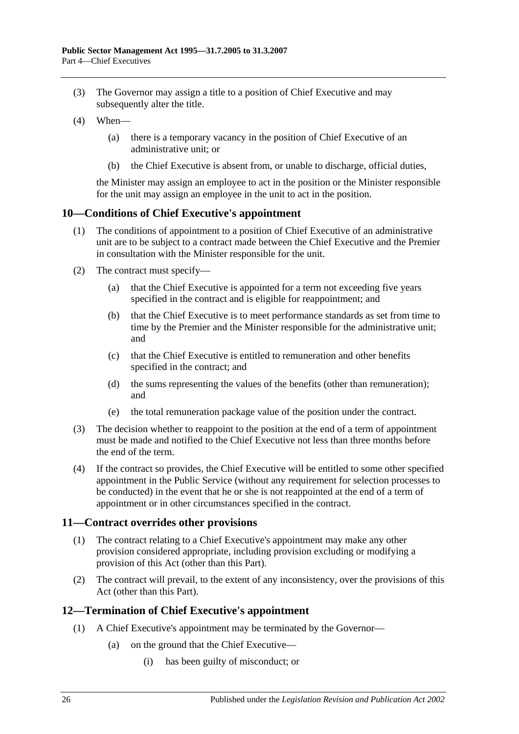- (3) The Governor may assign a title to a position of Chief Executive and may subsequently alter the title.
- (4) When—
	- (a) there is a temporary vacancy in the position of Chief Executive of an administrative unit; or
	- (b) the Chief Executive is absent from, or unable to discharge, official duties,

the Minister may assign an employee to act in the position or the Minister responsible for the unit may assign an employee in the unit to act in the position.

#### <span id="page-25-0"></span>**10—Conditions of Chief Executive's appointment**

- (1) The conditions of appointment to a position of Chief Executive of an administrative unit are to be subject to a contract made between the Chief Executive and the Premier in consultation with the Minister responsible for the unit.
- (2) The contract must specify—
	- (a) that the Chief Executive is appointed for a term not exceeding five years specified in the contract and is eligible for reappointment; and
	- (b) that the Chief Executive is to meet performance standards as set from time to time by the Premier and the Minister responsible for the administrative unit; and
	- (c) that the Chief Executive is entitled to remuneration and other benefits specified in the contract; and
	- (d) the sums representing the values of the benefits (other than remuneration); and
	- (e) the total remuneration package value of the position under the contract.
- (3) The decision whether to reappoint to the position at the end of a term of appointment must be made and notified to the Chief Executive not less than three months before the end of the term.
- (4) If the contract so provides, the Chief Executive will be entitled to some other specified appointment in the Public Service (without any requirement for selection processes to be conducted) in the event that he or she is not reappointed at the end of a term of appointment or in other circumstances specified in the contract.

## <span id="page-25-1"></span>**11—Contract overrides other provisions**

- (1) The contract relating to a Chief Executive's appointment may make any other provision considered appropriate, including provision excluding or modifying a provision of this Act (other than this Part).
- (2) The contract will prevail, to the extent of any inconsistency, over the provisions of this Act (other than this Part).

## <span id="page-25-2"></span>**12—Termination of Chief Executive's appointment**

- (1) A Chief Executive's appointment may be terminated by the Governor—
	- (a) on the ground that the Chief Executive—
		- (i) has been guilty of misconduct; or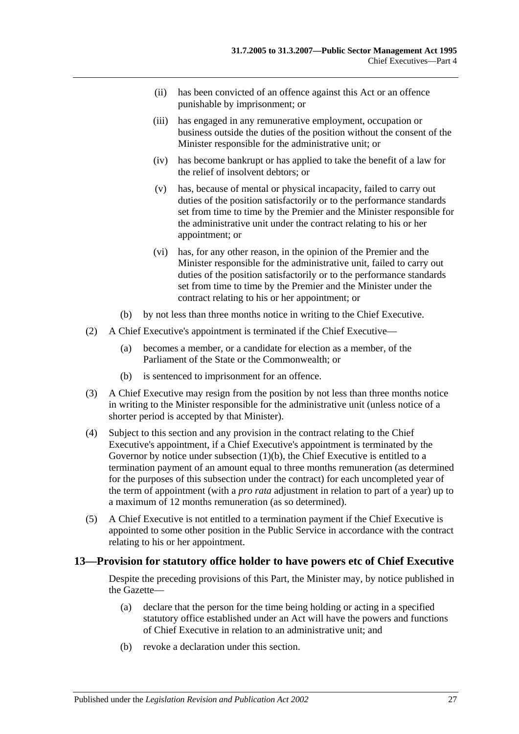- (ii) has been convicted of an offence against this Act or an offence punishable by imprisonment; or
- (iii) has engaged in any remunerative employment, occupation or business outside the duties of the position without the consent of the Minister responsible for the administrative unit; or
- (iv) has become bankrupt or has applied to take the benefit of a law for the relief of insolvent debtors; or
- (v) has, because of mental or physical incapacity, failed to carry out duties of the position satisfactorily or to the performance standards set from time to time by the Premier and the Minister responsible for the administrative unit under the contract relating to his or her appointment; or
- (vi) has, for any other reason, in the opinion of the Premier and the Minister responsible for the administrative unit, failed to carry out duties of the position satisfactorily or to the performance standards set from time to time by the Premier and the Minister under the contract relating to his or her appointment; or
- (b) by not less than three months notice in writing to the Chief Executive.
- <span id="page-26-1"></span>(2) A Chief Executive's appointment is terminated if the Chief Executive—
	- (a) becomes a member, or a candidate for election as a member, of the Parliament of the State or the Commonwealth; or
	- (b) is sentenced to imprisonment for an offence.
- (3) A Chief Executive may resign from the position by not less than three months notice in writing to the Minister responsible for the administrative unit (unless notice of a shorter period is accepted by that Minister).
- (4) Subject to this section and any provision in the contract relating to the Chief Executive's appointment, if a Chief Executive's appointment is terminated by the Governor by notice under [subsection](#page-26-1) (1)(b), the Chief Executive is entitled to a termination payment of an amount equal to three months remuneration (as determined for the purposes of this subsection under the contract) for each uncompleted year of the term of appointment (with a *pro rata* adjustment in relation to part of a year) up to a maximum of 12 months remuneration (as so determined).
- (5) A Chief Executive is not entitled to a termination payment if the Chief Executive is appointed to some other position in the Public Service in accordance with the contract relating to his or her appointment.

## <span id="page-26-0"></span>**13—Provision for statutory office holder to have powers etc of Chief Executive**

Despite the preceding provisions of this Part, the Minister may, by notice published in the Gazette—

- (a) declare that the person for the time being holding or acting in a specified statutory office established under an Act will have the powers and functions of Chief Executive in relation to an administrative unit; and
- (b) revoke a declaration under this section.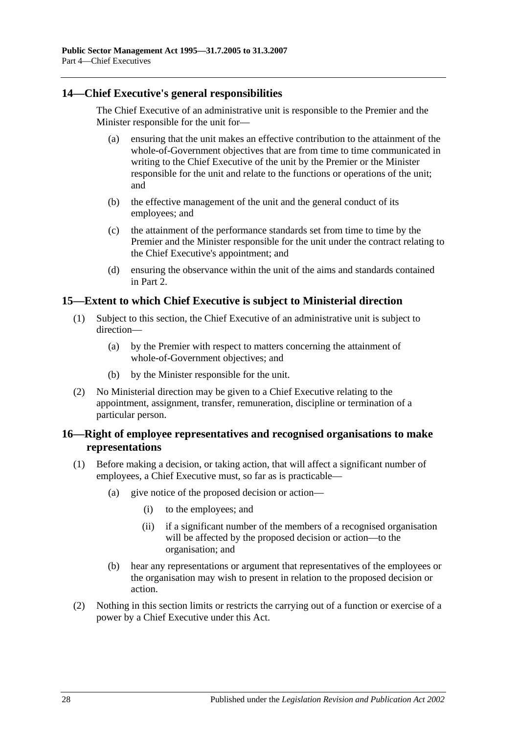## <span id="page-27-0"></span>**14—Chief Executive's general responsibilities**

The Chief Executive of an administrative unit is responsible to the Premier and the Minister responsible for the unit for—

- (a) ensuring that the unit makes an effective contribution to the attainment of the whole-of-Government objectives that are from time to time communicated in writing to the Chief Executive of the unit by the Premier or the Minister responsible for the unit and relate to the functions or operations of the unit; and
- (b) the effective management of the unit and the general conduct of its employees; and
- (c) the attainment of the performance standards set from time to time by the Premier and the Minister responsible for the unit under the contract relating to the Chief Executive's appointment; and
- (d) ensuring the observance within the unit of the aims and standards contained in Part 2.

## <span id="page-27-1"></span>**15—Extent to which Chief Executive is subject to Ministerial direction**

- (1) Subject to this section, the Chief Executive of an administrative unit is subject to direction—
	- (a) by the Premier with respect to matters concerning the attainment of whole-of-Government objectives; and
	- (b) by the Minister responsible for the unit.
- (2) No Ministerial direction may be given to a Chief Executive relating to the appointment, assignment, transfer, remuneration, discipline or termination of a particular person.

## <span id="page-27-2"></span>**16—Right of employee representatives and recognised organisations to make representations**

- (1) Before making a decision, or taking action, that will affect a significant number of employees, a Chief Executive must, so far as is practicable—
	- (a) give notice of the proposed decision or action—
		- (i) to the employees; and
		- (ii) if a significant number of the members of a recognised organisation will be affected by the proposed decision or action—to the organisation; and
	- (b) hear any representations or argument that representatives of the employees or the organisation may wish to present in relation to the proposed decision or action.
- (2) Nothing in this section limits or restricts the carrying out of a function or exercise of a power by a Chief Executive under this Act.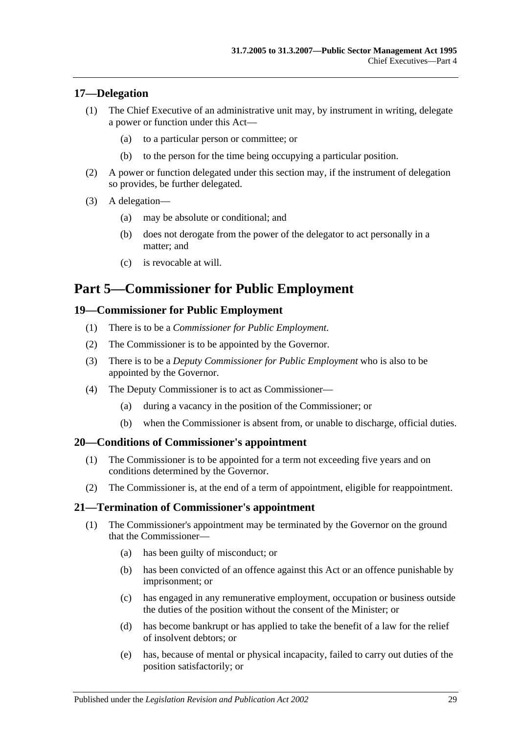## <span id="page-28-0"></span>**17—Delegation**

- (1) The Chief Executive of an administrative unit may, by instrument in writing, delegate a power or function under this Act—
	- (a) to a particular person or committee; or
	- (b) to the person for the time being occupying a particular position.
- (2) A power or function delegated under this section may, if the instrument of delegation so provides, be further delegated.
- (3) A delegation—
	- (a) may be absolute or conditional; and
	- (b) does not derogate from the power of the delegator to act personally in a matter; and
	- (c) is revocable at will.

## <span id="page-28-1"></span>**Part 5—Commissioner for Public Employment**

#### <span id="page-28-2"></span>**19—Commissioner for Public Employment**

- (1) There is to be a *Commissioner for Public Employment*.
- (2) The Commissioner is to be appointed by the Governor.
- (3) There is to be a *Deputy Commissioner for Public Employment* who is also to be appointed by the Governor.
- (4) The Deputy Commissioner is to act as Commissioner—
	- (a) during a vacancy in the position of the Commissioner; or
	- (b) when the Commissioner is absent from, or unable to discharge, official duties.

#### <span id="page-28-3"></span>**20—Conditions of Commissioner's appointment**

- (1) The Commissioner is to be appointed for a term not exceeding five years and on conditions determined by the Governor.
- (2) The Commissioner is, at the end of a term of appointment, eligible for reappointment.

#### <span id="page-28-4"></span>**21—Termination of Commissioner's appointment**

- (1) The Commissioner's appointment may be terminated by the Governor on the ground that the Commissioner—
	- (a) has been guilty of misconduct; or
	- (b) has been convicted of an offence against this Act or an offence punishable by imprisonment; or
	- (c) has engaged in any remunerative employment, occupation or business outside the duties of the position without the consent of the Minister; or
	- (d) has become bankrupt or has applied to take the benefit of a law for the relief of insolvent debtors; or
	- (e) has, because of mental or physical incapacity, failed to carry out duties of the position satisfactorily; or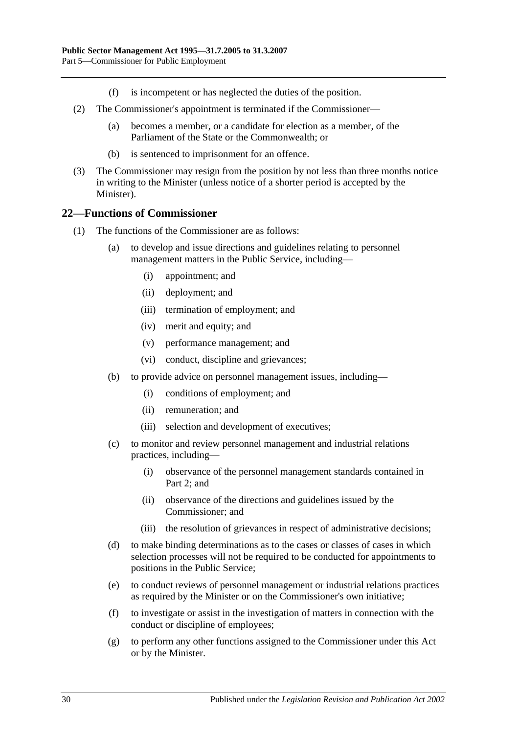- (f) is incompetent or has neglected the duties of the position.
- (2) The Commissioner's appointment is terminated if the Commissioner—
	- (a) becomes a member, or a candidate for election as a member, of the Parliament of the State or the Commonwealth; or
	- (b) is sentenced to imprisonment for an offence.
- (3) The Commissioner may resign from the position by not less than three months notice in writing to the Minister (unless notice of a shorter period is accepted by the Minister).

#### <span id="page-29-0"></span>**22—Functions of Commissioner**

- (1) The functions of the Commissioner are as follows:
	- (a) to develop and issue directions and guidelines relating to personnel management matters in the Public Service, including—
		- (i) appointment; and
		- (ii) deployment; and
		- (iii) termination of employment; and
		- (iv) merit and equity; and
		- (v) performance management; and
		- (vi) conduct, discipline and grievances;
	- (b) to provide advice on personnel management issues, including—
		- (i) conditions of employment; and
		- (ii) remuneration; and
		- (iii) selection and development of executives;
	- (c) to monitor and review personnel management and industrial relations practices, including—
		- (i) observance of the personnel management standards contained in [Part](#page-9-0) 2; and
		- (ii) observance of the directions and guidelines issued by the Commissioner; and
		- (iii) the resolution of grievances in respect of administrative decisions;
	- (d) to make binding determinations as to the cases or classes of cases in which selection processes will not be required to be conducted for appointments to positions in the Public Service;
	- (e) to conduct reviews of personnel management or industrial relations practices as required by the Minister or on the Commissioner's own initiative;
	- (f) to investigate or assist in the investigation of matters in connection with the conduct or discipline of employees;
	- (g) to perform any other functions assigned to the Commissioner under this Act or by the Minister.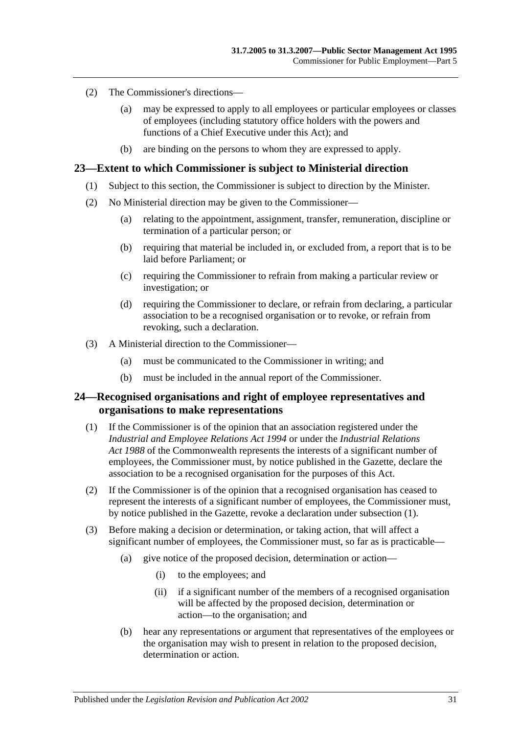- (2) The Commissioner's directions—
	- (a) may be expressed to apply to all employees or particular employees or classes of employees (including statutory office holders with the powers and functions of a Chief Executive under this Act); and
	- (b) are binding on the persons to whom they are expressed to apply.

#### <span id="page-30-0"></span>**23—Extent to which Commissioner is subject to Ministerial direction**

- (1) Subject to this section, the Commissioner is subject to direction by the Minister.
- (2) No Ministerial direction may be given to the Commissioner—
	- (a) relating to the appointment, assignment, transfer, remuneration, discipline or termination of a particular person; or
	- (b) requiring that material be included in, or excluded from, a report that is to be laid before Parliament; or
	- (c) requiring the Commissioner to refrain from making a particular review or investigation; or
	- (d) requiring the Commissioner to declare, or refrain from declaring, a particular association to be a recognised organisation or to revoke, or refrain from revoking, such a declaration.
- (3) A Ministerial direction to the Commissioner—
	- (a) must be communicated to the Commissioner in writing; and
	- (b) must be included in the annual report of the Commissioner.

#### <span id="page-30-1"></span>**24—Recognised organisations and right of employee representatives and organisations to make representations**

- <span id="page-30-2"></span>(1) If the Commissioner is of the opinion that an association registered under the *[Industrial and Employee Relations Act](http://www.legislation.sa.gov.au/index.aspx?action=legref&type=act&legtitle=Industrial%20and%20Employee%20Relations%20Act%201994) 1994* or under the *Industrial Relations Act 1988* of the Commonwealth represents the interests of a significant number of employees, the Commissioner must, by notice published in the Gazette, declare the association to be a recognised organisation for the purposes of this Act.
- (2) If the Commissioner is of the opinion that a recognised organisation has ceased to represent the interests of a significant number of employees, the Commissioner must, by notice published in the Gazette, revoke a declaration under [subsection](#page-30-2) (1).
- (3) Before making a decision or determination, or taking action, that will affect a significant number of employees, the Commissioner must, so far as is practicable—
	- (a) give notice of the proposed decision, determination or action—
		- (i) to the employees; and
		- (ii) if a significant number of the members of a recognised organisation will be affected by the proposed decision, determination or action—to the organisation; and
	- (b) hear any representations or argument that representatives of the employees or the organisation may wish to present in relation to the proposed decision, determination or action.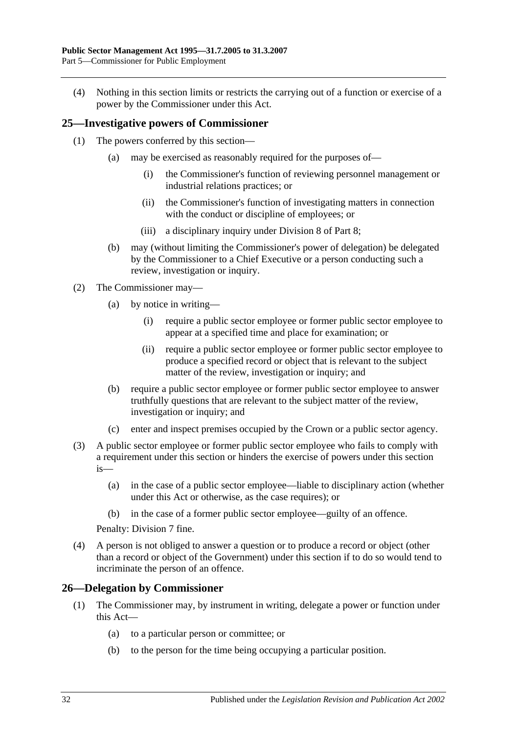(4) Nothing in this section limits or restricts the carrying out of a function or exercise of a power by the Commissioner under this Act.

#### <span id="page-31-0"></span>**25—Investigative powers of Commissioner**

- (1) The powers conferred by this section—
	- (a) may be exercised as reasonably required for the purposes of—
		- (i) the Commissioner's function of reviewing personnel management or industrial relations practices; or
		- (ii) the Commissioner's function of investigating matters in connection with the conduct or discipline of employees; or
		- (iii) a disciplinary inquiry under [Division 8](#page-47-2) of [Part 8;](#page-41-0)
	- (b) may (without limiting the Commissioner's power of delegation) be delegated by the Commissioner to a Chief Executive or a person conducting such a review, investigation or inquiry.
- (2) The Commissioner may—
	- (a) by notice in writing—
		- (i) require a public sector employee or former public sector employee to appear at a specified time and place for examination; or
		- (ii) require a public sector employee or former public sector employee to produce a specified record or object that is relevant to the subject matter of the review, investigation or inquiry; and
	- (b) require a public sector employee or former public sector employee to answer truthfully questions that are relevant to the subject matter of the review, investigation or inquiry; and
	- (c) enter and inspect premises occupied by the Crown or a public sector agency.
- (3) A public sector employee or former public sector employee who fails to comply with a requirement under this section or hinders the exercise of powers under this section is—
	- (a) in the case of a public sector employee—liable to disciplinary action (whether under this Act or otherwise, as the case requires); or
	- (b) in the case of a former public sector employee—guilty of an offence.

Penalty: Division 7 fine.

(4) A person is not obliged to answer a question or to produce a record or object (other than a record or object of the Government) under this section if to do so would tend to incriminate the person of an offence.

#### <span id="page-31-1"></span>**26—Delegation by Commissioner**

- (1) The Commissioner may, by instrument in writing, delegate a power or function under this Act—
	- (a) to a particular person or committee; or
	- (b) to the person for the time being occupying a particular position.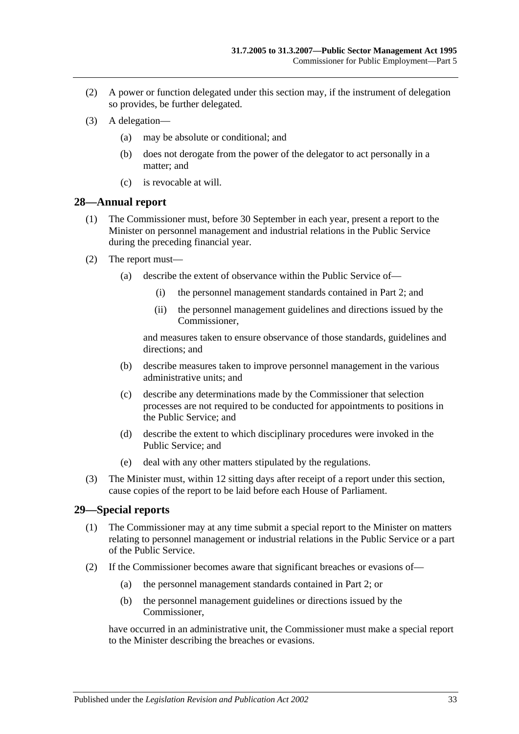- (2) A power or function delegated under this section may, if the instrument of delegation so provides, be further delegated.
- (3) A delegation—
	- (a) may be absolute or conditional; and
	- (b) does not derogate from the power of the delegator to act personally in a matter; and
	- (c) is revocable at will.

#### <span id="page-32-0"></span>**28—Annual report**

- (1) The Commissioner must, before 30 September in each year, present a report to the Minister on personnel management and industrial relations in the Public Service during the preceding financial year.
- (2) The report must—
	- (a) describe the extent of observance within the Public Service of—
		- (i) the personnel management standards contained in [Part 2;](#page-9-0) and
		- (ii) the personnel management guidelines and directions issued by the Commissioner,

and measures taken to ensure observance of those standards, guidelines and directions; and

- (b) describe measures taken to improve personnel management in the various administrative units; and
- (c) describe any determinations made by the Commissioner that selection processes are not required to be conducted for appointments to positions in the Public Service; and
- (d) describe the extent to which disciplinary procedures were invoked in the Public Service; and
- (e) deal with any other matters stipulated by the regulations.
- (3) The Minister must, within 12 sitting days after receipt of a report under this section, cause copies of the report to be laid before each House of Parliament.

## <span id="page-32-1"></span>**29—Special reports**

- (1) The Commissioner may at any time submit a special report to the Minister on matters relating to personnel management or industrial relations in the Public Service or a part of the Public Service.
- <span id="page-32-2"></span>(2) If the Commissioner becomes aware that significant breaches or evasions of—
	- (a) the personnel management standards contained in [Part 2;](#page-9-0) or
	- (b) the personnel management guidelines or directions issued by the Commissioner,

have occurred in an administrative unit, the Commissioner must make a special report to the Minister describing the breaches or evasions.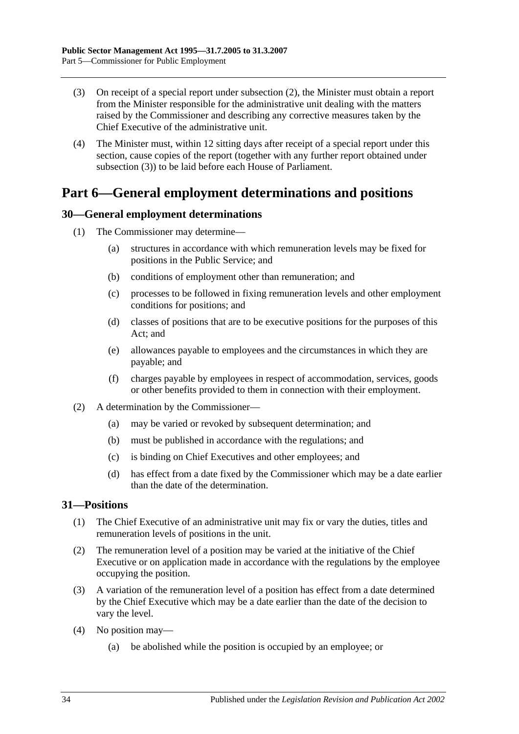- <span id="page-33-3"></span>(3) On receipt of a special report under [subsection](#page-32-2) (2), the Minister must obtain a report from the Minister responsible for the administrative unit dealing with the matters raised by the Commissioner and describing any corrective measures taken by the Chief Executive of the administrative unit.
- (4) The Minister must, within 12 sitting days after receipt of a special report under this section, cause copies of the report (together with any further report obtained under [subsection](#page-33-3) (3)) to be laid before each House of Parliament.

## <span id="page-33-0"></span>**Part 6—General employment determinations and positions**

## <span id="page-33-1"></span>**30—General employment determinations**

- (1) The Commissioner may determine—
	- (a) structures in accordance with which remuneration levels may be fixed for positions in the Public Service; and
	- (b) conditions of employment other than remuneration; and
	- (c) processes to be followed in fixing remuneration levels and other employment conditions for positions; and
	- (d) classes of positions that are to be executive positions for the purposes of this Act; and
	- (e) allowances payable to employees and the circumstances in which they are payable; and
	- (f) charges payable by employees in respect of accommodation, services, goods or other benefits provided to them in connection with their employment.
- (2) A determination by the Commissioner—
	- (a) may be varied or revoked by subsequent determination; and
	- (b) must be published in accordance with the regulations; and
	- (c) is binding on Chief Executives and other employees; and
	- (d) has effect from a date fixed by the Commissioner which may be a date earlier than the date of the determination.

## <span id="page-33-2"></span>**31—Positions**

- (1) The Chief Executive of an administrative unit may fix or vary the duties, titles and remuneration levels of positions in the unit.
- (2) The remuneration level of a position may be varied at the initiative of the Chief Executive or on application made in accordance with the regulations by the employee occupying the position.
- (3) A variation of the remuneration level of a position has effect from a date determined by the Chief Executive which may be a date earlier than the date of the decision to vary the level.
- (4) No position may—
	- (a) be abolished while the position is occupied by an employee; or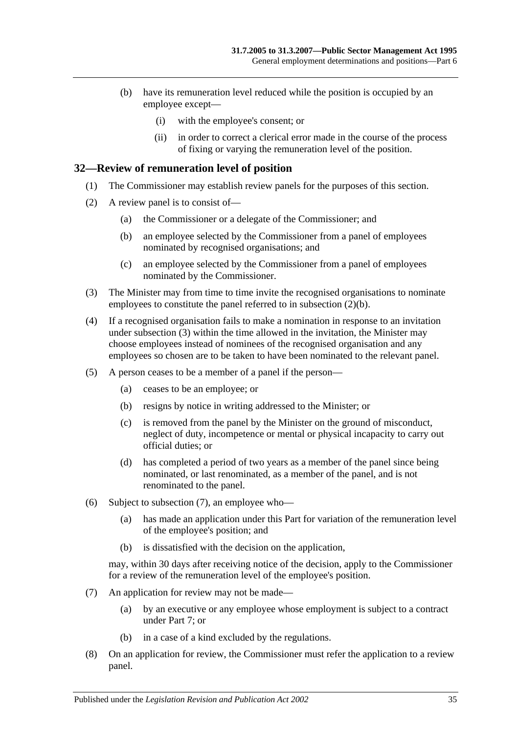- (b) have its remuneration level reduced while the position is occupied by an employee except—
	- (i) with the employee's consent; or
	- (ii) in order to correct a clerical error made in the course of the process of fixing or varying the remuneration level of the position.

#### <span id="page-34-0"></span>**32—Review of remuneration level of position**

- (1) The Commissioner may establish review panels for the purposes of this section.
- <span id="page-34-1"></span>(2) A review panel is to consist of—
	- (a) the Commissioner or a delegate of the Commissioner; and
	- (b) an employee selected by the Commissioner from a panel of employees nominated by recognised organisations; and
	- (c) an employee selected by the Commissioner from a panel of employees nominated by the Commissioner.
- <span id="page-34-2"></span>(3) The Minister may from time to time invite the recognised organisations to nominate employees to constitute the panel referred to in [subsection](#page-34-1) (2)(b).
- (4) If a recognised organisation fails to make a nomination in response to an invitation under [subsection](#page-34-2) (3) within the time allowed in the invitation, the Minister may choose employees instead of nominees of the recognised organisation and any employees so chosen are to be taken to have been nominated to the relevant panel.
- (5) A person ceases to be a member of a panel if the person—
	- (a) ceases to be an employee; or
	- (b) resigns by notice in writing addressed to the Minister; or
	- (c) is removed from the panel by the Minister on the ground of misconduct, neglect of duty, incompetence or mental or physical incapacity to carry out official duties; or
	- (d) has completed a period of two years as a member of the panel since being nominated, or last renominated, as a member of the panel, and is not renominated to the panel.
- (6) Subject to [subsection](#page-34-3) (7), an employee who—
	- (a) has made an application under this Part for variation of the remuneration level of the employee's position; and
	- (b) is dissatisfied with the decision on the application,

may, within 30 days after receiving notice of the decision, apply to the Commissioner for a review of the remuneration level of the employee's position.

- <span id="page-34-3"></span>(7) An application for review may not be made—
	- (a) by an executive or any employee whose employment is subject to a contract under [Part 7;](#page-35-0) or
	- (b) in a case of a kind excluded by the regulations.
- (8) On an application for review, the Commissioner must refer the application to a review panel.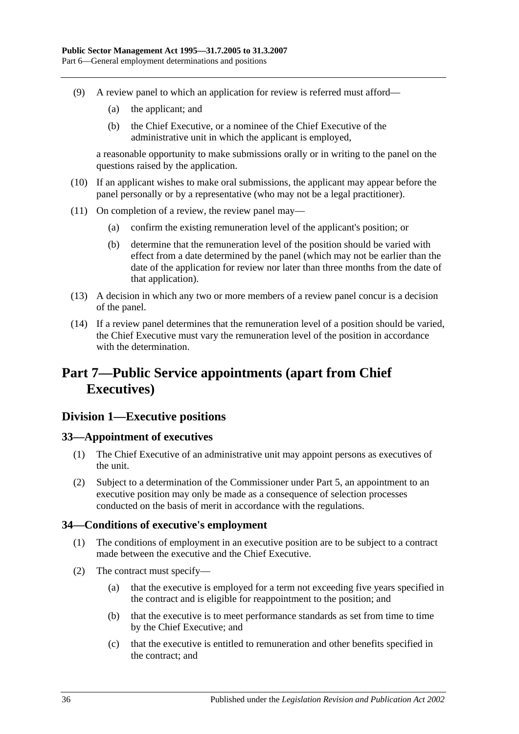- (9) A review panel to which an application for review is referred must afford—
	- (a) the applicant; and
	- (b) the Chief Executive, or a nominee of the Chief Executive of the administrative unit in which the applicant is employed,

a reasonable opportunity to make submissions orally or in writing to the panel on the questions raised by the application.

- (10) If an applicant wishes to make oral submissions, the applicant may appear before the panel personally or by a representative (who may not be a legal practitioner).
- (11) On completion of a review, the review panel may—
	- (a) confirm the existing remuneration level of the applicant's position; or
	- (b) determine that the remuneration level of the position should be varied with effect from a date determined by the panel (which may not be earlier than the date of the application for review nor later than three months from the date of that application).
- (13) A decision in which any two or more members of a review panel concur is a decision of the panel.
- (14) If a review panel determines that the remuneration level of a position should be varied, the Chief Executive must vary the remuneration level of the position in accordance with the determination.

## <span id="page-35-0"></span>**Part 7—Public Service appointments (apart from Chief Executives)**

## <span id="page-35-1"></span>**Division 1—Executive positions**

## <span id="page-35-2"></span>**33—Appointment of executives**

- (1) The Chief Executive of an administrative unit may appoint persons as executives of the unit.
- (2) Subject to a determination of the Commissioner under [Part 5,](#page-28-1) an appointment to an executive position may only be made as a consequence of selection processes conducted on the basis of merit in accordance with the regulations.

## <span id="page-35-3"></span>**34—Conditions of executive's employment**

- (1) The conditions of employment in an executive position are to be subject to a contract made between the executive and the Chief Executive.
- (2) The contract must specify—
	- (a) that the executive is employed for a term not exceeding five years specified in the contract and is eligible for reappointment to the position; and
	- (b) that the executive is to meet performance standards as set from time to time by the Chief Executive; and
	- (c) that the executive is entitled to remuneration and other benefits specified in the contract; and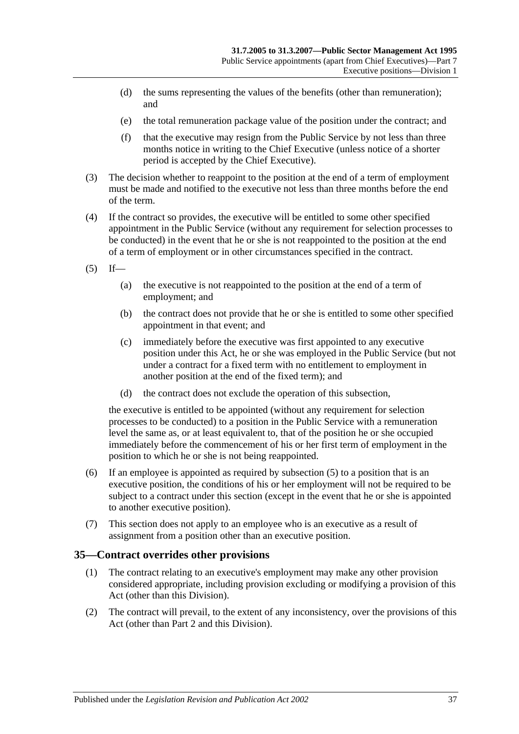- (d) the sums representing the values of the benefits (other than remuneration); and
- (e) the total remuneration package value of the position under the contract; and
- (f) that the executive may resign from the Public Service by not less than three months notice in writing to the Chief Executive (unless notice of a shorter period is accepted by the Chief Executive).
- (3) The decision whether to reappoint to the position at the end of a term of employment must be made and notified to the executive not less than three months before the end of the term.
- (4) If the contract so provides, the executive will be entitled to some other specified appointment in the Public Service (without any requirement for selection processes to be conducted) in the event that he or she is not reappointed to the position at the end of a term of employment or in other circumstances specified in the contract.
- <span id="page-36-0"></span> $(5)$  If—
	- (a) the executive is not reappointed to the position at the end of a term of employment; and
	- (b) the contract does not provide that he or she is entitled to some other specified appointment in that event; and
	- (c) immediately before the executive was first appointed to any executive position under this Act, he or she was employed in the Public Service (but not under a contract for a fixed term with no entitlement to employment in another position at the end of the fixed term); and
	- (d) the contract does not exclude the operation of this subsection,

the executive is entitled to be appointed (without any requirement for selection processes to be conducted) to a position in the Public Service with a remuneration level the same as, or at least equivalent to, that of the position he or she occupied immediately before the commencement of his or her first term of employment in the position to which he or she is not being reappointed.

- (6) If an employee is appointed as required by [subsection](#page-36-0) (5) to a position that is an executive position, the conditions of his or her employment will not be required to be subject to a contract under this section (except in the event that he or she is appointed to another executive position).
- (7) This section does not apply to an employee who is an executive as a result of assignment from a position other than an executive position.

## **35—Contract overrides other provisions**

- (1) The contract relating to an executive's employment may make any other provision considered appropriate, including provision excluding or modifying a provision of this Act (other than this Division).
- (2) The contract will prevail, to the extent of any inconsistency, over the provisions of this Act (other than [Part 2](#page-9-0) and this Division).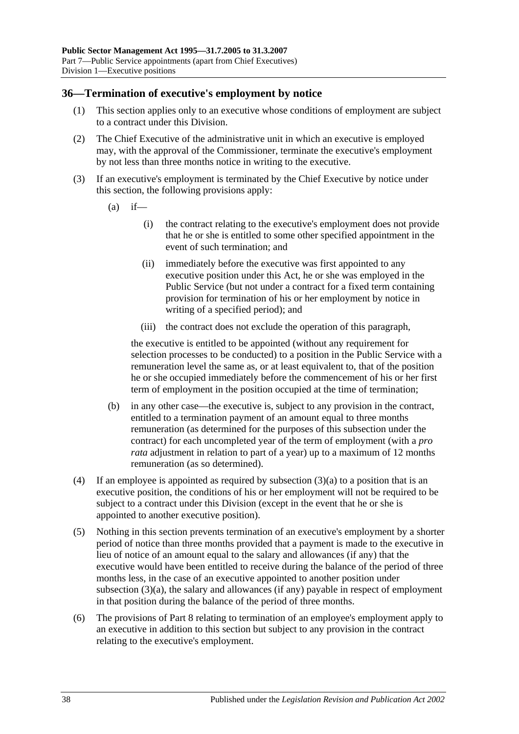#### **36—Termination of executive's employment by notice**

- (1) This section applies only to an executive whose conditions of employment are subject to a contract under this Division.
- (2) The Chief Executive of the administrative unit in which an executive is employed may, with the approval of the Commissioner, terminate the executive's employment by not less than three months notice in writing to the executive.
- <span id="page-37-0"></span>(3) If an executive's employment is terminated by the Chief Executive by notice under this section, the following provisions apply:
	- $(a)$  if—
		- (i) the contract relating to the executive's employment does not provide that he or she is entitled to some other specified appointment in the event of such termination; and
		- (ii) immediately before the executive was first appointed to any executive position under this Act, he or she was employed in the Public Service (but not under a contract for a fixed term containing provision for termination of his or her employment by notice in writing of a specified period); and
		- (iii) the contract does not exclude the operation of this paragraph,

the executive is entitled to be appointed (without any requirement for selection processes to be conducted) to a position in the Public Service with a remuneration level the same as, or at least equivalent to, that of the position he or she occupied immediately before the commencement of his or her first term of employment in the position occupied at the time of termination;

- (b) in any other case—the executive is, subject to any provision in the contract, entitled to a termination payment of an amount equal to three months remuneration (as determined for the purposes of this subsection under the contract) for each uncompleted year of the term of employment (with a *pro rata* adjustment in relation to part of a year) up to a maximum of 12 months remuneration (as so determined).
- (4) If an employee is appointed as required by [subsection](#page-37-0)  $(3)(a)$  to a position that is an executive position, the conditions of his or her employment will not be required to be subject to a contract under this Division (except in the event that he or she is appointed to another executive position).
- (5) Nothing in this section prevents termination of an executive's employment by a shorter period of notice than three months provided that a payment is made to the executive in lieu of notice of an amount equal to the salary and allowances (if any) that the executive would have been entitled to receive during the balance of the period of three months less, in the case of an executive appointed to another position under [subsection](#page-37-0) (3)(a), the salary and allowances (if any) payable in respect of employment in that position during the balance of the period of three months.
- (6) The provisions of [Part 8](#page-41-0) relating to termination of an employee's employment apply to an executive in addition to this section but subject to any provision in the contract relating to the executive's employment.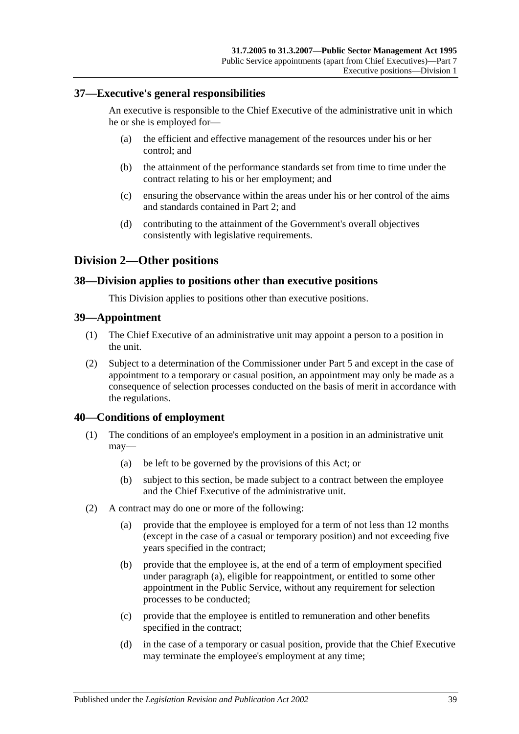### **37—Executive's general responsibilities**

An executive is responsible to the Chief Executive of the administrative unit in which he or she is employed for—

- (a) the efficient and effective management of the resources under his or her control; and
- (b) the attainment of the performance standards set from time to time under the contract relating to his or her employment; and
- (c) ensuring the observance within the areas under his or her control of the aims and standards contained in [Part 2;](#page-9-0) and
- (d) contributing to the attainment of the Government's overall objectives consistently with legislative requirements.

## **Division 2—Other positions**

#### **38—Division applies to positions other than executive positions**

This Division applies to positions other than executive positions.

#### **39—Appointment**

- (1) The Chief Executive of an administrative unit may appoint a person to a position in the unit.
- (2) Subject to a determination of the Commissioner under [Part 5](#page-28-0) and except in the case of appointment to a temporary or casual position, an appointment may only be made as a consequence of selection processes conducted on the basis of merit in accordance with the regulations.

### **40—Conditions of employment**

- (1) The conditions of an employee's employment in a position in an administrative unit may—
	- (a) be left to be governed by the provisions of this Act; or
	- (b) subject to this section, be made subject to a contract between the employee and the Chief Executive of the administrative unit.
- <span id="page-38-0"></span>(2) A contract may do one or more of the following:
	- (a) provide that the employee is employed for a term of not less than 12 months (except in the case of a casual or temporary position) and not exceeding five years specified in the contract;
	- (b) provide that the employee is, at the end of a term of employment specified under [paragraph](#page-38-0) (a), eligible for reappointment, or entitled to some other appointment in the Public Service, without any requirement for selection processes to be conducted;
	- (c) provide that the employee is entitled to remuneration and other benefits specified in the contract;
	- (d) in the case of a temporary or casual position, provide that the Chief Executive may terminate the employee's employment at any time;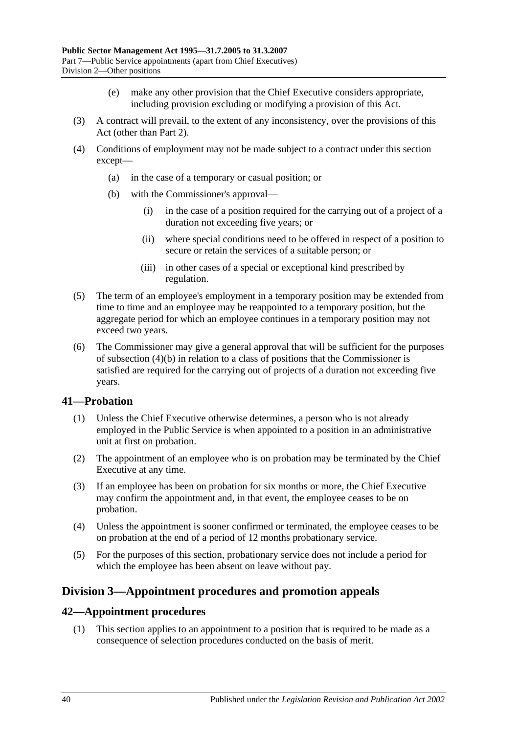- (e) make any other provision that the Chief Executive considers appropriate, including provision excluding or modifying a provision of this Act.
- (3) A contract will prevail, to the extent of any inconsistency, over the provisions of this Act (other than [Part 2\)](#page-9-0).
- <span id="page-39-0"></span>(4) Conditions of employment may not be made subject to a contract under this section except—
	- (a) in the case of a temporary or casual position; or
	- (b) with the Commissioner's approval—
		- (i) in the case of a position required for the carrying out of a project of a duration not exceeding five years; or
		- (ii) where special conditions need to be offered in respect of a position to secure or retain the services of a suitable person; or
		- (iii) in other cases of a special or exceptional kind prescribed by regulation.
- (5) The term of an employee's employment in a temporary position may be extended from time to time and an employee may be reappointed to a temporary position, but the aggregate period for which an employee continues in a temporary position may not exceed two years.
- (6) The Commissioner may give a general approval that will be sufficient for the purposes of [subsection](#page-39-0) (4)(b) in relation to a class of positions that the Commissioner is satisfied are required for the carrying out of projects of a duration not exceeding five years.

### **41—Probation**

- (1) Unless the Chief Executive otherwise determines, a person who is not already employed in the Public Service is when appointed to a position in an administrative unit at first on probation.
- (2) The appointment of an employee who is on probation may be terminated by the Chief Executive at any time.
- (3) If an employee has been on probation for six months or more, the Chief Executive may confirm the appointment and, in that event, the employee ceases to be on probation.
- (4) Unless the appointment is sooner confirmed or terminated, the employee ceases to be on probation at the end of a period of 12 months probationary service.
- (5) For the purposes of this section, probationary service does not include a period for which the employee has been absent on leave without pay.

## **Division 3—Appointment procedures and promotion appeals**

### **42—Appointment procedures**

(1) This section applies to an appointment to a position that is required to be made as a consequence of selection procedures conducted on the basis of merit.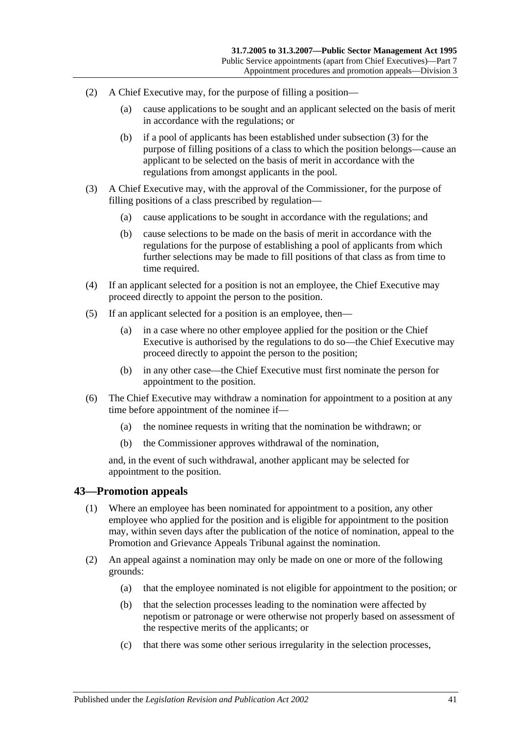- (2) A Chief Executive may, for the purpose of filling a position—
	- (a) cause applications to be sought and an applicant selected on the basis of merit in accordance with the regulations; or
	- (b) if a pool of applicants has been established under [subsection](#page-40-0) (3) for the purpose of filling positions of a class to which the position belongs—cause an applicant to be selected on the basis of merit in accordance with the regulations from amongst applicants in the pool.
- <span id="page-40-0"></span>(3) A Chief Executive may, with the approval of the Commissioner, for the purpose of filling positions of a class prescribed by regulation—
	- (a) cause applications to be sought in accordance with the regulations; and
	- (b) cause selections to be made on the basis of merit in accordance with the regulations for the purpose of establishing a pool of applicants from which further selections may be made to fill positions of that class as from time to time required.
- (4) If an applicant selected for a position is not an employee, the Chief Executive may proceed directly to appoint the person to the position.
- (5) If an applicant selected for a position is an employee, then—
	- (a) in a case where no other employee applied for the position or the Chief Executive is authorised by the regulations to do so—the Chief Executive may proceed directly to appoint the person to the position;
	- (b) in any other case—the Chief Executive must first nominate the person for appointment to the position.
- (6) The Chief Executive may withdraw a nomination for appointment to a position at any time before appointment of the nominee if—
	- (a) the nominee requests in writing that the nomination be withdrawn; or
	- (b) the Commissioner approves withdrawal of the nomination,

and, in the event of such withdrawal, another applicant may be selected for appointment to the position.

#### **43—Promotion appeals**

- (1) Where an employee has been nominated for appointment to a position, any other employee who applied for the position and is eligible for appointment to the position may, within seven days after the publication of the notice of nomination, appeal to the Promotion and Grievance Appeals Tribunal against the nomination.
- (2) An appeal against a nomination may only be made on one or more of the following grounds:
	- (a) that the employee nominated is not eligible for appointment to the position; or
	- (b) that the selection processes leading to the nomination were affected by nepotism or patronage or were otherwise not properly based on assessment of the respective merits of the applicants; or
	- (c) that there was some other serious irregularity in the selection processes,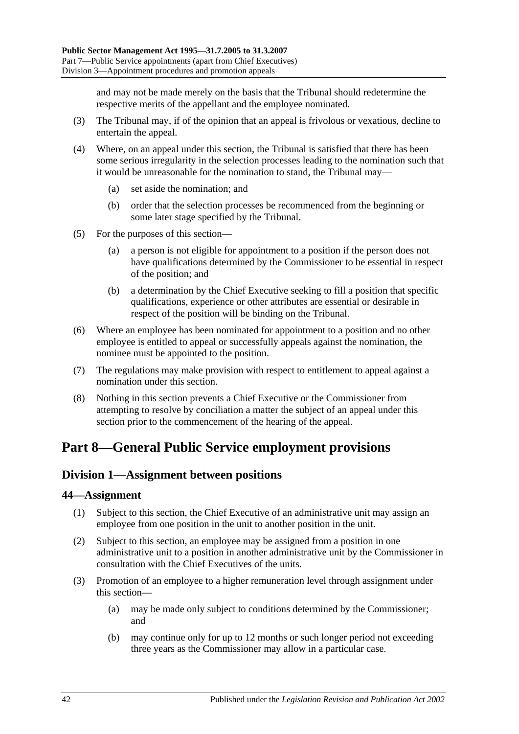and may not be made merely on the basis that the Tribunal should redetermine the respective merits of the appellant and the employee nominated.

- (3) The Tribunal may, if of the opinion that an appeal is frivolous or vexatious, decline to entertain the appeal.
- (4) Where, on an appeal under this section, the Tribunal is satisfied that there has been some serious irregularity in the selection processes leading to the nomination such that it would be unreasonable for the nomination to stand, the Tribunal may—
	- (a) set aside the nomination; and
	- (b) order that the selection processes be recommenced from the beginning or some later stage specified by the Tribunal.
- (5) For the purposes of this section—
	- (a) a person is not eligible for appointment to a position if the person does not have qualifications determined by the Commissioner to be essential in respect of the position; and
	- (b) a determination by the Chief Executive seeking to fill a position that specific qualifications, experience or other attributes are essential or desirable in respect of the position will be binding on the Tribunal.
- (6) Where an employee has been nominated for appointment to a position and no other employee is entitled to appeal or successfully appeals against the nomination, the nominee must be appointed to the position.
- (7) The regulations may make provision with respect to entitlement to appeal against a nomination under this section.
- (8) Nothing in this section prevents a Chief Executive or the Commissioner from attempting to resolve by conciliation a matter the subject of an appeal under this section prior to the commencement of the hearing of the appeal.

# <span id="page-41-2"></span><span id="page-41-0"></span>**Part 8—General Public Service employment provisions**

## **Division 1—Assignment between positions**

#### **44—Assignment**

- (1) Subject to this section, the Chief Executive of an administrative unit may assign an employee from one position in the unit to another position in the unit.
- (2) Subject to this section, an employee may be assigned from a position in one administrative unit to a position in another administrative unit by the Commissioner in consultation with the Chief Executives of the units.
- <span id="page-41-1"></span>(3) Promotion of an employee to a higher remuneration level through assignment under this section—
	- (a) may be made only subject to conditions determined by the Commissioner; and
	- (b) may continue only for up to 12 months or such longer period not exceeding three years as the Commissioner may allow in a particular case.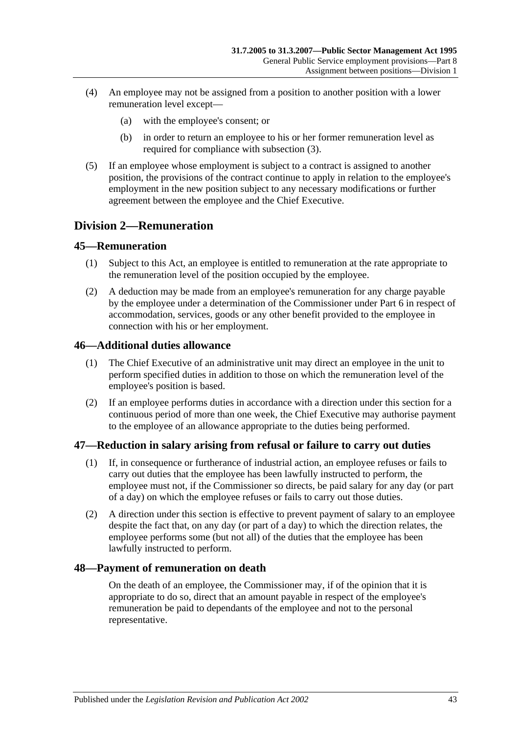- (4) An employee may not be assigned from a position to another position with a lower remuneration level except—
	- (a) with the employee's consent; or
	- (b) in order to return an employee to his or her former remuneration level as required for compliance with [subsection](#page-41-1) (3).
- (5) If an employee whose employment is subject to a contract is assigned to another position, the provisions of the contract continue to apply in relation to the employee's employment in the new position subject to any necessary modifications or further agreement between the employee and the Chief Executive.

## **Division 2—Remuneration**

#### **45—Remuneration**

- (1) Subject to this Act, an employee is entitled to remuneration at the rate appropriate to the remuneration level of the position occupied by the employee.
- (2) A deduction may be made from an employee's remuneration for any charge payable by the employee under a determination of the Commissioner under [Part 6](#page-33-0) in respect of accommodation, services, goods or any other benefit provided to the employee in connection with his or her employment.

#### **46—Additional duties allowance**

- (1) The Chief Executive of an administrative unit may direct an employee in the unit to perform specified duties in addition to those on which the remuneration level of the employee's position is based.
- (2) If an employee performs duties in accordance with a direction under this section for a continuous period of more than one week, the Chief Executive may authorise payment to the employee of an allowance appropriate to the duties being performed.

### **47—Reduction in salary arising from refusal or failure to carry out duties**

- (1) If, in consequence or furtherance of industrial action, an employee refuses or fails to carry out duties that the employee has been lawfully instructed to perform, the employee must not, if the Commissioner so directs, be paid salary for any day (or part of a day) on which the employee refuses or fails to carry out those duties.
- (2) A direction under this section is effective to prevent payment of salary to an employee despite the fact that, on any day (or part of a day) to which the direction relates, the employee performs some (but not all) of the duties that the employee has been lawfully instructed to perform.

### **48—Payment of remuneration on death**

On the death of an employee, the Commissioner may, if of the opinion that it is appropriate to do so, direct that an amount payable in respect of the employee's remuneration be paid to dependants of the employee and not to the personal representative.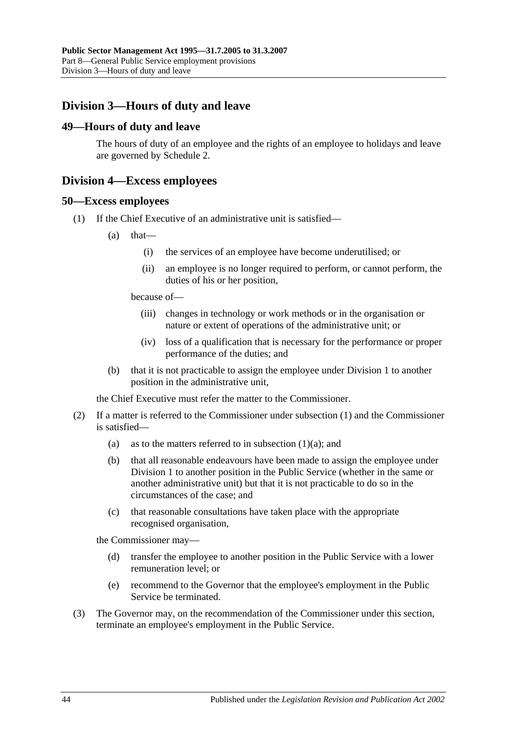# **Division 3—Hours of duty and leave**

#### **49—Hours of duty and leave**

The hours of duty of an employee and the rights of an employee to holidays and leave are governed by [Schedule 2.](#page-58-0)

### **Division 4—Excess employees**

#### <span id="page-43-0"></span>**50—Excess employees**

- <span id="page-43-1"></span>(1) If the Chief Executive of an administrative unit is satisfied—
	- $(a)$  that—
		- (i) the services of an employee have become underutilised; or
		- (ii) an employee is no longer required to perform, or cannot perform, the duties of his or her position,

because of—

- (iii) changes in technology or work methods or in the organisation or nature or extent of operations of the administrative unit; or
- (iv) loss of a qualification that is necessary for the performance or proper performance of the duties; and
- (b) that it is not practicable to assign the employee under [Division 1](#page-41-2) to another position in the administrative unit,

the Chief Executive must refer the matter to the Commissioner.

- (2) If a matter is referred to the Commissioner under [subsection](#page-43-0) (1) and the Commissioner is satisfied
	- (a) as to the matters referred to in [subsection](#page-43-1)  $(1)(a)$ ; and
	- (b) that all reasonable endeavours have been made to assign the employee under [Division 1](#page-41-2) to another position in the Public Service (whether in the same or another administrative unit) but that it is not practicable to do so in the circumstances of the case; and
	- (c) that reasonable consultations have taken place with the appropriate recognised organisation,

the Commissioner may—

- (d) transfer the employee to another position in the Public Service with a lower remuneration level; or
- (e) recommend to the Governor that the employee's employment in the Public Service be terminated.
- (3) The Governor may, on the recommendation of the Commissioner under this section, terminate an employee's employment in the Public Service.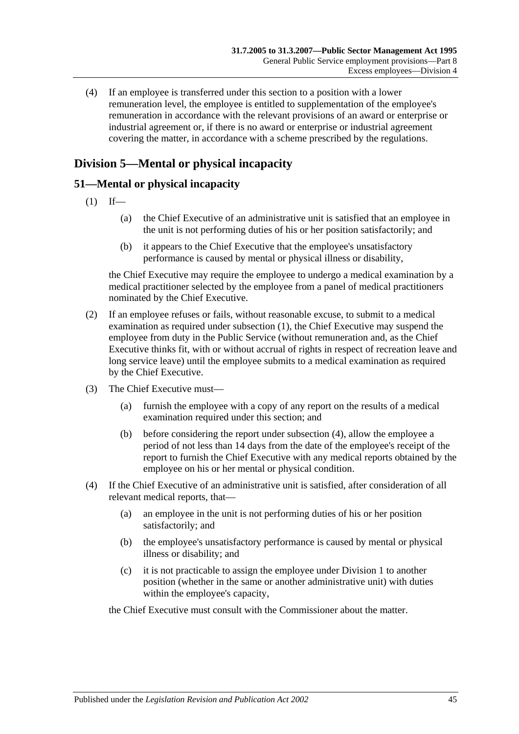(4) If an employee is transferred under this section to a position with a lower remuneration level, the employee is entitled to supplementation of the employee's remuneration in accordance with the relevant provisions of an award or enterprise or industrial agreement or, if there is no award or enterprise or industrial agreement covering the matter, in accordance with a scheme prescribed by the regulations.

# **Division 5—Mental or physical incapacity**

## <span id="page-44-0"></span>**51—Mental or physical incapacity**

- $(1)$  If—
	- (a) the Chief Executive of an administrative unit is satisfied that an employee in the unit is not performing duties of his or her position satisfactorily; and
	- (b) it appears to the Chief Executive that the employee's unsatisfactory performance is caused by mental or physical illness or disability,

the Chief Executive may require the employee to undergo a medical examination by a medical practitioner selected by the employee from a panel of medical practitioners nominated by the Chief Executive.

- (2) If an employee refuses or fails, without reasonable excuse, to submit to a medical examination as required under [subsection](#page-44-0) (1), the Chief Executive may suspend the employee from duty in the Public Service (without remuneration and, as the Chief Executive thinks fit, with or without accrual of rights in respect of recreation leave and long service leave) until the employee submits to a medical examination as required by the Chief Executive.
- <span id="page-44-2"></span>(3) The Chief Executive must—
	- (a) furnish the employee with a copy of any report on the results of a medical examination required under this section; and
	- (b) before considering the report under [subsection](#page-44-1) (4), allow the employee a period of not less than 14 days from the date of the employee's receipt of the report to furnish the Chief Executive with any medical reports obtained by the employee on his or her mental or physical condition.
- <span id="page-44-1"></span>(4) If the Chief Executive of an administrative unit is satisfied, after consideration of all relevant medical reports, that—
	- (a) an employee in the unit is not performing duties of his or her position satisfactorily; and
	- (b) the employee's unsatisfactory performance is caused by mental or physical illness or disability; and
	- (c) it is not practicable to assign the employee under [Division 1](#page-41-2) to another position (whether in the same or another administrative unit) with duties within the employee's capacity,

the Chief Executive must consult with the Commissioner about the matter.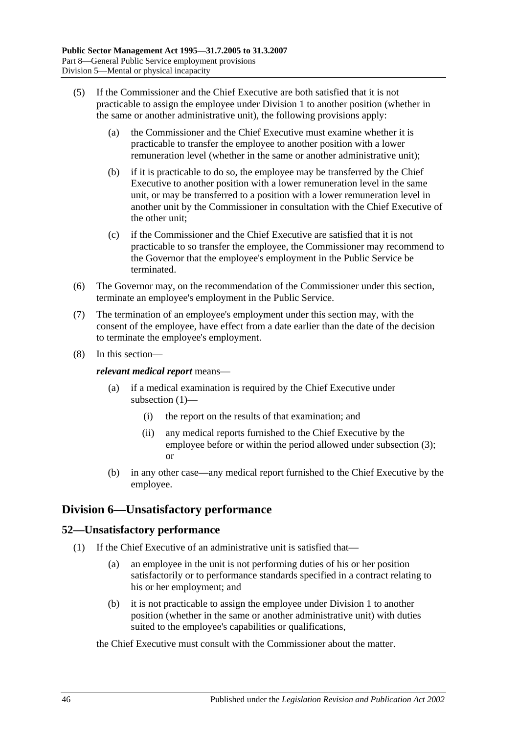- (5) If the Commissioner and the Chief Executive are both satisfied that it is not practicable to assign the employee under [Division 1](#page-41-2) to another position (whether in the same or another administrative unit), the following provisions apply:
	- (a) the Commissioner and the Chief Executive must examine whether it is practicable to transfer the employee to another position with a lower remuneration level (whether in the same or another administrative unit);
	- (b) if it is practicable to do so, the employee may be transferred by the Chief Executive to another position with a lower remuneration level in the same unit, or may be transferred to a position with a lower remuneration level in another unit by the Commissioner in consultation with the Chief Executive of the other unit;
	- (c) if the Commissioner and the Chief Executive are satisfied that it is not practicable to so transfer the employee, the Commissioner may recommend to the Governor that the employee's employment in the Public Service be terminated.
- (6) The Governor may, on the recommendation of the Commissioner under this section, terminate an employee's employment in the Public Service.
- (7) The termination of an employee's employment under this section may, with the consent of the employee, have effect from a date earlier than the date of the decision to terminate the employee's employment.
- (8) In this section—

*relevant medical report* means—

- (a) if a medical examination is required by the Chief Executive under [subsection](#page-44-0) (1)—
	- (i) the report on the results of that examination; and
	- (ii) any medical reports furnished to the Chief Executive by the employee before or within the period allowed under [subsection](#page-44-2) (3); or
- (b) in any other case—any medical report furnished to the Chief Executive by the employee.

# **Division 6—Unsatisfactory performance**

## **52—Unsatisfactory performance**

- (1) If the Chief Executive of an administrative unit is satisfied that—
	- (a) an employee in the unit is not performing duties of his or her position satisfactorily or to performance standards specified in a contract relating to his or her employment; and
	- (b) it is not practicable to assign the employee under [Division 1](#page-41-2) to another position (whether in the same or another administrative unit) with duties suited to the employee's capabilities or qualifications,

#### the Chief Executive must consult with the Commissioner about the matter.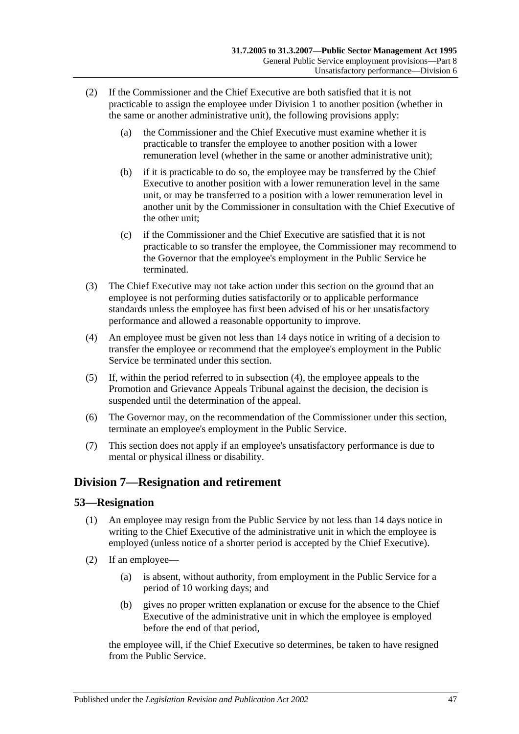- (2) If the Commissioner and the Chief Executive are both satisfied that it is not practicable to assign the employee under [Division 1](#page-41-2) to another position (whether in the same or another administrative unit), the following provisions apply:
	- (a) the Commissioner and the Chief Executive must examine whether it is practicable to transfer the employee to another position with a lower remuneration level (whether in the same or another administrative unit);
	- (b) if it is practicable to do so, the employee may be transferred by the Chief Executive to another position with a lower remuneration level in the same unit, or may be transferred to a position with a lower remuneration level in another unit by the Commissioner in consultation with the Chief Executive of the other unit;
	- (c) if the Commissioner and the Chief Executive are satisfied that it is not practicable to so transfer the employee, the Commissioner may recommend to the Governor that the employee's employment in the Public Service be terminated.
- (3) The Chief Executive may not take action under this section on the ground that an employee is not performing duties satisfactorily or to applicable performance standards unless the employee has first been advised of his or her unsatisfactory performance and allowed a reasonable opportunity to improve.
- <span id="page-46-0"></span>(4) An employee must be given not less than 14 days notice in writing of a decision to transfer the employee or recommend that the employee's employment in the Public Service be terminated under this section.
- (5) If, within the period referred to in [subsection](#page-46-0) (4), the employee appeals to the Promotion and Grievance Appeals Tribunal against the decision, the decision is suspended until the determination of the appeal.
- (6) The Governor may, on the recommendation of the Commissioner under this section, terminate an employee's employment in the Public Service.
- (7) This section does not apply if an employee's unsatisfactory performance is due to mental or physical illness or disability.

# **Division 7—Resignation and retirement**

## **53—Resignation**

- (1) An employee may resign from the Public Service by not less than 14 days notice in writing to the Chief Executive of the administrative unit in which the employee is employed (unless notice of a shorter period is accepted by the Chief Executive).
- (2) If an employee—
	- (a) is absent, without authority, from employment in the Public Service for a period of 10 working days; and
	- (b) gives no proper written explanation or excuse for the absence to the Chief Executive of the administrative unit in which the employee is employed before the end of that period,

the employee will, if the Chief Executive so determines, be taken to have resigned from the Public Service.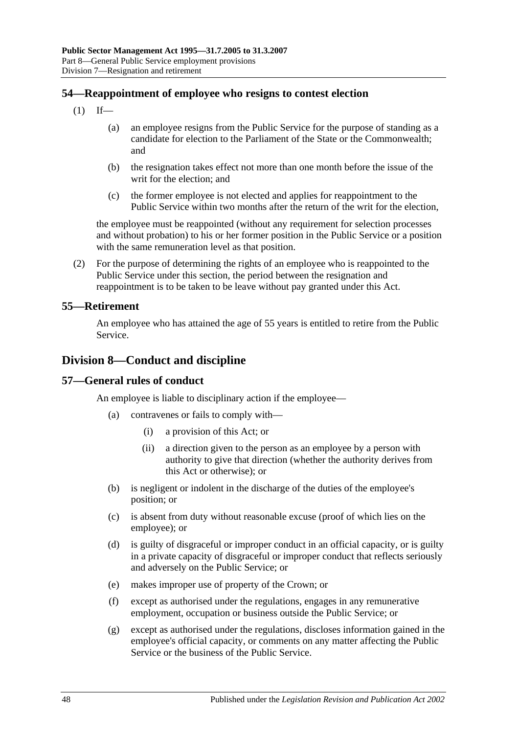## **54—Reappointment of employee who resigns to contest election**

- $(1)$  If—
	- (a) an employee resigns from the Public Service for the purpose of standing as a candidate for election to the Parliament of the State or the Commonwealth; and
	- (b) the resignation takes effect not more than one month before the issue of the writ for the election; and
	- (c) the former employee is not elected and applies for reappointment to the Public Service within two months after the return of the writ for the election,

the employee must be reappointed (without any requirement for selection processes and without probation) to his or her former position in the Public Service or a position with the same remuneration level as that position.

(2) For the purpose of determining the rights of an employee who is reappointed to the Public Service under this section, the period between the resignation and reappointment is to be taken to be leave without pay granted under this Act.

#### **55—Retirement**

An employee who has attained the age of 55 years is entitled to retire from the Public Service.

## **Division 8—Conduct and discipline**

#### **57—General rules of conduct**

An employee is liable to disciplinary action if the employee—

- (a) contravenes or fails to comply with—
	- (i) a provision of this Act; or
	- (ii) a direction given to the person as an employee by a person with authority to give that direction (whether the authority derives from this Act or otherwise); or
- (b) is negligent or indolent in the discharge of the duties of the employee's position; or
- (c) is absent from duty without reasonable excuse (proof of which lies on the employee); or
- (d) is guilty of disgraceful or improper conduct in an official capacity, or is guilty in a private capacity of disgraceful or improper conduct that reflects seriously and adversely on the Public Service; or
- (e) makes improper use of property of the Crown; or
- (f) except as authorised under the regulations, engages in any remunerative employment, occupation or business outside the Public Service; or
- (g) except as authorised under the regulations, discloses information gained in the employee's official capacity, or comments on any matter affecting the Public Service or the business of the Public Service.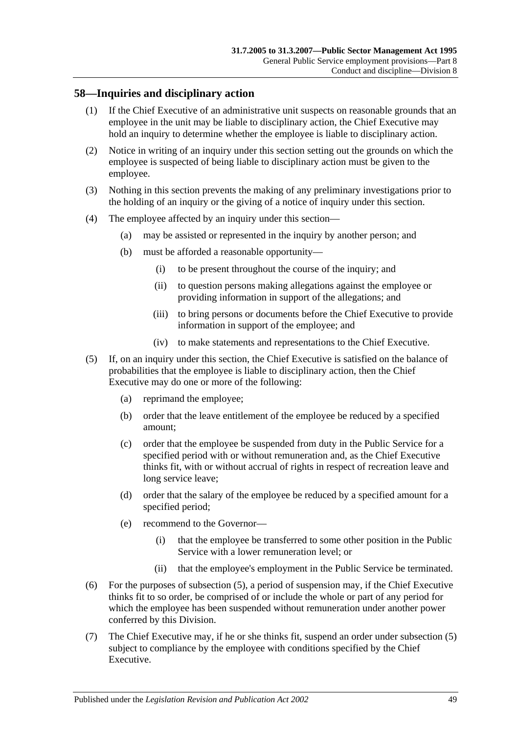## **58—Inquiries and disciplinary action**

- (1) If the Chief Executive of an administrative unit suspects on reasonable grounds that an employee in the unit may be liable to disciplinary action, the Chief Executive may hold an inquiry to determine whether the employee is liable to disciplinary action.
- (2) Notice in writing of an inquiry under this section setting out the grounds on which the employee is suspected of being liable to disciplinary action must be given to the employee.
- (3) Nothing in this section prevents the making of any preliminary investigations prior to the holding of an inquiry or the giving of a notice of inquiry under this section.
- (4) The employee affected by an inquiry under this section—
	- (a) may be assisted or represented in the inquiry by another person; and
	- (b) must be afforded a reasonable opportunity—
		- (i) to be present throughout the course of the inquiry; and
		- (ii) to question persons making allegations against the employee or providing information in support of the allegations; and
		- (iii) to bring persons or documents before the Chief Executive to provide information in support of the employee; and
		- (iv) to make statements and representations to the Chief Executive.
- <span id="page-48-0"></span>(5) If, on an inquiry under this section, the Chief Executive is satisfied on the balance of probabilities that the employee is liable to disciplinary action, then the Chief Executive may do one or more of the following:
	- (a) reprimand the employee;
	- (b) order that the leave entitlement of the employee be reduced by a specified amount;
	- (c) order that the employee be suspended from duty in the Public Service for a specified period with or without remuneration and, as the Chief Executive thinks fit, with or without accrual of rights in respect of recreation leave and long service leave;
	- (d) order that the salary of the employee be reduced by a specified amount for a specified period;
	- (e) recommend to the Governor—
		- (i) that the employee be transferred to some other position in the Public Service with a lower remuneration level; or
		- (ii) that the employee's employment in the Public Service be terminated.
- (6) For the purposes of [subsection](#page-48-0) (5), a period of suspension may, if the Chief Executive thinks fit to so order, be comprised of or include the whole or part of any period for which the employee has been suspended without remuneration under another power conferred by this Division.
- (7) The Chief Executive may, if he or she thinks fit, suspend an order under [subsection](#page-48-0) (5) subject to compliance by the employee with conditions specified by the Chief Executive.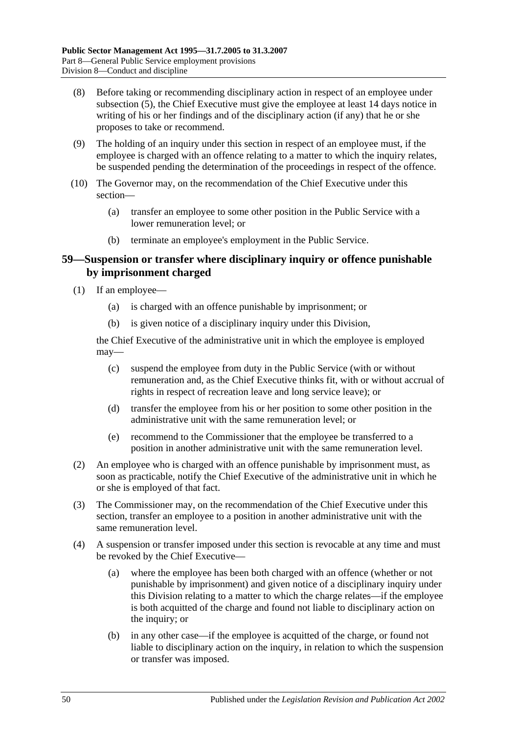- (8) Before taking or recommending disciplinary action in respect of an employee under [subsection](#page-48-0) (5), the Chief Executive must give the employee at least 14 days notice in writing of his or her findings and of the disciplinary action (if any) that he or she proposes to take or recommend.
- (9) The holding of an inquiry under this section in respect of an employee must, if the employee is charged with an offence relating to a matter to which the inquiry relates, be suspended pending the determination of the proceedings in respect of the offence.
- (10) The Governor may, on the recommendation of the Chief Executive under this section—
	- (a) transfer an employee to some other position in the Public Service with a lower remuneration level; or
	- (b) terminate an employee's employment in the Public Service.

### **59—Suspension or transfer where disciplinary inquiry or offence punishable by imprisonment charged**

- (1) If an employee—
	- (a) is charged with an offence punishable by imprisonment; or
	- (b) is given notice of a disciplinary inquiry under this Division,

the Chief Executive of the administrative unit in which the employee is employed may—

- (c) suspend the employee from duty in the Public Service (with or without remuneration and, as the Chief Executive thinks fit, with or without accrual of rights in respect of recreation leave and long service leave); or
- (d) transfer the employee from his or her position to some other position in the administrative unit with the same remuneration level; or
- (e) recommend to the Commissioner that the employee be transferred to a position in another administrative unit with the same remuneration level.
- (2) An employee who is charged with an offence punishable by imprisonment must, as soon as practicable, notify the Chief Executive of the administrative unit in which he or she is employed of that fact.
- (3) The Commissioner may, on the recommendation of the Chief Executive under this section, transfer an employee to a position in another administrative unit with the same remuneration level.
- <span id="page-49-0"></span>(4) A suspension or transfer imposed under this section is revocable at any time and must be revoked by the Chief Executive—
	- (a) where the employee has been both charged with an offence (whether or not punishable by imprisonment) and given notice of a disciplinary inquiry under this Division relating to a matter to which the charge relates—if the employee is both acquitted of the charge and found not liable to disciplinary action on the inquiry; or
	- (b) in any other case—if the employee is acquitted of the charge, or found not liable to disciplinary action on the inquiry, in relation to which the suspension or transfer was imposed.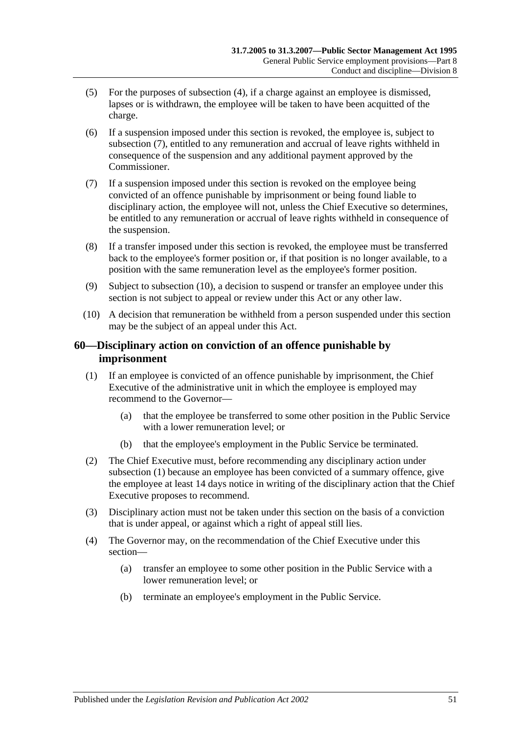- (5) For the purposes of [subsection](#page-49-0) (4), if a charge against an employee is dismissed, lapses or is withdrawn, the employee will be taken to have been acquitted of the charge.
- (6) If a suspension imposed under this section is revoked, the employee is, subject to [subsection](#page-50-0) (7), entitled to any remuneration and accrual of leave rights withheld in consequence of the suspension and any additional payment approved by the Commissioner.
- <span id="page-50-0"></span>(7) If a suspension imposed under this section is revoked on the employee being convicted of an offence punishable by imprisonment or being found liable to disciplinary action, the employee will not, unless the Chief Executive so determines, be entitled to any remuneration or accrual of leave rights withheld in consequence of the suspension.
- (8) If a transfer imposed under this section is revoked, the employee must be transferred back to the employee's former position or, if that position is no longer available, to a position with the same remuneration level as the employee's former position.
- (9) Subject to [subsection](#page-50-1) (10), a decision to suspend or transfer an employee under this section is not subject to appeal or review under this Act or any other law.
- <span id="page-50-1"></span>(10) A decision that remuneration be withheld from a person suspended under this section may be the subject of an appeal under this Act.

## **60—Disciplinary action on conviction of an offence punishable by imprisonment**

- <span id="page-50-2"></span>(1) If an employee is convicted of an offence punishable by imprisonment, the Chief Executive of the administrative unit in which the employee is employed may recommend to the Governor—
	- (a) that the employee be transferred to some other position in the Public Service with a lower remuneration level; or
	- (b) that the employee's employment in the Public Service be terminated.
- (2) The Chief Executive must, before recommending any disciplinary action under [subsection](#page-50-2) (1) because an employee has been convicted of a summary offence, give the employee at least 14 days notice in writing of the disciplinary action that the Chief Executive proposes to recommend.
- (3) Disciplinary action must not be taken under this section on the basis of a conviction that is under appeal, or against which a right of appeal still lies.
- (4) The Governor may, on the recommendation of the Chief Executive under this section—
	- (a) transfer an employee to some other position in the Public Service with a lower remuneration level; or
	- (b) terminate an employee's employment in the Public Service.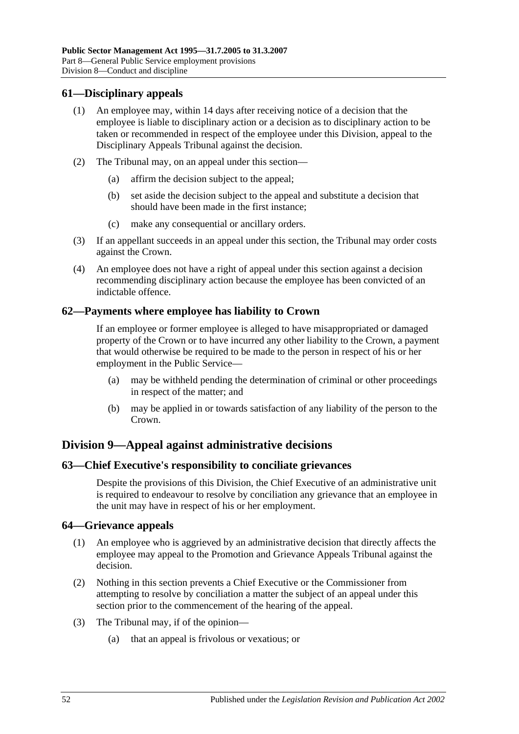#### **61—Disciplinary appeals**

- (1) An employee may, within 14 days after receiving notice of a decision that the employee is liable to disciplinary action or a decision as to disciplinary action to be taken or recommended in respect of the employee under this Division, appeal to the Disciplinary Appeals Tribunal against the decision.
- (2) The Tribunal may, on an appeal under this section—
	- (a) affirm the decision subject to the appeal;
	- (b) set aside the decision subject to the appeal and substitute a decision that should have been made in the first instance;
	- (c) make any consequential or ancillary orders.
- (3) If an appellant succeeds in an appeal under this section, the Tribunal may order costs against the Crown.
- (4) An employee does not have a right of appeal under this section against a decision recommending disciplinary action because the employee has been convicted of an indictable offence.

#### **62—Payments where employee has liability to Crown**

If an employee or former employee is alleged to have misappropriated or damaged property of the Crown or to have incurred any other liability to the Crown, a payment that would otherwise be required to be made to the person in respect of his or her employment in the Public Service—

- (a) may be withheld pending the determination of criminal or other proceedings in respect of the matter; and
- (b) may be applied in or towards satisfaction of any liability of the person to the Crown.

## **Division 9—Appeal against administrative decisions**

#### **63—Chief Executive's responsibility to conciliate grievances**

Despite the provisions of this Division, the Chief Executive of an administrative unit is required to endeavour to resolve by conciliation any grievance that an employee in the unit may have in respect of his or her employment.

### **64—Grievance appeals**

- (1) An employee who is aggrieved by an administrative decision that directly affects the employee may appeal to the Promotion and Grievance Appeals Tribunal against the decision.
- (2) Nothing in this section prevents a Chief Executive or the Commissioner from attempting to resolve by conciliation a matter the subject of an appeal under this section prior to the commencement of the hearing of the appeal.
- (3) The Tribunal may, if of the opinion—
	- (a) that an appeal is frivolous or vexatious; or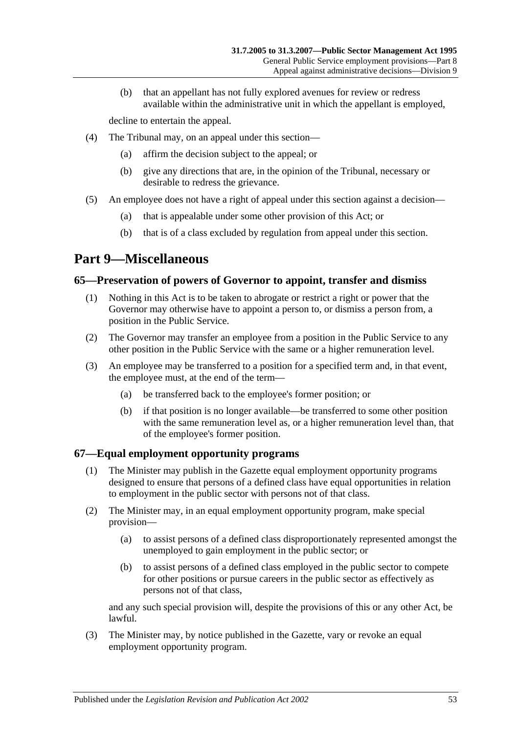(b) that an appellant has not fully explored avenues for review or redress available within the administrative unit in which the appellant is employed,

decline to entertain the appeal.

- (4) The Tribunal may, on an appeal under this section—
	- (a) affirm the decision subject to the appeal; or
	- (b) give any directions that are, in the opinion of the Tribunal, necessary or desirable to redress the grievance.
- (5) An employee does not have a right of appeal under this section against a decision—
	- (a) that is appealable under some other provision of this Act; or
	- (b) that is of a class excluded by regulation from appeal under this section.

# <span id="page-52-0"></span>**Part 9—Miscellaneous**

### **65—Preservation of powers of Governor to appoint, transfer and dismiss**

- (1) Nothing in this Act is to be taken to abrogate or restrict a right or power that the Governor may otherwise have to appoint a person to, or dismiss a person from, a position in the Public Service.
- (2) The Governor may transfer an employee from a position in the Public Service to any other position in the Public Service with the same or a higher remuneration level.
- (3) An employee may be transferred to a position for a specified term and, in that event, the employee must, at the end of the term—
	- (a) be transferred back to the employee's former position; or
	- (b) if that position is no longer available—be transferred to some other position with the same remuneration level as, or a higher remuneration level than, that of the employee's former position.

## **67—Equal employment opportunity programs**

- (1) The Minister may publish in the Gazette equal employment opportunity programs designed to ensure that persons of a defined class have equal opportunities in relation to employment in the public sector with persons not of that class.
- (2) The Minister may, in an equal employment opportunity program, make special provision—
	- (a) to assist persons of a defined class disproportionately represented amongst the unemployed to gain employment in the public sector; or
	- (b) to assist persons of a defined class employed in the public sector to compete for other positions or pursue careers in the public sector as effectively as persons not of that class,

and any such special provision will, despite the provisions of this or any other Act, be lawful.

(3) The Minister may, by notice published in the Gazette, vary or revoke an equal employment opportunity program.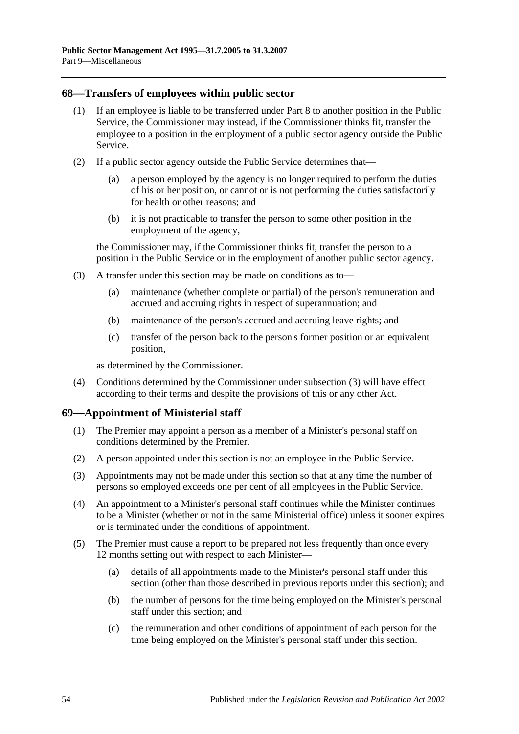#### **68—Transfers of employees within public sector**

- (1) If an employee is liable to be transferred under [Part 8](#page-41-0) to another position in the Public Service, the Commissioner may instead, if the Commissioner thinks fit, transfer the employee to a position in the employment of a public sector agency outside the Public Service.
- (2) If a public sector agency outside the Public Service determines that—
	- (a) a person employed by the agency is no longer required to perform the duties of his or her position, or cannot or is not performing the duties satisfactorily for health or other reasons; and
	- (b) it is not practicable to transfer the person to some other position in the employment of the agency,

the Commissioner may, if the Commissioner thinks fit, transfer the person to a position in the Public Service or in the employment of another public sector agency.

- <span id="page-53-0"></span>(3) A transfer under this section may be made on conditions as to—
	- (a) maintenance (whether complete or partial) of the person's remuneration and accrued and accruing rights in respect of superannuation; and
	- (b) maintenance of the person's accrued and accruing leave rights; and
	- (c) transfer of the person back to the person's former position or an equivalent position,

as determined by the Commissioner.

(4) Conditions determined by the Commissioner under [subsection](#page-53-0) (3) will have effect according to their terms and despite the provisions of this or any other Act.

### **69—Appointment of Ministerial staff**

- (1) The Premier may appoint a person as a member of a Minister's personal staff on conditions determined by the Premier.
- (2) A person appointed under this section is not an employee in the Public Service.
- (3) Appointments may not be made under this section so that at any time the number of persons so employed exceeds one per cent of all employees in the Public Service.
- (4) An appointment to a Minister's personal staff continues while the Minister continues to be a Minister (whether or not in the same Ministerial office) unless it sooner expires or is terminated under the conditions of appointment.
- <span id="page-53-1"></span>(5) The Premier must cause a report to be prepared not less frequently than once every 12 months setting out with respect to each Minister—
	- (a) details of all appointments made to the Minister's personal staff under this section (other than those described in previous reports under this section); and
	- (b) the number of persons for the time being employed on the Minister's personal staff under this section; and
	- (c) the remuneration and other conditions of appointment of each person for the time being employed on the Minister's personal staff under this section.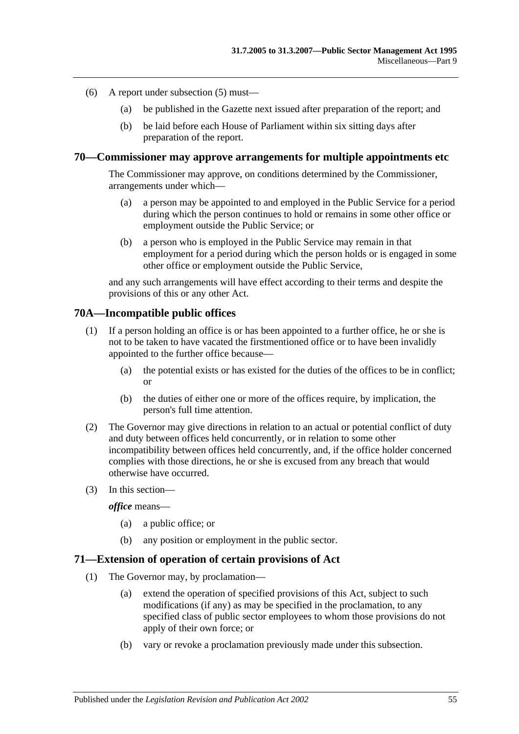- (6) A report under [subsection](#page-53-1) (5) must—
	- (a) be published in the Gazette next issued after preparation of the report; and
	- (b) be laid before each House of Parliament within six sitting days after preparation of the report.

#### **70—Commissioner may approve arrangements for multiple appointments etc**

The Commissioner may approve, on conditions determined by the Commissioner, arrangements under which—

- (a) a person may be appointed to and employed in the Public Service for a period during which the person continues to hold or remains in some other office or employment outside the Public Service; or
- (b) a person who is employed in the Public Service may remain in that employment for a period during which the person holds or is engaged in some other office or employment outside the Public Service,

and any such arrangements will have effect according to their terms and despite the provisions of this or any other Act.

#### **70A—Incompatible public offices**

- (1) If a person holding an office is or has been appointed to a further office, he or she is not to be taken to have vacated the firstmentioned office or to have been invalidly appointed to the further office because—
	- (a) the potential exists or has existed for the duties of the offices to be in conflict; or
	- (b) the duties of either one or more of the offices require, by implication, the person's full time attention.
- (2) The Governor may give directions in relation to an actual or potential conflict of duty and duty between offices held concurrently, or in relation to some other incompatibility between offices held concurrently, and, if the office holder concerned complies with those directions, he or she is excused from any breach that would otherwise have occurred.
- (3) In this section—

*office* means—

- (a) a public office; or
- (b) any position or employment in the public sector.

#### **71—Extension of operation of certain provisions of Act**

- (1) The Governor may, by proclamation—
	- (a) extend the operation of specified provisions of this Act, subject to such modifications (if any) as may be specified in the proclamation, to any specified class of public sector employees to whom those provisions do not apply of their own force; or
	- (b) vary or revoke a proclamation previously made under this subsection.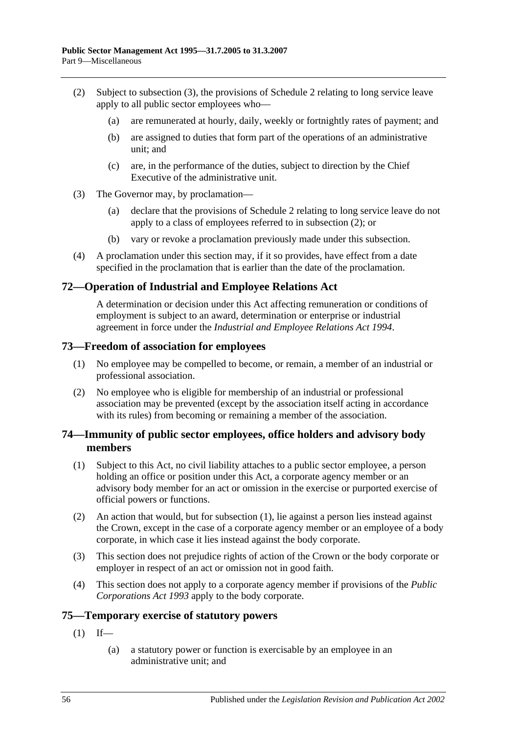- <span id="page-55-1"></span>(2) Subject to [subsection](#page-55-0) (3), the provisions of [Schedule 2](#page-58-0) relating to long service leave apply to all public sector employees who—
	- (a) are remunerated at hourly, daily, weekly or fortnightly rates of payment; and
	- (b) are assigned to duties that form part of the operations of an administrative unit; and
	- (c) are, in the performance of the duties, subject to direction by the Chief Executive of the administrative unit.
- <span id="page-55-0"></span>(3) The Governor may, by proclamation—
	- (a) declare that the provisions of [Schedule 2](#page-58-0) relating to long service leave do not apply to a class of employees referred to in [subsection](#page-55-1) (2); or
	- (b) vary or revoke a proclamation previously made under this subsection.
- (4) A proclamation under this section may, if it so provides, have effect from a date specified in the proclamation that is earlier than the date of the proclamation.

## **72—Operation of Industrial and Employee Relations Act**

A determination or decision under this Act affecting remuneration or conditions of employment is subject to an award, determination or enterprise or industrial agreement in force under the *[Industrial and Employee Relations Act](http://www.legislation.sa.gov.au/index.aspx?action=legref&type=act&legtitle=Industrial%20and%20Employee%20Relations%20Act%201994) 1994*.

#### **73—Freedom of association for employees**

- (1) No employee may be compelled to become, or remain, a member of an industrial or professional association.
- (2) No employee who is eligible for membership of an industrial or professional association may be prevented (except by the association itself acting in accordance with its rules) from becoming or remaining a member of the association.

### **74—Immunity of public sector employees, office holders and advisory body members**

- <span id="page-55-2"></span>(1) Subject to this Act, no civil liability attaches to a public sector employee, a person holding an office or position under this Act, a corporate agency member or an advisory body member for an act or omission in the exercise or purported exercise of official powers or functions.
- (2) An action that would, but for [subsection](#page-55-2) (1), lie against a person lies instead against the Crown, except in the case of a corporate agency member or an employee of a body corporate, in which case it lies instead against the body corporate.
- (3) This section does not prejudice rights of action of the Crown or the body corporate or employer in respect of an act or omission not in good faith.
- (4) This section does not apply to a corporate agency member if provisions of the *[Public](http://www.legislation.sa.gov.au/index.aspx?action=legref&type=act&legtitle=Public%20Corporations%20Act%201993)  [Corporations Act](http://www.legislation.sa.gov.au/index.aspx?action=legref&type=act&legtitle=Public%20Corporations%20Act%201993) 1993* apply to the body corporate.

### **75—Temporary exercise of statutory powers**

- $(1)$  If—
	- (a) a statutory power or function is exercisable by an employee in an administrative unit; and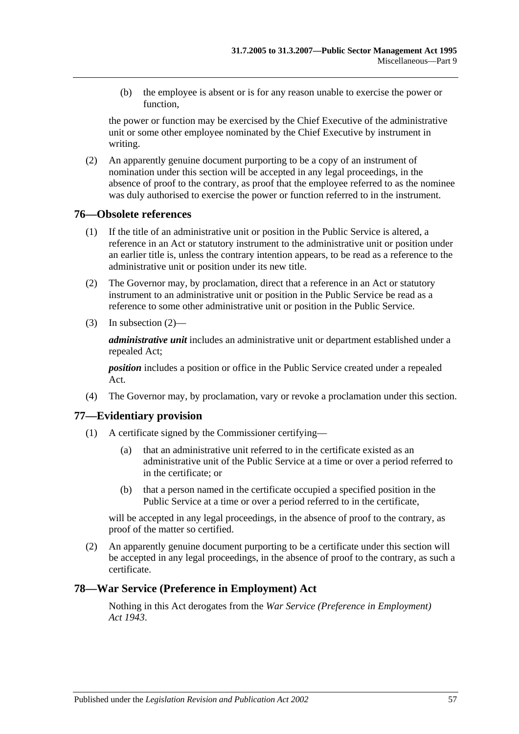(b) the employee is absent or is for any reason unable to exercise the power or function,

the power or function may be exercised by the Chief Executive of the administrative unit or some other employee nominated by the Chief Executive by instrument in writing.

(2) An apparently genuine document purporting to be a copy of an instrument of nomination under this section will be accepted in any legal proceedings, in the absence of proof to the contrary, as proof that the employee referred to as the nominee was duly authorised to exercise the power or function referred to in the instrument.

#### **76—Obsolete references**

- (1) If the title of an administrative unit or position in the Public Service is altered, a reference in an Act or statutory instrument to the administrative unit or position under an earlier title is, unless the contrary intention appears, to be read as a reference to the administrative unit or position under its new title.
- <span id="page-56-0"></span>(2) The Governor may, by proclamation, direct that a reference in an Act or statutory instrument to an administrative unit or position in the Public Service be read as a reference to some other administrative unit or position in the Public Service.
- (3) In [subsection](#page-56-0) (2)—

*administrative unit* includes an administrative unit or department established under a repealed Act;

*position* includes a position or office in the Public Service created under a repealed Act.

(4) The Governor may, by proclamation, vary or revoke a proclamation under this section.

#### **77—Evidentiary provision**

- (1) A certificate signed by the Commissioner certifying—
	- (a) that an administrative unit referred to in the certificate existed as an administrative unit of the Public Service at a time or over a period referred to in the certificate; or
	- (b) that a person named in the certificate occupied a specified position in the Public Service at a time or over a period referred to in the certificate,

will be accepted in any legal proceedings, in the absence of proof to the contrary, as proof of the matter so certified.

(2) An apparently genuine document purporting to be a certificate under this section will be accepted in any legal proceedings, in the absence of proof to the contrary, as such a certificate.

### **78—War Service (Preference in Employment) Act**

Nothing in this Act derogates from the *[War Service \(Preference in Employment\)](http://www.legislation.sa.gov.au/index.aspx?action=legref&type=act&legtitle=War%20Service%20(Preference%20in%20Employment)%20Act%201943)  Act [1943](http://www.legislation.sa.gov.au/index.aspx?action=legref&type=act&legtitle=War%20Service%20(Preference%20in%20Employment)%20Act%201943)*.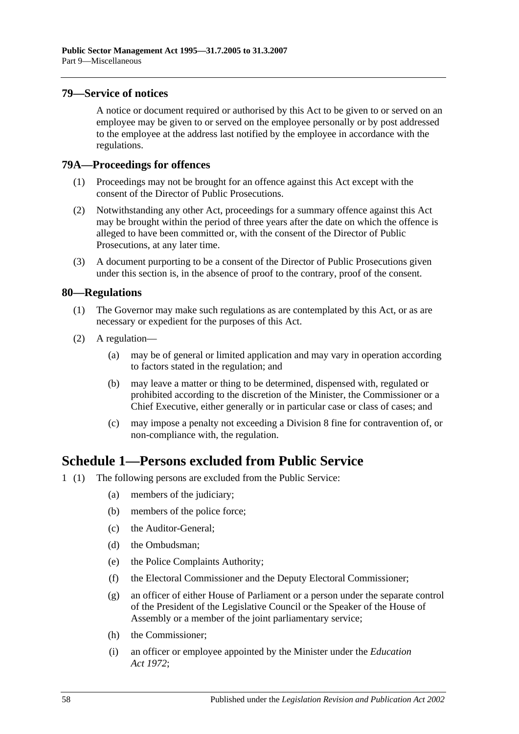#### **79—Service of notices**

A notice or document required or authorised by this Act to be given to or served on an employee may be given to or served on the employee personally or by post addressed to the employee at the address last notified by the employee in accordance with the regulations.

#### **79A—Proceedings for offences**

- (1) Proceedings may not be brought for an offence against this Act except with the consent of the Director of Public Prosecutions.
- (2) Notwithstanding any other Act, proceedings for a summary offence against this Act may be brought within the period of three years after the date on which the offence is alleged to have been committed or, with the consent of the Director of Public Prosecutions, at any later time.
- (3) A document purporting to be a consent of the Director of Public Prosecutions given under this section is, in the absence of proof to the contrary, proof of the consent.

#### **80—Regulations**

- (1) The Governor may make such regulations as are contemplated by this Act, or as are necessary or expedient for the purposes of this Act.
- (2) A regulation—
	- (a) may be of general or limited application and may vary in operation according to factors stated in the regulation; and
	- (b) may leave a matter or thing to be determined, dispensed with, regulated or prohibited according to the discretion of the Minister, the Commissioner or a Chief Executive, either generally or in particular case or class of cases; and
	- (c) may impose a penalty not exceeding a Division 8 fine for contravention of, or non-compliance with, the regulation.

# **Schedule 1—Persons excluded from Public Service**

- 1 (1) The following persons are excluded from the Public Service:
	- (a) members of the judiciary;
	- (b) members of the police force;
	- (c) the Auditor-General;
	- (d) the Ombudsman;
	- (e) the Police Complaints Authority;
	- (f) the Electoral Commissioner and the Deputy Electoral Commissioner;
	- (g) an officer of either House of Parliament or a person under the separate control of the President of the Legislative Council or the Speaker of the House of Assembly or a member of the joint parliamentary service;
	- (h) the Commissioner;
	- (i) an officer or employee appointed by the Minister under the *[Education](http://www.legislation.sa.gov.au/index.aspx?action=legref&type=act&legtitle=Education%20Act%201972)  Act [1972](http://www.legislation.sa.gov.au/index.aspx?action=legref&type=act&legtitle=Education%20Act%201972)*;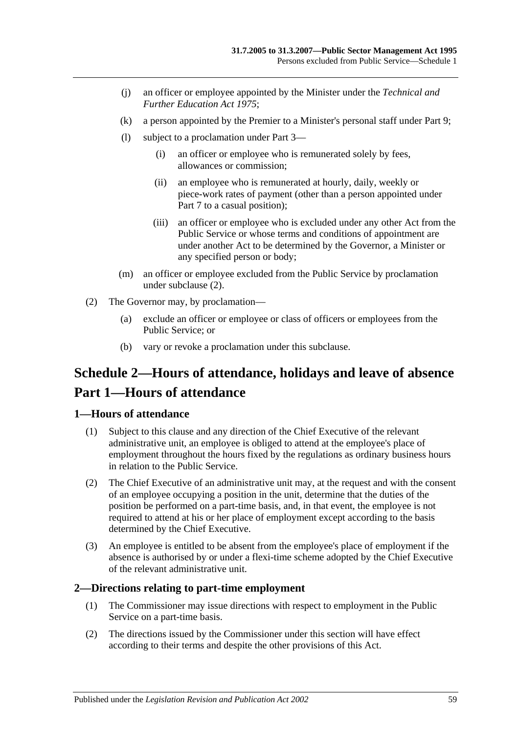- (j) an officer or employee appointed by the Minister under the *[Technical and](http://www.legislation.sa.gov.au/index.aspx?action=legref&type=act&legtitle=Technical%20and%20Further%20Education%20Act%201975)  [Further Education Act](http://www.legislation.sa.gov.au/index.aspx?action=legref&type=act&legtitle=Technical%20and%20Further%20Education%20Act%201975) 1975*;
- (k) a person appointed by the Premier to a Minister's personal staff under [Part 9;](#page-52-0)
- (l) subject to a proclamation under [Part 3—](#page-23-0)
	- (i) an officer or employee who is remunerated solely by fees, allowances or commission;
	- (ii) an employee who is remunerated at hourly, daily, weekly or piece-work rates of payment (other than a person appointed under [Part 7](#page-35-0) to a casual position);
	- (iii) an officer or employee who is excluded under any other Act from the Public Service or whose terms and conditions of appointment are under another Act to be determined by the Governor, a Minister or any specified person or body;
- (m) an officer or employee excluded from the Public Service by proclamation under [subclause](#page-58-1) (2).
- <span id="page-58-1"></span>(2) The Governor may, by proclamation—
	- (a) exclude an officer or employee or class of officers or employees from the Public Service; or
	- (b) vary or revoke a proclamation under this subclause.

# <span id="page-58-0"></span>**Schedule 2—Hours of attendance, holidays and leave of absence Part 1—Hours of attendance**

#### **1—Hours of attendance**

- (1) Subject to this clause and any direction of the Chief Executive of the relevant administrative unit, an employee is obliged to attend at the employee's place of employment throughout the hours fixed by the regulations as ordinary business hours in relation to the Public Service.
- (2) The Chief Executive of an administrative unit may, at the request and with the consent of an employee occupying a position in the unit, determine that the duties of the position be performed on a part-time basis, and, in that event, the employee is not required to attend at his or her place of employment except according to the basis determined by the Chief Executive.
- (3) An employee is entitled to be absent from the employee's place of employment if the absence is authorised by or under a flexi-time scheme adopted by the Chief Executive of the relevant administrative unit.

### **2—Directions relating to part-time employment**

- (1) The Commissioner may issue directions with respect to employment in the Public Service on a part-time basis.
- (2) The directions issued by the Commissioner under this section will have effect according to their terms and despite the other provisions of this Act.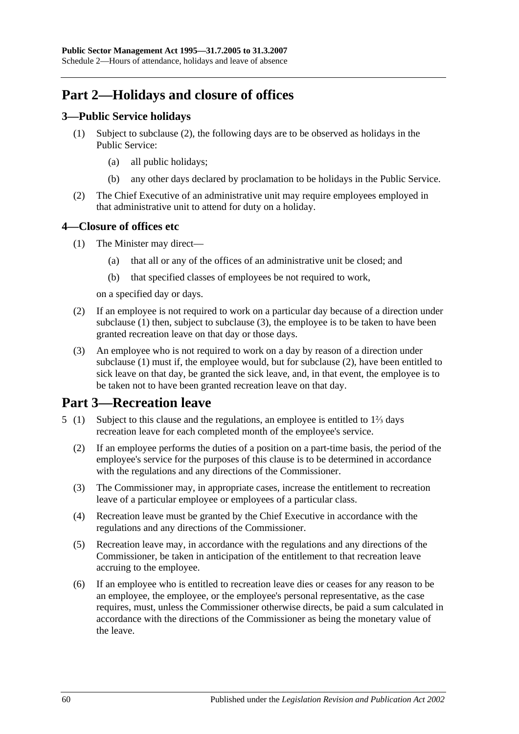# **Part 2—Holidays and closure of offices**

## **3—Public Service holidays**

- (1) Subject to [subclause](#page-59-0) (2), the following days are to be observed as holidays in the Public Service:
	- (a) all public holidays;
	- (b) any other days declared by proclamation to be holidays in the Public Service.
- <span id="page-59-0"></span>(2) The Chief Executive of an administrative unit may require employees employed in that administrative unit to attend for duty on a holiday.

## <span id="page-59-1"></span>**4—Closure of offices etc**

- (1) The Minister may direct—
	- (a) that all or any of the offices of an administrative unit be closed; and
	- (b) that specified classes of employees be not required to work,

on a specified day or days.

- <span id="page-59-3"></span>(2) If an employee is not required to work on a particular day because of a direction under [subclause](#page-59-1) (1) then, subject to [subclause](#page-59-2) (3), the employee is to be taken to have been granted recreation leave on that day or those days.
- <span id="page-59-2"></span>(3) An employee who is not required to work on a day by reason of a direction under [subclause](#page-59-1) (1) must if, the employee would, but for [subclause](#page-59-3) (2), have been entitled to sick leave on that day, be granted the sick leave, and, in that event, the employee is to be taken not to have been granted recreation leave on that day.

# **Part 3—Recreation leave**

- 5 (1) Subject to this clause and the regulations, an employee is entitled to 1⅔ days recreation leave for each completed month of the employee's service.
	- (2) If an employee performs the duties of a position on a part-time basis, the period of the employee's service for the purposes of this clause is to be determined in accordance with the regulations and any directions of the Commissioner.
	- (3) The Commissioner may, in appropriate cases, increase the entitlement to recreation leave of a particular employee or employees of a particular class.
	- (4) Recreation leave must be granted by the Chief Executive in accordance with the regulations and any directions of the Commissioner.
	- (5) Recreation leave may, in accordance with the regulations and any directions of the Commissioner, be taken in anticipation of the entitlement to that recreation leave accruing to the employee.
	- (6) If an employee who is entitled to recreation leave dies or ceases for any reason to be an employee, the employee, or the employee's personal representative, as the case requires, must, unless the Commissioner otherwise directs, be paid a sum calculated in accordance with the directions of the Commissioner as being the monetary value of the leave.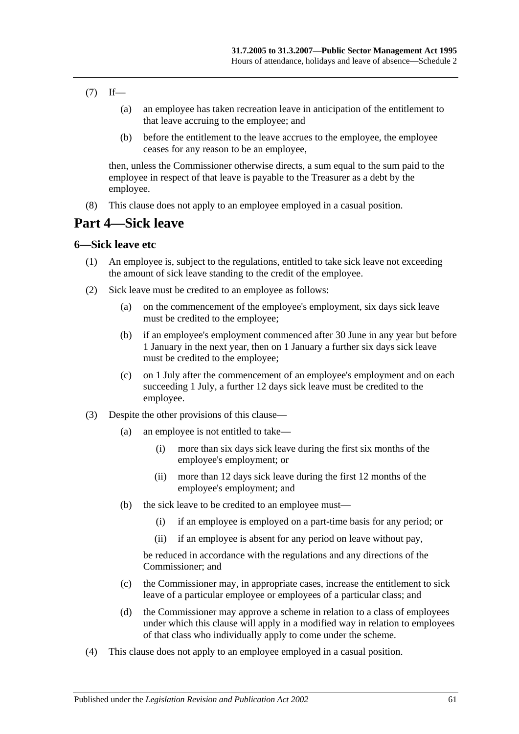- $(7)$  If—
	- (a) an employee has taken recreation leave in anticipation of the entitlement to that leave accruing to the employee; and
	- (b) before the entitlement to the leave accrues to the employee, the employee ceases for any reason to be an employee,

then, unless the Commissioner otherwise directs, a sum equal to the sum paid to the employee in respect of that leave is payable to the Treasurer as a debt by the employee.

(8) This clause does not apply to an employee employed in a casual position.

# **Part 4—Sick leave**

#### **6—Sick leave etc**

- (1) An employee is, subject to the regulations, entitled to take sick leave not exceeding the amount of sick leave standing to the credit of the employee.
- (2) Sick leave must be credited to an employee as follows:
	- (a) on the commencement of the employee's employment, six days sick leave must be credited to the employee;
	- (b) if an employee's employment commenced after 30 June in any year but before 1 January in the next year, then on 1 January a further six days sick leave must be credited to the employee;
	- (c) on 1 July after the commencement of an employee's employment and on each succeeding 1 July, a further 12 days sick leave must be credited to the employee.
- (3) Despite the other provisions of this clause—
	- (a) an employee is not entitled to take—
		- (i) more than six days sick leave during the first six months of the employee's employment; or
		- (ii) more than 12 days sick leave during the first 12 months of the employee's employment; and
	- (b) the sick leave to be credited to an employee must—
		- (i) if an employee is employed on a part-time basis for any period; or
		- (ii) if an employee is absent for any period on leave without pay,

be reduced in accordance with the regulations and any directions of the Commissioner; and

- (c) the Commissioner may, in appropriate cases, increase the entitlement to sick leave of a particular employee or employees of a particular class; and
- (d) the Commissioner may approve a scheme in relation to a class of employees under which this clause will apply in a modified way in relation to employees of that class who individually apply to come under the scheme.
- (4) This clause does not apply to an employee employed in a casual position.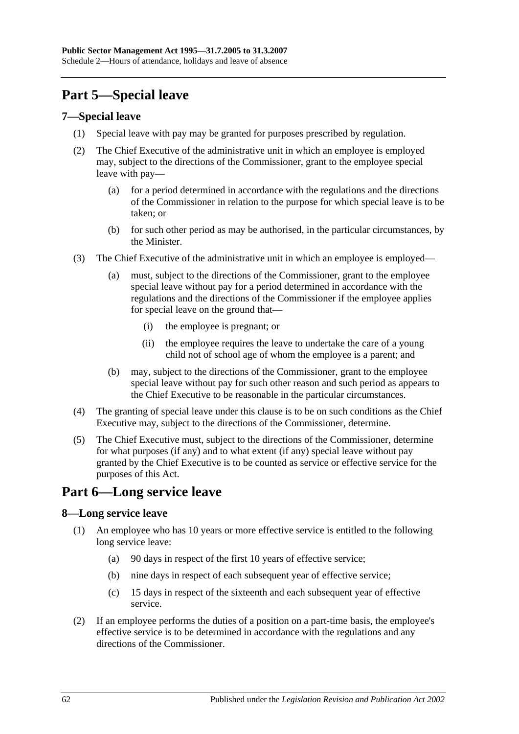# **Part 5—Special leave**

### **7—Special leave**

- (1) Special leave with pay may be granted for purposes prescribed by regulation.
- (2) The Chief Executive of the administrative unit in which an employee is employed may, subject to the directions of the Commissioner, grant to the employee special leave with pay—
	- (a) for a period determined in accordance with the regulations and the directions of the Commissioner in relation to the purpose for which special leave is to be taken; or
	- (b) for such other period as may be authorised, in the particular circumstances, by the Minister.
- (3) The Chief Executive of the administrative unit in which an employee is employed—
	- (a) must, subject to the directions of the Commissioner, grant to the employee special leave without pay for a period determined in accordance with the regulations and the directions of the Commissioner if the employee applies for special leave on the ground that—
		- (i) the employee is pregnant; or
		- (ii) the employee requires the leave to undertake the care of a young child not of school age of whom the employee is a parent; and
	- (b) may, subject to the directions of the Commissioner, grant to the employee special leave without pay for such other reason and such period as appears to the Chief Executive to be reasonable in the particular circumstances.
- (4) The granting of special leave under this clause is to be on such conditions as the Chief Executive may, subject to the directions of the Commissioner, determine.
- (5) The Chief Executive must, subject to the directions of the Commissioner, determine for what purposes (if any) and to what extent (if any) special leave without pay granted by the Chief Executive is to be counted as service or effective service for the purposes of this Act.

# **Part 6—Long service leave**

## **8—Long service leave**

- (1) An employee who has 10 years or more effective service is entitled to the following long service leave:
	- (a) 90 days in respect of the first 10 years of effective service;
	- (b) nine days in respect of each subsequent year of effective service;
	- (c) 15 days in respect of the sixteenth and each subsequent year of effective service.
- (2) If an employee performs the duties of a position on a part-time basis, the employee's effective service is to be determined in accordance with the regulations and any directions of the Commissioner.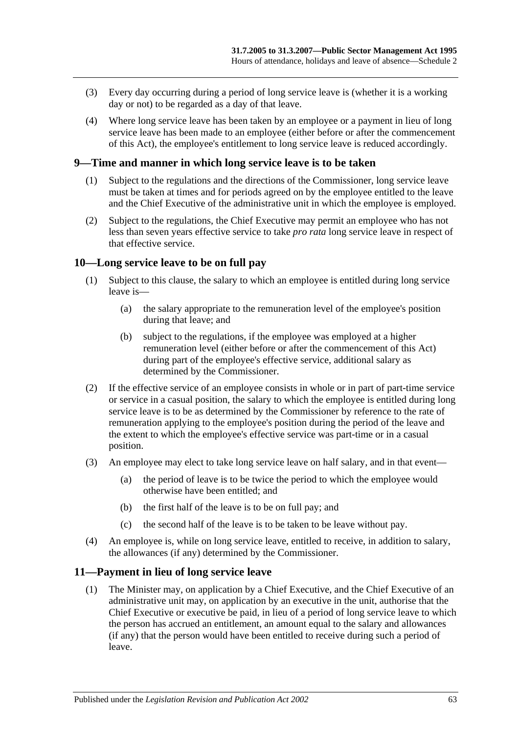- (3) Every day occurring during a period of long service leave is (whether it is a working day or not) to be regarded as a day of that leave.
- (4) Where long service leave has been taken by an employee or a payment in lieu of long service leave has been made to an employee (either before or after the commencement of this Act), the employee's entitlement to long service leave is reduced accordingly.

#### **9—Time and manner in which long service leave is to be taken**

- (1) Subject to the regulations and the directions of the Commissioner, long service leave must be taken at times and for periods agreed on by the employee entitled to the leave and the Chief Executive of the administrative unit in which the employee is employed.
- (2) Subject to the regulations, the Chief Executive may permit an employee who has not less than seven years effective service to take *pro rata* long service leave in respect of that effective service.

#### **10—Long service leave to be on full pay**

- (1) Subject to this clause, the salary to which an employee is entitled during long service leave is—
	- (a) the salary appropriate to the remuneration level of the employee's position during that leave; and
	- (b) subject to the regulations, if the employee was employed at a higher remuneration level (either before or after the commencement of this Act) during part of the employee's effective service, additional salary as determined by the Commissioner.
- (2) If the effective service of an employee consists in whole or in part of part-time service or service in a casual position, the salary to which the employee is entitled during long service leave is to be as determined by the Commissioner by reference to the rate of remuneration applying to the employee's position during the period of the leave and the extent to which the employee's effective service was part-time or in a casual position.
- (3) An employee may elect to take long service leave on half salary, and in that event—
	- (a) the period of leave is to be twice the period to which the employee would otherwise have been entitled; and
	- (b) the first half of the leave is to be on full pay; and
	- (c) the second half of the leave is to be taken to be leave without pay.
- (4) An employee is, while on long service leave, entitled to receive, in addition to salary, the allowances (if any) determined by the Commissioner.

#### **11—Payment in lieu of long service leave**

(1) The Minister may, on application by a Chief Executive, and the Chief Executive of an administrative unit may, on application by an executive in the unit, authorise that the Chief Executive or executive be paid, in lieu of a period of long service leave to which the person has accrued an entitlement, an amount equal to the salary and allowances (if any) that the person would have been entitled to receive during such a period of leave.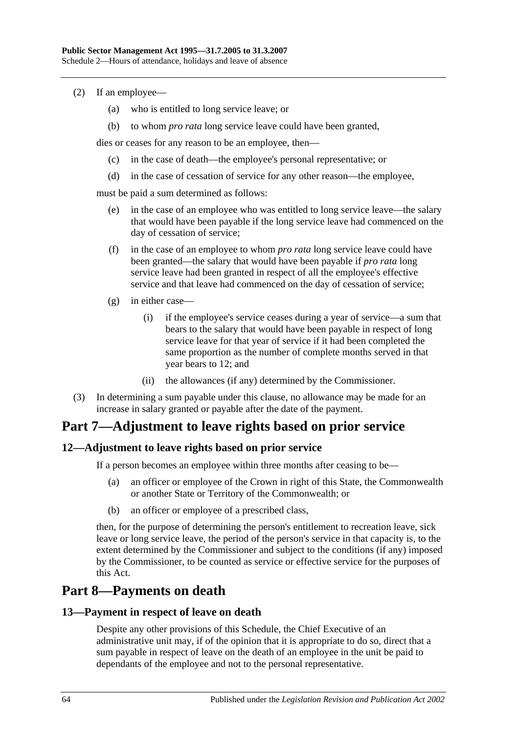- (2) If an employee—
	- (a) who is entitled to long service leave; or
	- (b) to whom *pro rata* long service leave could have been granted,

dies or ceases for any reason to be an employee, then—

- (c) in the case of death—the employee's personal representative; or
- (d) in the case of cessation of service for any other reason—the employee,

must be paid a sum determined as follows:

- (e) in the case of an employee who was entitled to long service leave—the salary that would have been payable if the long service leave had commenced on the day of cessation of service;
- (f) in the case of an employee to whom *pro rata* long service leave could have been granted—the salary that would have been payable if *pro rata* long service leave had been granted in respect of all the employee's effective service and that leave had commenced on the day of cessation of service;
- (g) in either case—
	- (i) if the employee's service ceases during a year of service—a sum that bears to the salary that would have been payable in respect of long service leave for that year of service if it had been completed the same proportion as the number of complete months served in that year bears to 12; and
	- (ii) the allowances (if any) determined by the Commissioner.
- (3) In determining a sum payable under this clause, no allowance may be made for an increase in salary granted or payable after the date of the payment.

# **Part 7—Adjustment to leave rights based on prior service**

### **12—Adjustment to leave rights based on prior service**

If a person becomes an employee within three months after ceasing to be—

- (a) an officer or employee of the Crown in right of this State, the Commonwealth or another State or Territory of the Commonwealth; or
- (b) an officer or employee of a prescribed class,

then, for the purpose of determining the person's entitlement to recreation leave, sick leave or long service leave, the period of the person's service in that capacity is, to the extent determined by the Commissioner and subject to the conditions (if any) imposed by the Commissioner, to be counted as service or effective service for the purposes of this Act.

# **Part 8—Payments on death**

#### **13—Payment in respect of leave on death**

Despite any other provisions of this Schedule, the Chief Executive of an administrative unit may, if of the opinion that it is appropriate to do so, direct that a sum payable in respect of leave on the death of an employee in the unit be paid to dependants of the employee and not to the personal representative.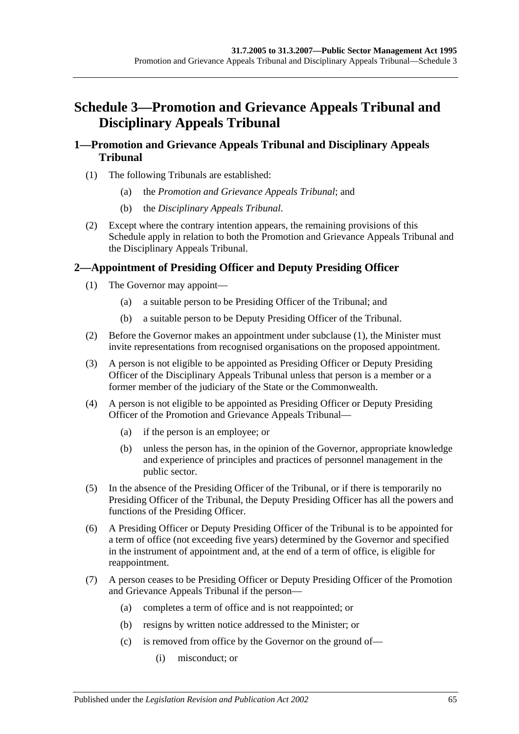# **Schedule 3—Promotion and Grievance Appeals Tribunal and Disciplinary Appeals Tribunal**

## **1—Promotion and Grievance Appeals Tribunal and Disciplinary Appeals Tribunal**

- (1) The following Tribunals are established:
	- (a) the *Promotion and Grievance Appeals Tribunal*; and
	- (b) the *Disciplinary Appeals Tribunal*.
- (2) Except where the contrary intention appears, the remaining provisions of this Schedule apply in relation to both the Promotion and Grievance Appeals Tribunal and the Disciplinary Appeals Tribunal.

## <span id="page-64-0"></span>**2—Appointment of Presiding Officer and Deputy Presiding Officer**

- (1) The Governor may appoint—
	- (a) a suitable person to be Presiding Officer of the Tribunal; and
	- (b) a suitable person to be Deputy Presiding Officer of the Tribunal.
- (2) Before the Governor makes an appointment under [subclause](#page-64-0) (1), the Minister must invite representations from recognised organisations on the proposed appointment.
- (3) A person is not eligible to be appointed as Presiding Officer or Deputy Presiding Officer of the Disciplinary Appeals Tribunal unless that person is a member or a former member of the judiciary of the State or the Commonwealth.
- (4) A person is not eligible to be appointed as Presiding Officer or Deputy Presiding Officer of the Promotion and Grievance Appeals Tribunal—
	- (a) if the person is an employee; or
	- (b) unless the person has, in the opinion of the Governor, appropriate knowledge and experience of principles and practices of personnel management in the public sector.
- (5) In the absence of the Presiding Officer of the Tribunal, or if there is temporarily no Presiding Officer of the Tribunal, the Deputy Presiding Officer has all the powers and functions of the Presiding Officer.
- (6) A Presiding Officer or Deputy Presiding Officer of the Tribunal is to be appointed for a term of office (not exceeding five years) determined by the Governor and specified in the instrument of appointment and, at the end of a term of office, is eligible for reappointment.
- (7) A person ceases to be Presiding Officer or Deputy Presiding Officer of the Promotion and Grievance Appeals Tribunal if the person—
	- (a) completes a term of office and is not reappointed; or
	- (b) resigns by written notice addressed to the Minister; or
	- (c) is removed from office by the Governor on the ground of—
		- (i) misconduct; or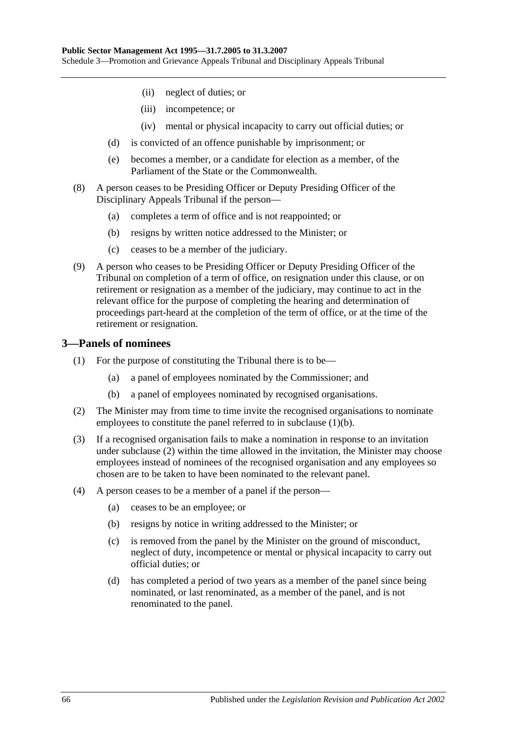- (ii) neglect of duties; or
- (iii) incompetence; or
- (iv) mental or physical incapacity to carry out official duties; or
- (d) is convicted of an offence punishable by imprisonment; or
- (e) becomes a member, or a candidate for election as a member, of the Parliament of the State or the Commonwealth.
- (8) A person ceases to be Presiding Officer or Deputy Presiding Officer of the Disciplinary Appeals Tribunal if the person—
	- (a) completes a term of office and is not reappointed; or
	- (b) resigns by written notice addressed to the Minister; or
	- (c) ceases to be a member of the judiciary.
- (9) A person who ceases to be Presiding Officer or Deputy Presiding Officer of the Tribunal on completion of a term of office, on resignation under this clause, or on retirement or resignation as a member of the judiciary, may continue to act in the relevant office for the purpose of completing the hearing and determination of proceedings part-heard at the completion of the term of office, or at the time of the retirement or resignation.

#### **3—Panels of nominees**

- (1) For the purpose of constituting the Tribunal there is to be—
	- (a) a panel of employees nominated by the Commissioner; and
	- (b) a panel of employees nominated by recognised organisations.
- <span id="page-65-1"></span><span id="page-65-0"></span>(2) The Minister may from time to time invite the recognised organisations to nominate employees to constitute the panel referred to in [subclause](#page-65-0) (1)(b).
- (3) If a recognised organisation fails to make a nomination in response to an invitation under [subclause](#page-65-1) (2) within the time allowed in the invitation, the Minister may choose employees instead of nominees of the recognised organisation and any employees so chosen are to be taken to have been nominated to the relevant panel.
- (4) A person ceases to be a member of a panel if the person—
	- (a) ceases to be an employee; or
	- (b) resigns by notice in writing addressed to the Minister; or
	- (c) is removed from the panel by the Minister on the ground of misconduct, neglect of duty, incompetence or mental or physical incapacity to carry out official duties; or
	- (d) has completed a period of two years as a member of the panel since being nominated, or last renominated, as a member of the panel, and is not renominated to the panel.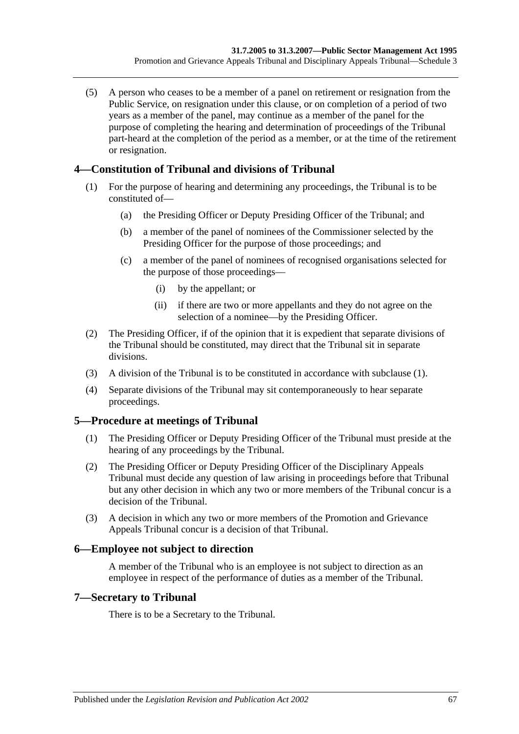(5) A person who ceases to be a member of a panel on retirement or resignation from the Public Service, on resignation under this clause, or on completion of a period of two years as a member of the panel, may continue as a member of the panel for the purpose of completing the hearing and determination of proceedings of the Tribunal part-heard at the completion of the period as a member, or at the time of the retirement or resignation.

## <span id="page-66-0"></span>**4—Constitution of Tribunal and divisions of Tribunal**

- (1) For the purpose of hearing and determining any proceedings, the Tribunal is to be constituted of—
	- (a) the Presiding Officer or Deputy Presiding Officer of the Tribunal; and
	- (b) a member of the panel of nominees of the Commissioner selected by the Presiding Officer for the purpose of those proceedings; and
	- (c) a member of the panel of nominees of recognised organisations selected for the purpose of those proceedings—
		- (i) by the appellant; or
		- (ii) if there are two or more appellants and they do not agree on the selection of a nominee—by the Presiding Officer.
- (2) The Presiding Officer, if of the opinion that it is expedient that separate divisions of the Tribunal should be constituted, may direct that the Tribunal sit in separate divisions.
- (3) A division of the Tribunal is to be constituted in accordance with [subclause](#page-66-0) (1).
- (4) Separate divisions of the Tribunal may sit contemporaneously to hear separate proceedings.

## **5—Procedure at meetings of Tribunal**

- (1) The Presiding Officer or Deputy Presiding Officer of the Tribunal must preside at the hearing of any proceedings by the Tribunal.
- (2) The Presiding Officer or Deputy Presiding Officer of the Disciplinary Appeals Tribunal must decide any question of law arising in proceedings before that Tribunal but any other decision in which any two or more members of the Tribunal concur is a decision of the Tribunal.
- (3) A decision in which any two or more members of the Promotion and Grievance Appeals Tribunal concur is a decision of that Tribunal.

### **6—Employee not subject to direction**

A member of the Tribunal who is an employee is not subject to direction as an employee in respect of the performance of duties as a member of the Tribunal.

### **7—Secretary to Tribunal**

There is to be a Secretary to the Tribunal.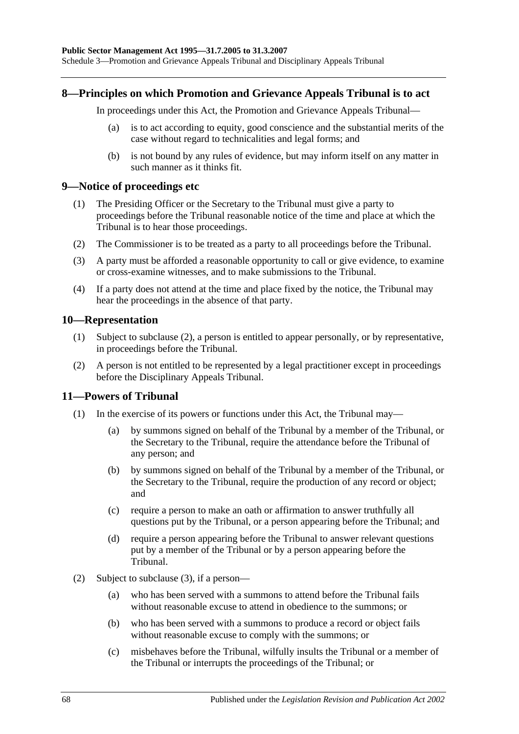#### **8—Principles on which Promotion and Grievance Appeals Tribunal is to act**

In proceedings under this Act, the Promotion and Grievance Appeals Tribunal—

- (a) is to act according to equity, good conscience and the substantial merits of the case without regard to technicalities and legal forms; and
- (b) is not bound by any rules of evidence, but may inform itself on any matter in such manner as it thinks fit.

#### **9—Notice of proceedings etc**

- (1) The Presiding Officer or the Secretary to the Tribunal must give a party to proceedings before the Tribunal reasonable notice of the time and place at which the Tribunal is to hear those proceedings.
- (2) The Commissioner is to be treated as a party to all proceedings before the Tribunal.
- (3) A party must be afforded a reasonable opportunity to call or give evidence, to examine or cross-examine witnesses, and to make submissions to the Tribunal.
- (4) If a party does not attend at the time and place fixed by the notice, the Tribunal may hear the proceedings in the absence of that party.

#### **10—Representation**

- (1) Subject to [subclause](#page-67-0) (2), a person is entitled to appear personally, or by representative, in proceedings before the Tribunal.
- <span id="page-67-0"></span>(2) A person is not entitled to be represented by a legal practitioner except in proceedings before the Disciplinary Appeals Tribunal.

### **11—Powers of Tribunal**

- (1) In the exercise of its powers or functions under this Act, the Tribunal may—
	- (a) by summons signed on behalf of the Tribunal by a member of the Tribunal, or the Secretary to the Tribunal, require the attendance before the Tribunal of any person; and
	- (b) by summons signed on behalf of the Tribunal by a member of the Tribunal, or the Secretary to the Tribunal, require the production of any record or object; and
	- (c) require a person to make an oath or affirmation to answer truthfully all questions put by the Tribunal, or a person appearing before the Tribunal; and
	- (d) require a person appearing before the Tribunal to answer relevant questions put by a member of the Tribunal or by a person appearing before the Tribunal.
- (2) Subject to [subclause](#page-68-0) (3), if a person—
	- (a) who has been served with a summons to attend before the Tribunal fails without reasonable excuse to attend in obedience to the summons; or
	- (b) who has been served with a summons to produce a record or object fails without reasonable excuse to comply with the summons; or
	- (c) misbehaves before the Tribunal, wilfully insults the Tribunal or a member of the Tribunal or interrupts the proceedings of the Tribunal; or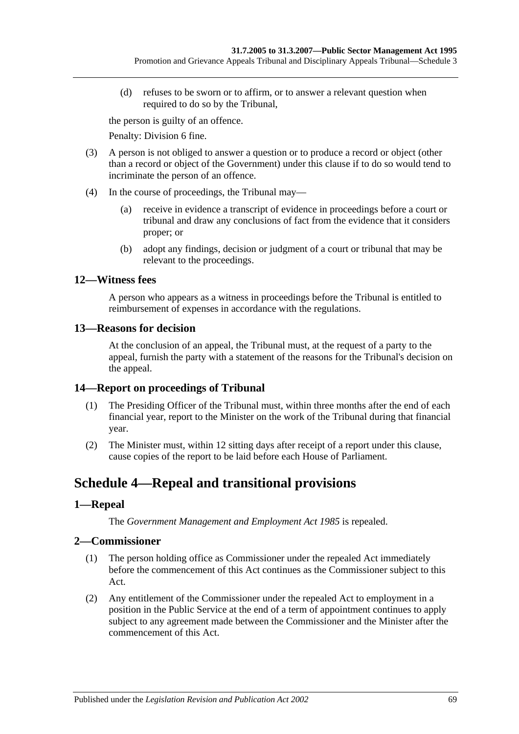(d) refuses to be sworn or to affirm, or to answer a relevant question when required to do so by the Tribunal,

the person is guilty of an offence.

Penalty: Division 6 fine.

- <span id="page-68-0"></span>(3) A person is not obliged to answer a question or to produce a record or object (other than a record or object of the Government) under this clause if to do so would tend to incriminate the person of an offence.
- (4) In the course of proceedings, the Tribunal may—
	- (a) receive in evidence a transcript of evidence in proceedings before a court or tribunal and draw any conclusions of fact from the evidence that it considers proper; or
	- (b) adopt any findings, decision or judgment of a court or tribunal that may be relevant to the proceedings.

## **12—Witness fees**

A person who appears as a witness in proceedings before the Tribunal is entitled to reimbursement of expenses in accordance with the regulations.

### **13—Reasons for decision**

At the conclusion of an appeal, the Tribunal must, at the request of a party to the appeal, furnish the party with a statement of the reasons for the Tribunal's decision on the appeal.

### **14—Report on proceedings of Tribunal**

- (1) The Presiding Officer of the Tribunal must, within three months after the end of each financial year, report to the Minister on the work of the Tribunal during that financial year.
- (2) The Minister must, within 12 sitting days after receipt of a report under this clause, cause copies of the report to be laid before each House of Parliament.

# **Schedule 4—Repeal and transitional provisions**

## **1—Repeal**

The *[Government Management and Employment Act](http://www.legislation.sa.gov.au/index.aspx?action=legref&type=act&legtitle=Government%20Management%20and%20Employment%20Act%201985) 1985* is repealed.

## **2—Commissioner**

- (1) The person holding office as Commissioner under the repealed Act immediately before the commencement of this Act continues as the Commissioner subject to this Act.
- (2) Any entitlement of the Commissioner under the repealed Act to employment in a position in the Public Service at the end of a term of appointment continues to apply subject to any agreement made between the Commissioner and the Minister after the commencement of this Act.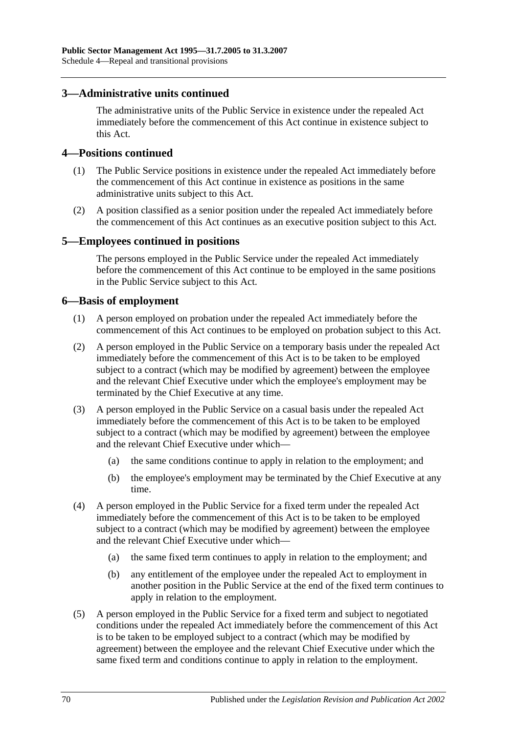## **3—Administrative units continued**

The administrative units of the Public Service in existence under the repealed Act immediately before the commencement of this Act continue in existence subject to this Act.

#### **4—Positions continued**

- (1) The Public Service positions in existence under the repealed Act immediately before the commencement of this Act continue in existence as positions in the same administrative units subject to this Act.
- (2) A position classified as a senior position under the repealed Act immediately before the commencement of this Act continues as an executive position subject to this Act.

#### **5—Employees continued in positions**

The persons employed in the Public Service under the repealed Act immediately before the commencement of this Act continue to be employed in the same positions in the Public Service subject to this Act.

### **6—Basis of employment**

- (1) A person employed on probation under the repealed Act immediately before the commencement of this Act continues to be employed on probation subject to this Act.
- (2) A person employed in the Public Service on a temporary basis under the repealed Act immediately before the commencement of this Act is to be taken to be employed subject to a contract (which may be modified by agreement) between the employee and the relevant Chief Executive under which the employee's employment may be terminated by the Chief Executive at any time.
- (3) A person employed in the Public Service on a casual basis under the repealed Act immediately before the commencement of this Act is to be taken to be employed subject to a contract (which may be modified by agreement) between the employee and the relevant Chief Executive under which—
	- (a) the same conditions continue to apply in relation to the employment; and
	- (b) the employee's employment may be terminated by the Chief Executive at any time.
- (4) A person employed in the Public Service for a fixed term under the repealed Act immediately before the commencement of this Act is to be taken to be employed subject to a contract (which may be modified by agreement) between the employee and the relevant Chief Executive under which—
	- (a) the same fixed term continues to apply in relation to the employment; and
	- (b) any entitlement of the employee under the repealed Act to employment in another position in the Public Service at the end of the fixed term continues to apply in relation to the employment.
- (5) A person employed in the Public Service for a fixed term and subject to negotiated conditions under the repealed Act immediately before the commencement of this Act is to be taken to be employed subject to a contract (which may be modified by agreement) between the employee and the relevant Chief Executive under which the same fixed term and conditions continue to apply in relation to the employment.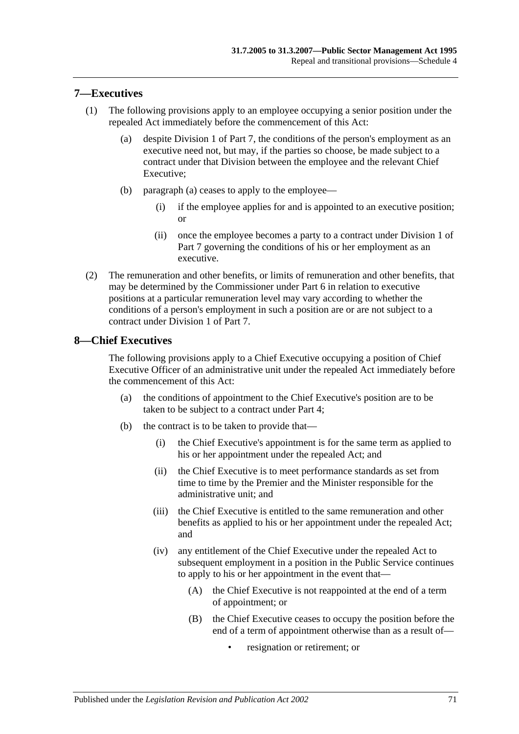## **7—Executives**

- <span id="page-70-0"></span>(1) The following provisions apply to an employee occupying a senior position under the repealed Act immediately before the commencement of this Act:
	- (a) despite [Division 1](#page-35-1) of [Part 7,](#page-35-0) the conditions of the person's employment as an executive need not, but may, if the parties so choose, be made subject to a contract under that Division between the employee and the relevant Chief Executive;
	- (b) [paragraph](#page-70-0) (a) ceases to apply to the employee—
		- (i) if the employee applies for and is appointed to an executive position; or
		- (ii) once the employee becomes a party to a contract under [Division 1](#page-35-1) of [Part 7](#page-35-0) governing the conditions of his or her employment as an executive.
- (2) The remuneration and other benefits, or limits of remuneration and other benefits, that may be determined by the Commissioner under [Part 6](#page-33-0) in relation to executive positions at a particular remuneration level may vary according to whether the conditions of a person's employment in such a position are or are not subject to a contract under [Division 1](#page-35-1) of [Part 7.](#page-35-0)

### **8—Chief Executives**

The following provisions apply to a Chief Executive occupying a position of Chief Executive Officer of an administrative unit under the repealed Act immediately before the commencement of this Act:

- (a) the conditions of appointment to the Chief Executive's position are to be taken to be subject to a contract under [Part 4;](#page-24-0)
- (b) the contract is to be taken to provide that—
	- (i) the Chief Executive's appointment is for the same term as applied to his or her appointment under the repealed Act; and
	- (ii) the Chief Executive is to meet performance standards as set from time to time by the Premier and the Minister responsible for the administrative unit; and
	- (iii) the Chief Executive is entitled to the same remuneration and other benefits as applied to his or her appointment under the repealed Act; and
	- (iv) any entitlement of the Chief Executive under the repealed Act to subsequent employment in a position in the Public Service continues to apply to his or her appointment in the event that—
		- (A) the Chief Executive is not reappointed at the end of a term of appointment; or
		- (B) the Chief Executive ceases to occupy the position before the end of a term of appointment otherwise than as a result of
			- resignation or retirement; or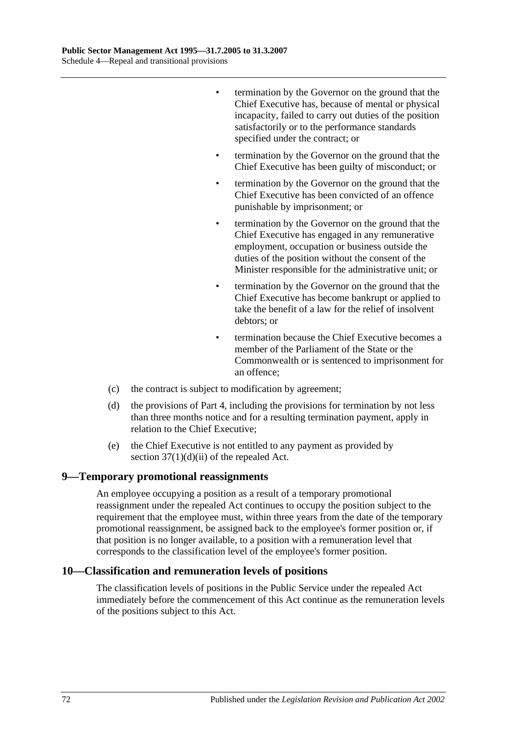- termination by the Governor on the ground that the Chief Executive has, because of mental or physical incapacity, failed to carry out duties of the position satisfactorily or to the performance standards specified under the contract; or
- termination by the Governor on the ground that the Chief Executive has been guilty of misconduct; or
- termination by the Governor on the ground that the Chief Executive has been convicted of an offence punishable by imprisonment; or
- termination by the Governor on the ground that the Chief Executive has engaged in any remunerative employment, occupation or business outside the duties of the position without the consent of the Minister responsible for the administrative unit; or
- termination by the Governor on the ground that the Chief Executive has become bankrupt or applied to take the benefit of a law for the relief of insolvent debtors; or
- termination because the Chief Executive becomes a member of the Parliament of the State or the Commonwealth or is sentenced to imprisonment for an offence;
- (c) the contract is subject to modification by agreement;
- (d) the provisions of [Part 4,](#page-24-0) including the provisions for termination by not less than three months notice and for a resulting termination payment, apply in relation to the Chief Executive;
- (e) the Chief Executive is not entitled to any payment as provided by section  $37(1)(d)(ii)$  of the repealed Act.

#### **9—Temporary promotional reassignments**

An employee occupying a position as a result of a temporary promotional reassignment under the repealed Act continues to occupy the position subject to the requirement that the employee must, within three years from the date of the temporary promotional reassignment, be assigned back to the employee's former position or, if that position is no longer available, to a position with a remuneration level that corresponds to the classification level of the employee's former position.

#### **10—Classification and remuneration levels of positions**

The classification levels of positions in the Public Service under the repealed Act immediately before the commencement of this Act continue as the remuneration levels of the positions subject to this Act.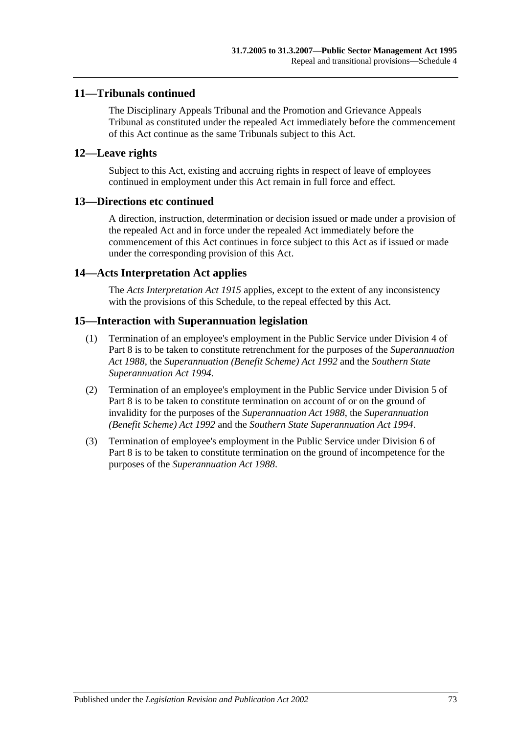## **11—Tribunals continued**

The Disciplinary Appeals Tribunal and the Promotion and Grievance Appeals Tribunal as constituted under the repealed Act immediately before the commencement of this Act continue as the same Tribunals subject to this Act.

## **12—Leave rights**

Subject to this Act, existing and accruing rights in respect of leave of employees continued in employment under this Act remain in full force and effect.

#### **13—Directions etc continued**

A direction, instruction, determination or decision issued or made under a provision of the repealed Act and in force under the repealed Act immediately before the commencement of this Act continues in force subject to this Act as if issued or made under the corresponding provision of this Act.

#### **14—Acts Interpretation Act applies**

The *[Acts Interpretation Act](http://www.legislation.sa.gov.au/index.aspx?action=legref&type=act&legtitle=Acts%20Interpretation%20Act%201915) 1915* applies, except to the extent of any inconsistency with the provisions of this Schedule, to the repeal effected by this Act.

#### **15—Interaction with Superannuation legislation**

- (1) Termination of an employee's employment in the Public Service under [Division 4](#page-43-0) of [Part 8](#page-41-0) is to be taken to constitute retrenchment for the purposes of the *[Superannuation](http://www.legislation.sa.gov.au/index.aspx?action=legref&type=act&legtitle=Superannuation%20Act%201988)  Act [1988](http://www.legislation.sa.gov.au/index.aspx?action=legref&type=act&legtitle=Superannuation%20Act%201988)*, the *[Superannuation \(Benefit Scheme\) Act](http://www.legislation.sa.gov.au/index.aspx?action=legref&type=act&legtitle=Superannuation%20(Benefit%20Scheme)%20Act%201992) 1992* and the *[Southern State](http://www.legislation.sa.gov.au/index.aspx?action=legref&type=act&legtitle=Southern%20State%20Superannuation%20Act%201994)  [Superannuation Act](http://www.legislation.sa.gov.au/index.aspx?action=legref&type=act&legtitle=Southern%20State%20Superannuation%20Act%201994) 1994*.
- (2) Termination of an employee's employment in the Public Service under [Division 5](#page-44-0) of [Part 8](#page-41-0) is to be taken to constitute termination on account of or on the ground of invalidity for the purposes of the *[Superannuation Act](http://www.legislation.sa.gov.au/index.aspx?action=legref&type=act&legtitle=Superannuation%20Act%201988) 1988*, the *[Superannuation](http://www.legislation.sa.gov.au/index.aspx?action=legref&type=act&legtitle=Superannuation%20(Benefit%20Scheme)%20Act%201992)  [\(Benefit Scheme\) Act](http://www.legislation.sa.gov.au/index.aspx?action=legref&type=act&legtitle=Superannuation%20(Benefit%20Scheme)%20Act%201992) 1992* and the *[Southern State Superannuation Act](http://www.legislation.sa.gov.au/index.aspx?action=legref&type=act&legtitle=Southern%20State%20Superannuation%20Act%201994) 1994*.
- (3) Termination of employee's employment in the Public Service under [Division 6](#page-45-0) of [Part](#page-41-0) 8 is to be taken to constitute termination on the ground of incompetence for the purposes of the *[Superannuation Act](http://www.legislation.sa.gov.au/index.aspx?action=legref&type=act&legtitle=Superannuation%20Act%201988) 1988*.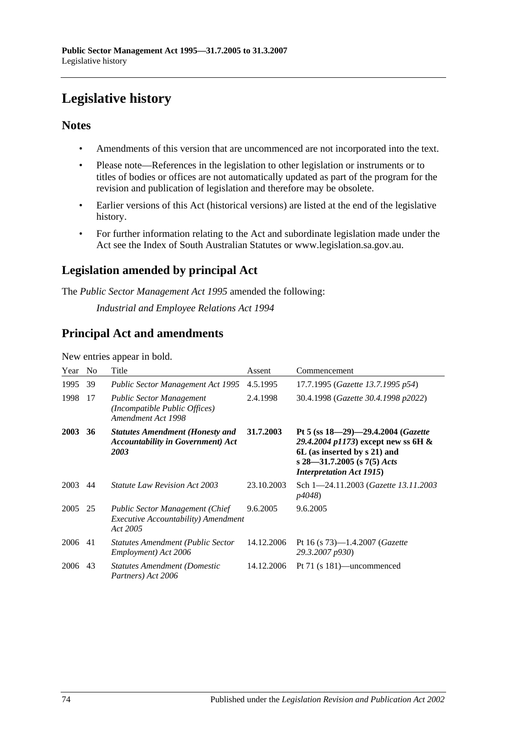# **Legislative history**

## **Notes**

- Amendments of this version that are uncommenced are not incorporated into the text.
- Please note—References in the legislation to other legislation or instruments or to titles of bodies or offices are not automatically updated as part of the program for the revision and publication of legislation and therefore may be obsolete.
- Earlier versions of this Act (historical versions) are listed at the end of the legislative history.
- For further information relating to the Act and subordinate legislation made under the Act see the Index of South Australian Statutes or www.legislation.sa.gov.au.

## **Legislation amended by principal Act**

The *Public Sector Management Act 1995* amended the following:

*Industrial and Employee Relations Act 1994*

## **Principal Act and amendments**

New entries appear in bold.

| Year | N <sub>0</sub> | Title                                                                                                    | Assent     | Commencement                                                                                                                                                                     |
|------|----------------|----------------------------------------------------------------------------------------------------------|------------|----------------------------------------------------------------------------------------------------------------------------------------------------------------------------------|
| 1995 | 39             | <b>Public Sector Management Act 1995</b>                                                                 | 4.5.1995   | 17.7.1995 (Gazette 13.7.1995 p54)                                                                                                                                                |
| 1998 | 17             | <b>Public Sector Management</b><br>(Incompatible Public Offices)<br>Amendment Act 1998                   | 2.4.1998   | 30.4.1998 (Gazette 30.4.1998 p2022)                                                                                                                                              |
| 2003 | 36             | <b>Statutes Amendment (Honesty and</b><br><b>Accountability in Government</b> ) Act<br>2003              | 31.7.2003  | Pt 5 (ss $18-29-29.4.2004$ (Gazette<br>29.4.2004 p1173) except new ss 6H $\&$<br>6L (as inserted by s 21) and<br>s 28–31.7.2005 (s 7(5) Acts<br><b>Interpretation Act 1915</b> ) |
| 2003 | 44             | <i>Statute Law Revision Act 2003</i>                                                                     | 23.10.2003 | Sch 1-24.11.2003 ( <i>Gazette 13.11.2003</i><br><i>p4048</i> )                                                                                                                   |
| 2005 | 25             | <b>Public Sector Management (Chief</b><br><i>Executive Accountability</i> ) <i>Amendment</i><br>Act 2005 | 9.6.2005   | 9.6.2005                                                                                                                                                                         |
| 2006 | 41             | <b>Statutes Amendment (Public Sector</b><br>Employment) Act 2006                                         | 14.12.2006 | Pt 16 (s $73$ )-1.4.2007 ( <i>Gazette</i><br>29.3.2007 p930)                                                                                                                     |
| 2006 | 43             | <b>Statutes Amendment (Domestic</b><br>Partners) Act 2006                                                | 14.12.2006 | Pt 71 (s 181)—uncommenced                                                                                                                                                        |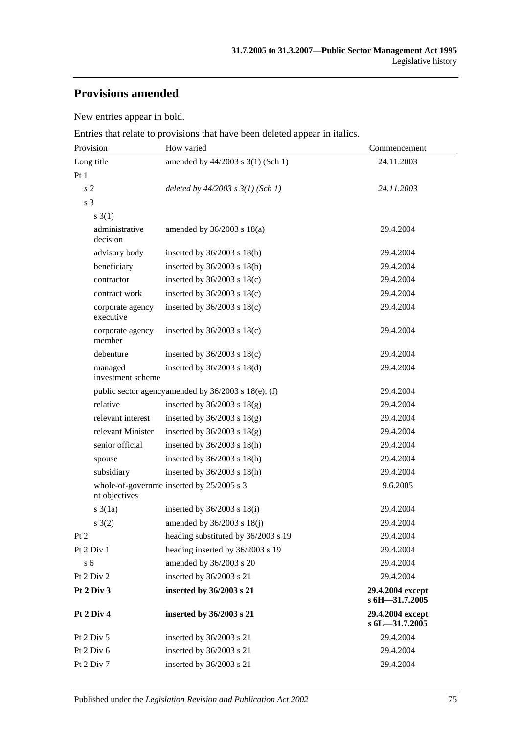## **Provisions amended**

New entries appear in bold.

Entries that relate to provisions that have been deleted appear in italics.

| Provision                     | How varied                                          | Commencement                       |  |
|-------------------------------|-----------------------------------------------------|------------------------------------|--|
| Long title                    | amended by 44/2003 s 3(1) (Sch 1)                   | 24.11.2003                         |  |
| Pt1                           |                                                     |                                    |  |
| s <sub>2</sub>                | deleted by $44/2003$ s $3(1)$ (Sch 1)               | 24.11.2003                         |  |
| s 3                           |                                                     |                                    |  |
| $s \; 3(1)$                   |                                                     |                                    |  |
| administrative<br>decision    | amended by $36/2003$ s $18(a)$                      | 29.4.2004                          |  |
| advisory body                 | inserted by $36/2003$ s $18(b)$                     | 29.4.2004                          |  |
| beneficiary                   | inserted by $36/2003$ s $18(b)$                     | 29.4.2004                          |  |
| contractor                    | inserted by $36/2003$ s $18(c)$                     | 29.4.2004                          |  |
| contract work                 | inserted by $36/2003$ s $18(c)$                     | 29.4.2004                          |  |
| corporate agency<br>executive | inserted by $36/2003$ s $18(c)$                     | 29.4.2004                          |  |
| corporate agency<br>member    | inserted by $36/2003$ s $18(c)$                     | 29.4.2004                          |  |
| debenture                     | inserted by $36/2003$ s $18(c)$                     | 29.4.2004                          |  |
| managed<br>investment scheme  | inserted by 36/2003 s 18(d)                         | 29.4.2004                          |  |
|                               | public sector agencyamended by 36/2003 s 18(e), (f) | 29.4.2004                          |  |
| relative                      | inserted by $36/2003$ s $18(g)$                     | 29.4.2004                          |  |
| relevant interest             | inserted by $36/2003$ s $18(g)$                     | 29.4.2004                          |  |
| relevant Minister             | inserted by $36/2003$ s $18(g)$                     | 29.4.2004                          |  |
| senior official               | inserted by $36/2003$ s $18(h)$                     | 29.4.2004                          |  |
| spouse                        | inserted by $36/2003$ s $18(h)$                     | 29.4.2004                          |  |
| subsidiary                    | inserted by 36/2003 s 18(h)                         | 29.4.2004                          |  |
| nt objectives                 | whole-of-governme inserted by 25/2005 s 3           | 9.6.2005                           |  |
| $s \frac{3}{1a}$              | inserted by $36/2003$ s $18(i)$                     | 29.4.2004                          |  |
| s(2)                          | amended by $36/2003$ s $18(j)$                      | 29.4.2004                          |  |
| Pt <sub>2</sub>               | heading substituted by 36/2003 s 19                 | 29.4.2004                          |  |
| Pt 2 Div 1                    | heading inserted by 36/2003 s 19                    | 29.4.2004                          |  |
| s <sub>6</sub>                | amended by 36/2003 s 20                             | 29.4.2004                          |  |
| Pt 2 Div 2                    | inserted by 36/2003 s 21                            | 29.4.2004                          |  |
| Pt 2 Div 3                    | inserted by 36/2003 s 21                            | 29.4.2004 except<br>s 6H-31.7.2005 |  |
| Pt 2 Div 4                    | inserted by 36/2003 s 21                            | 29.4.2004 except<br>s 6L-31.7.2005 |  |
| Pt 2 Div 5                    | inserted by 36/2003 s 21                            | 29.4.2004                          |  |
| Pt 2 Div 6                    | inserted by 36/2003 s 21                            | 29.4.2004                          |  |
| Pt 2 Div 7                    | inserted by 36/2003 s 21                            | 29.4.2004                          |  |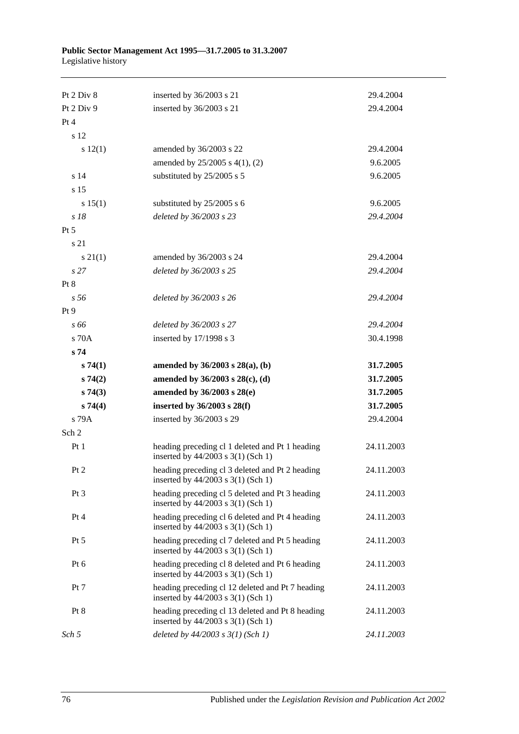#### **Public Sector Management Act 1995—31.7.2005 to 31.3.2007** Legislative history

| Pt 2 Div 8      | inserted by 36/2003 s 21                                                                  | 29.4.2004  |
|-----------------|-------------------------------------------------------------------------------------------|------------|
| Pt 2 Div 9      | inserted by 36/2003 s 21                                                                  | 29.4.2004  |
| Pt 4            |                                                                                           |            |
| s 12            |                                                                                           |            |
| s 12(1)         | amended by 36/2003 s 22                                                                   | 29.4.2004  |
|                 | amended by $25/2005$ s $4(1)$ , (2)                                                       | 9.6.2005   |
| s 14            | substituted by 25/2005 s 5                                                                | 9.6.2005   |
| s 15            |                                                                                           |            |
| s 15(1)         | substituted by 25/2005 s 6                                                                | 9.6.2005   |
| $s$ 18          | deleted by 36/2003 s 23                                                                   | 29.4.2004  |
| $Pt\,5$         |                                                                                           |            |
| s 21            |                                                                                           |            |
| $s \, 21(1)$    | amended by 36/2003 s 24                                                                   | 29.4.2004  |
| s27             | deleted by 36/2003 s 25                                                                   | 29.4.2004  |
| Pt 8            |                                                                                           |            |
| s <sub>56</sub> | deleted by 36/2003 s 26                                                                   | 29.4.2004  |
| Pt 9            |                                                                                           |            |
| s 66            | deleted by 36/2003 s 27                                                                   | 29.4.2004  |
| $\rm s$ 70A     | inserted by 17/1998 s 3                                                                   | 30.4.1998  |
| s 74            |                                                                                           |            |
| s74(1)          | amended by $36/2003$ s $28(a)$ , (b)                                                      | 31.7.2005  |
| s74(2)          | amended by 36/2003 s 28(c), (d)                                                           | 31.7.2005  |
| s74(3)          | amended by 36/2003 s 28(e)                                                                | 31.7.2005  |
| s74(4)          | inserted by $36/2003$ s $28(f)$                                                           | 31.7.2005  |
| s 79A           | inserted by 36/2003 s 29                                                                  | 29.4.2004  |
| Sch 2           |                                                                                           |            |
| Pt1             | heading preceding cl 1 deleted and Pt 1 heading<br>inserted by 44/2003 s 3(1) (Sch 1)     | 24.11.2003 |
| Pt 2            | heading preceding cl 3 deleted and Pt 2 heading<br>inserted by $44/2003$ s $3(1)$ (Sch 1) | 24.11.2003 |
| $Pt\,3$         | heading preceding cl 5 deleted and Pt 3 heading<br>inserted by 44/2003 s 3(1) (Sch 1)     | 24.11.2003 |
| Pt 4            | heading preceding cl 6 deleted and Pt 4 heading<br>inserted by 44/2003 s 3(1) (Sch 1)     | 24.11.2003 |
| $Pt\,5$         | heading preceding cl 7 deleted and Pt 5 heading<br>inserted by 44/2003 s 3(1) (Sch 1)     | 24.11.2003 |
| Pt 6            | heading preceding cl 8 deleted and Pt 6 heading<br>inserted by 44/2003 s 3(1) (Sch 1)     | 24.11.2003 |
| Pt 7            | heading preceding cl 12 deleted and Pt 7 heading<br>inserted by 44/2003 s 3(1) (Sch 1)    | 24.11.2003 |
| Pt 8            | heading preceding cl 13 deleted and Pt 8 heading<br>inserted by 44/2003 s 3(1) (Sch 1)    | 24.11.2003 |
|                 |                                                                                           |            |